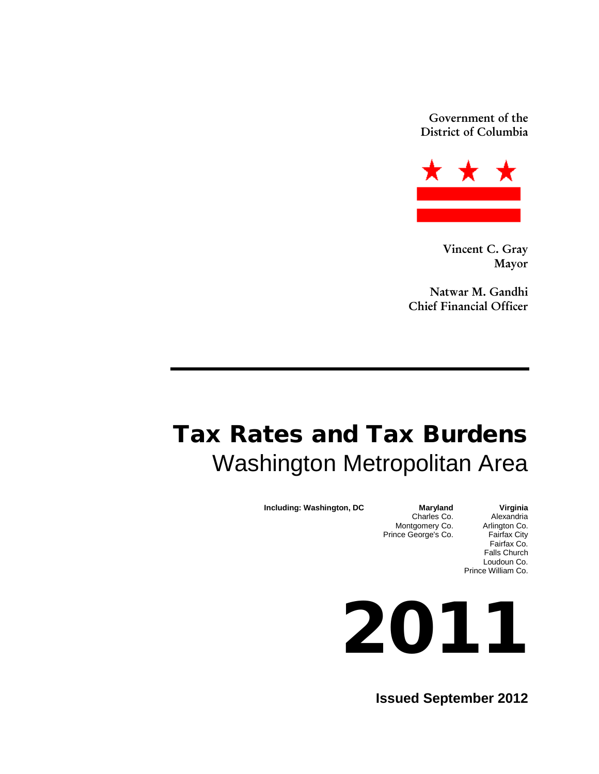Government of the District of Columbia



Vincent C. Gray Mayor

Natwar M. Gandhi Chief Financial Officer

# Tax Rates and Tax Burdens Washington Metropolitan Area

**Including: Washington, DC Maryland Virginia**<br>Charles Co. Alexandria

Charles Co. Alexandria<br>tgomery Co. Arlington Co. Montgomery Co. Arlington Co.<br>
nce George's Co. Fairfax City Fairfax Co. Falls Church Loudoun Co. Prince William Co.

2011

Prince George's Co.

**Issued September 2012**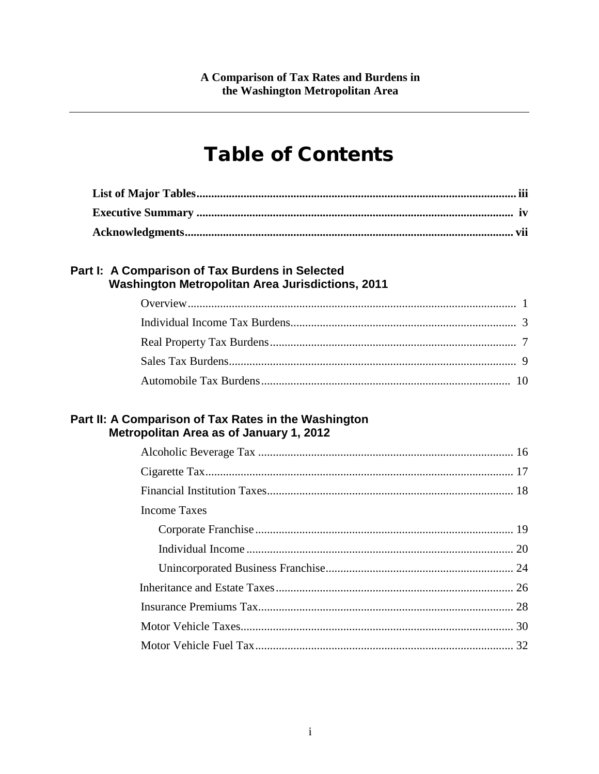## **Table of Contents**

### Part I: A Comparison of Tax Burdens in Selected Washington Metropolitan Area Jurisdictions, 2011

### Part II: A Comparison of Tax Rates in the Washington Metropolitan Area as of January 1, 2012

| Income Taxes |  |
|--------------|--|
|              |  |
|              |  |
|              |  |
|              |  |
|              |  |
|              |  |
|              |  |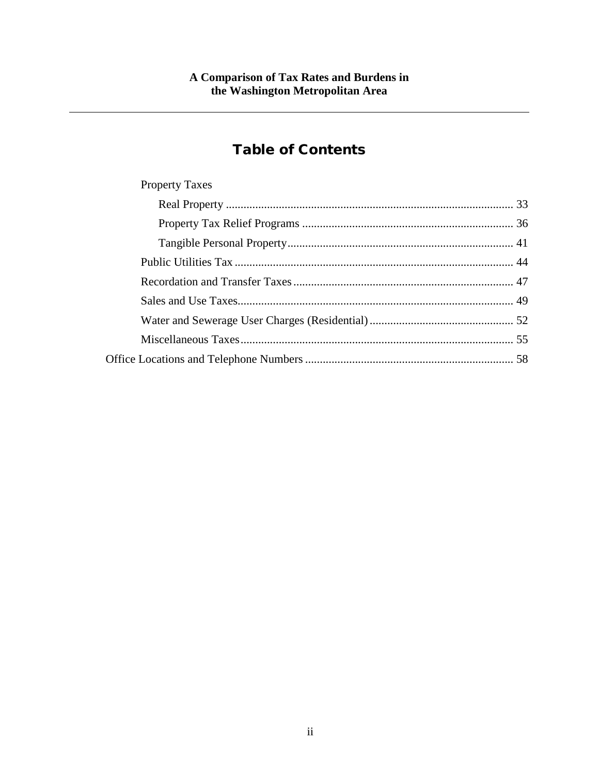## Table of Contents

| <b>Property Taxes</b> |  |
|-----------------------|--|
|                       |  |
|                       |  |
|                       |  |
|                       |  |
|                       |  |
|                       |  |
|                       |  |
|                       |  |
|                       |  |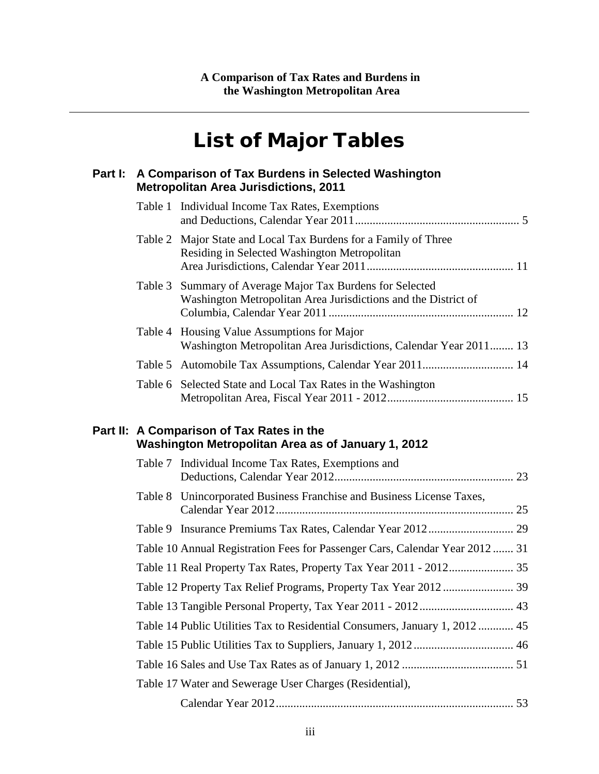## List of Major Tables

|         | Part I: A Comparison of Tax Burdens in Selected Washington<br><b>Metropolitan Area Jurisdictions, 2011</b>                  |  |
|---------|-----------------------------------------------------------------------------------------------------------------------------|--|
|         | Table 1 Individual Income Tax Rates, Exemptions                                                                             |  |
|         | Table 2 Major State and Local Tax Burdens for a Family of Three<br>Residing in Selected Washington Metropolitan             |  |
|         | Table 3 Summary of Average Major Tax Burdens for Selected<br>Washington Metropolitan Area Jurisdictions and the District of |  |
|         | Table 4 Housing Value Assumptions for Major<br>Washington Metropolitan Area Jurisdictions, Calendar Year 2011 13            |  |
| Table 5 |                                                                                                                             |  |
|         | Table 6 Selected State and Local Tax Rates in the Washington                                                                |  |
|         | Part II: A Comparison of Tax Rates in the<br>Washington Metropolitan Area as of January 1, 2012                             |  |
|         | Table 7 Individual Income Tax Rates, Exemptions and                                                                         |  |
|         | Table 8 Unincorporated Business Franchise and Business License Taxes,                                                       |  |
|         |                                                                                                                             |  |
|         | Table 10 Annual Registration Fees for Passenger Cars, Calendar Year 2012 31                                                 |  |
|         | Table 11 Real Property Tax Rates, Property Tax Year 2011 - 2012 35                                                          |  |
|         |                                                                                                                             |  |
|         | Table 13 Tangible Personal Property, Tax Year 2011 - 2012 43                                                                |  |
|         | Table 14 Public Utilities Tax to Residential Consumers, January 1, 2012 45                                                  |  |
|         |                                                                                                                             |  |
|         |                                                                                                                             |  |
|         | Table 17 Water and Sewerage User Charges (Residential),                                                                     |  |
|         |                                                                                                                             |  |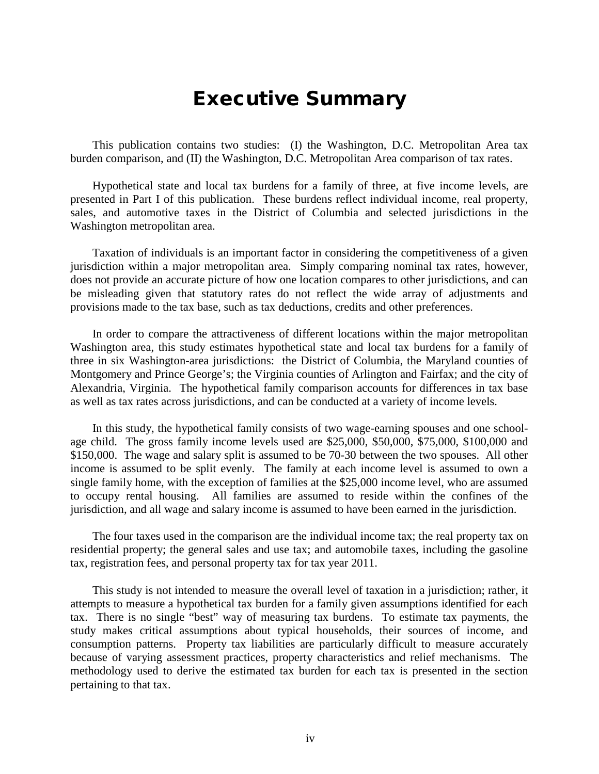## Executive Summary

This publication contains two studies: (I) the Washington, D.C. Metropolitan Area tax burden comparison, and (II) the Washington, D.C. Metropolitan Area comparison of tax rates.

Hypothetical state and local tax burdens for a family of three, at five income levels, are presented in Part I of this publication. These burdens reflect individual income, real property, sales, and automotive taxes in the District of Columbia and selected jurisdictions in the Washington metropolitan area.

Taxation of individuals is an important factor in considering the competitiveness of a given jurisdiction within a major metropolitan area. Simply comparing nominal tax rates, however, does not provide an accurate picture of how one location compares to other jurisdictions, and can be misleading given that statutory rates do not reflect the wide array of adjustments and provisions made to the tax base, such as tax deductions, credits and other preferences.

In order to compare the attractiveness of different locations within the major metropolitan Washington area, this study estimates hypothetical state and local tax burdens for a family of three in six Washington-area jurisdictions: the District of Columbia, the Maryland counties of Montgomery and Prince George's; the Virginia counties of Arlington and Fairfax; and the city of Alexandria, Virginia. The hypothetical family comparison accounts for differences in tax base as well as tax rates across jurisdictions, and can be conducted at a variety of income levels.

In this study, the hypothetical family consists of two wage-earning spouses and one schoolage child. The gross family income levels used are \$25,000, \$50,000, \$75,000, \$100,000 and \$150,000. The wage and salary split is assumed to be 70-30 between the two spouses. All other income is assumed to be split evenly. The family at each income level is assumed to own a single family home, with the exception of families at the \$25,000 income level, who are assumed to occupy rental housing. All families are assumed to reside within the confines of the jurisdiction, and all wage and salary income is assumed to have been earned in the jurisdiction.

The four taxes used in the comparison are the individual income tax; the real property tax on residential property; the general sales and use tax; and automobile taxes, including the gasoline tax, registration fees, and personal property tax for tax year 2011.

This study is not intended to measure the overall level of taxation in a jurisdiction; rather, it attempts to measure a hypothetical tax burden for a family given assumptions identified for each tax. There is no single "best" way of measuring tax burdens. To estimate tax payments, the study makes critical assumptions about typical households, their sources of income, and consumption patterns. Property tax liabilities are particularly difficult to measure accurately because of varying assessment practices, property characteristics and relief mechanisms. The methodology used to derive the estimated tax burden for each tax is presented in the section pertaining to that tax.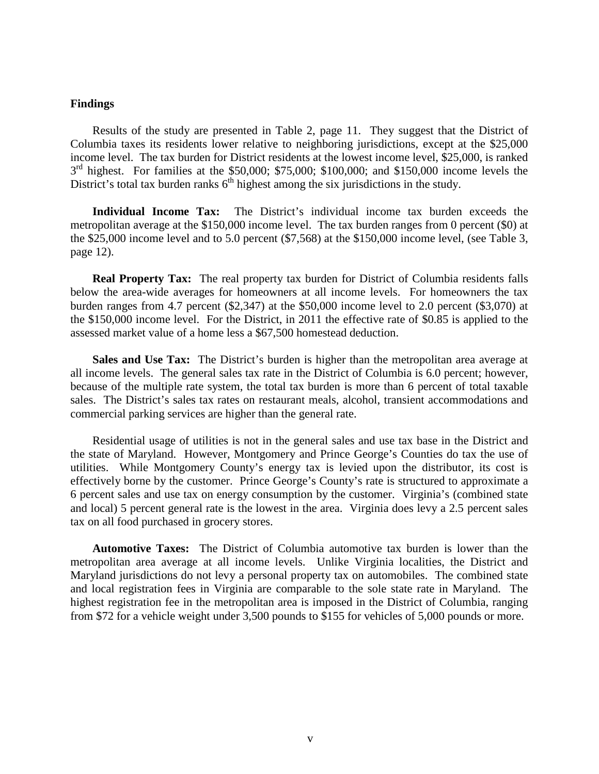#### **Findings**

Results of the study are presented in Table 2, page 11. They suggest that the District of Columbia taxes its residents lower relative to neighboring jurisdictions, except at the \$25,000 income level. The tax burden for District residents at the lowest income level, \$25,000, is ranked  $3<sup>rd</sup>$  highest. For families at the \$50,000; \$75,000; \$100,000; and \$150,000 income levels the District's total tax burden ranks  $6<sup>th</sup>$  highest among the six jurisdictions in the study.

**Individual Income Tax:** The District's individual income tax burden exceeds the metropolitan average at the \$150,000 income level. The tax burden ranges from 0 percent (\$0) at the \$25,000 income level and to 5.0 percent (\$7,568) at the \$150,000 income level, (see Table 3, page 12).

**Real Property Tax:** The real property tax burden for District of Columbia residents falls below the area-wide averages for homeowners at all income levels. For homeowners the tax burden ranges from 4.7 percent (\$2,347) at the \$50,000 income level to 2.0 percent (\$3,070) at the \$150,000 income level. For the District, in 2011 the effective rate of \$0.85 is applied to the assessed market value of a home less a \$67,500 homestead deduction.

**Sales and Use Tax:** The District's burden is higher than the metropolitan area average at all income levels. The general sales tax rate in the District of Columbia is 6.0 percent; however, because of the multiple rate system, the total tax burden is more than 6 percent of total taxable sales. The District's sales tax rates on restaurant meals, alcohol, transient accommodations and commercial parking services are higher than the general rate.

Residential usage of utilities is not in the general sales and use tax base in the District and the state of Maryland. However, Montgomery and Prince George's Counties do tax the use of utilities. While Montgomery County's energy tax is levied upon the distributor, its cost is effectively borne by the customer. Prince George's County's rate is structured to approximate a 6 percent sales and use tax on energy consumption by the customer. Virginia's (combined state and local) 5 percent general rate is the lowest in the area. Virginia does levy a 2.5 percent sales tax on all food purchased in grocery stores.

**Automotive Taxes:** The District of Columbia automotive tax burden is lower than the metropolitan area average at all income levels. Unlike Virginia localities, the District and Maryland jurisdictions do not levy a personal property tax on automobiles. The combined state and local registration fees in Virginia are comparable to the sole state rate in Maryland. The highest registration fee in the metropolitan area is imposed in the District of Columbia, ranging from \$72 for a vehicle weight under 3,500 pounds to \$155 for vehicles of 5,000 pounds or more.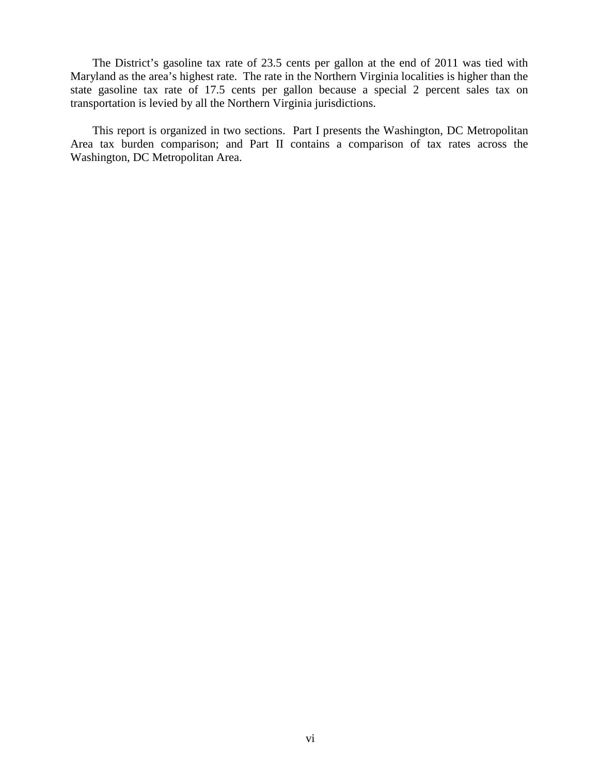The District's gasoline tax rate of 23.5 cents per gallon at the end of 2011 was tied with Maryland as the area's highest rate. The rate in the Northern Virginia localities is higher than the state gasoline tax rate of 17.5 cents per gallon because a special 2 percent sales tax on transportation is levied by all the Northern Virginia jurisdictions.

This report is organized in two sections. Part I presents the Washington, DC Metropolitan Area tax burden comparison; and Part II contains a comparison of tax rates across the Washington, DC Metropolitan Area.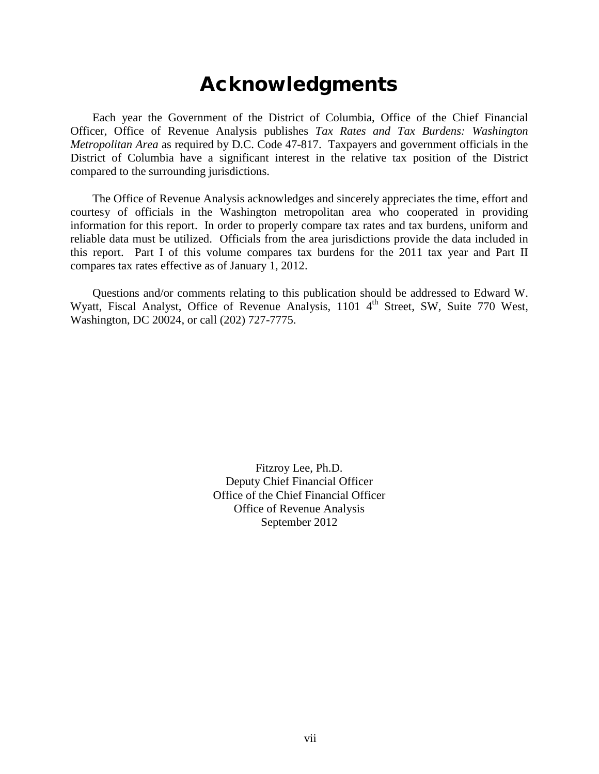## Acknowledgments

Each year the Government of the District of Columbia, Office of the Chief Financial Officer, Office of Revenue Analysis publishes *Tax Rates and Tax Burdens: Washington Metropolitan Area* as required by D.C. Code 47-817. Taxpayers and government officials in the District of Columbia have a significant interest in the relative tax position of the District compared to the surrounding jurisdictions.

The Office of Revenue Analysis acknowledges and sincerely appreciates the time, effort and courtesy of officials in the Washington metropolitan area who cooperated in providing information for this report. In order to properly compare tax rates and tax burdens, uniform and reliable data must be utilized. Officials from the area jurisdictions provide the data included in this report. Part I of this volume compares tax burdens for the 2011 tax year and Part II compares tax rates effective as of January 1, 2012.

Questions and/or comments relating to this publication should be addressed to Edward W. Wyatt, Fiscal Analyst, Office of Revenue Analysis, 1101 4<sup>th</sup> Street, SW, Suite 770 West, Washington, DC 20024, or call (202) 727-7775.

> Fitzroy Lee, Ph.D. Deputy Chief Financial Officer Office of the Chief Financial Officer Office of Revenue Analysis September 2012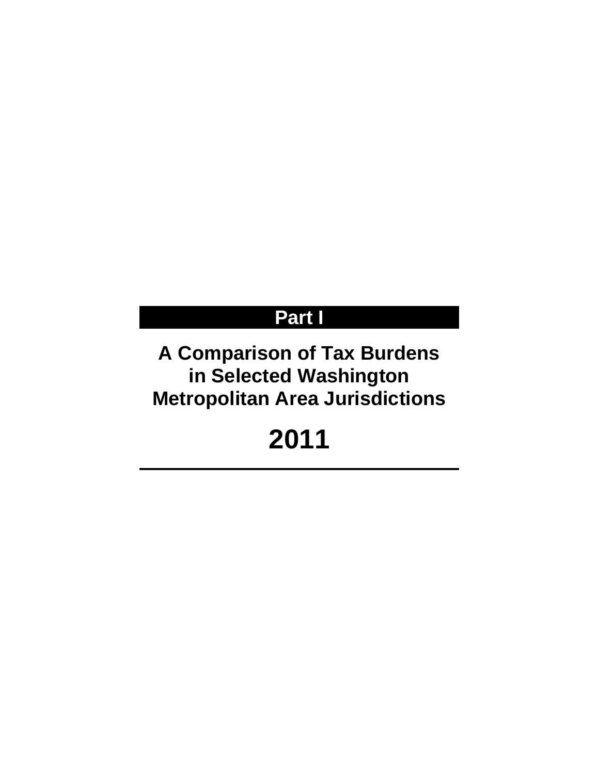## **Part I**

## **A Comparison of Tax Burdens in Selected Washington Metropolitan Area Jurisdictions**

# **2011**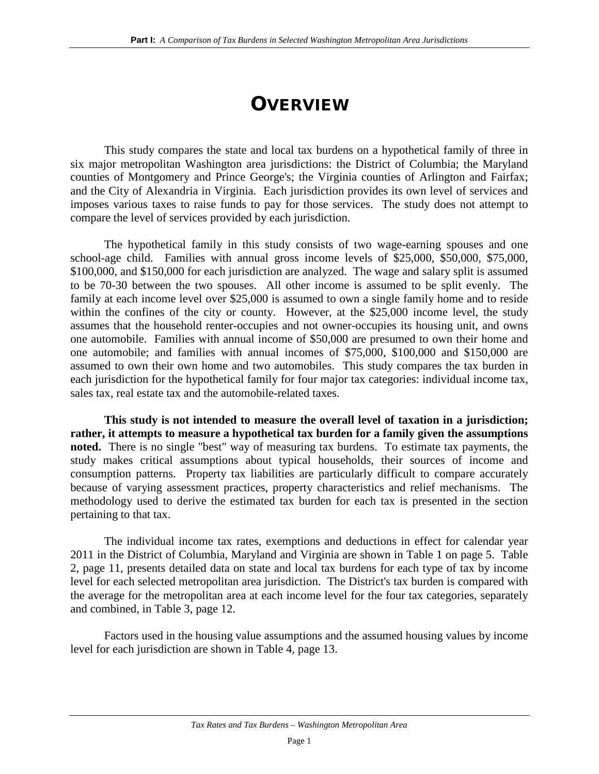## **OVERVIEW**

This study compares the state and local tax burdens on a hypothetical family of three in six major metropolitan Washington area jurisdictions: the District of Columbia; the Maryland counties of Montgomery and Prince George's; the Virginia counties of Arlington and Fairfax; and the City of Alexandria in Virginia. Each jurisdiction provides its own level of services and imposes various taxes to raise funds to pay for those services. The study does not attempt to compare the level of services provided by each jurisdiction.

The hypothetical family in this study consists of two wage-earning spouses and one school-age child. Families with annual gross income levels of \$25,000, \$50,000, \$75,000, \$100,000, and \$150,000 for each jurisdiction are analyzed. The wage and salary split is assumed to be 70-30 between the two spouses. All other income is assumed to be split evenly. The family at each income level over \$25,000 is assumed to own a single family home and to reside within the confines of the city or county. However, at the \$25,000 income level, the study assumes that the household renter-occupies and not owner-occupies its housing unit, and owns one automobile. Families with annual income of \$50,000 are presumed to own their home and one automobile; and families with annual incomes of \$75,000, \$100,000 and \$150,000 are assumed to own their own home and two automobiles. This study compares the tax burden in each jurisdiction for the hypothetical family for four major tax categories: individual income tax, sales tax, real estate tax and the automobile-related taxes.

**This study is not intended to measure the overall level of taxation in a jurisdiction; rather, it attempts to measure a hypothetical tax burden for a family given the assumptions noted.** There is no single "best" way of measuring tax burdens. To estimate tax payments, the study makes critical assumptions about typical households, their sources of income and consumption patterns. Property tax liabilities are particularly difficult to compare accurately because of varying assessment practices, property characteristics and relief mechanisms. The methodology used to derive the estimated tax burden for each tax is presented in the section pertaining to that tax.

The individual income tax rates, exemptions and deductions in effect for calendar year 2011 in the District of Columbia, Maryland and Virginia are shown in Table 1 on page 5. Table 2, page 11, presents detailed data on state and local tax burdens for each type of tax by income level for each selected metropolitan area jurisdiction. The District's tax burden is compared with the average for the metropolitan area at each income level for the four tax categories, separately and combined, in Table 3, page 12.

Factors used in the housing value assumptions and the assumed housing values by income level for each jurisdiction are shown in Table 4, page 13.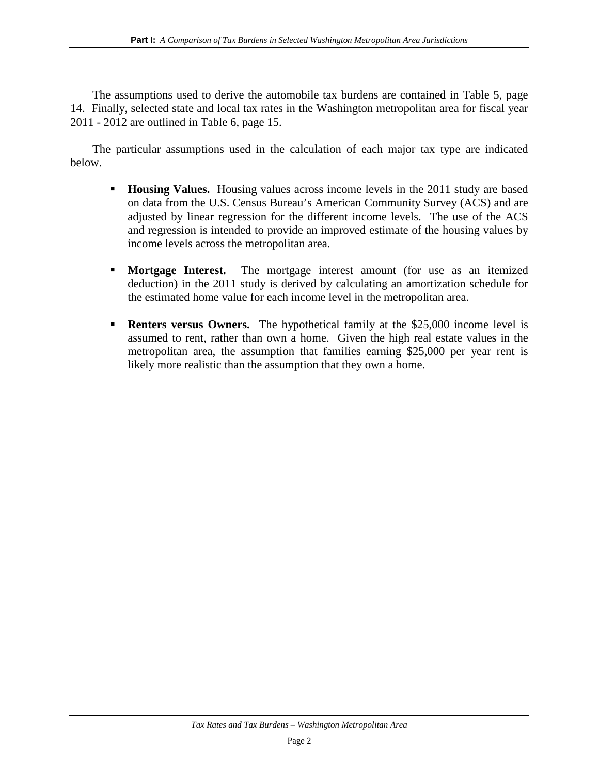The assumptions used to derive the automobile tax burdens are contained in Table 5, page 14. Finally, selected state and local tax rates in the Washington metropolitan area for fiscal year 2011 - 2012 are outlined in Table 6, page 15.

The particular assumptions used in the calculation of each major tax type are indicated below.

- **Housing Values.** Housing values across income levels in the 2011 study are based on data from the U.S. Census Bureau's American Community Survey (ACS) and are adjusted by linear regression for the different income levels. The use of the ACS and regression is intended to provide an improved estimate of the housing values by income levels across the metropolitan area.
- **Mortgage Interest.** The mortgage interest amount (for use as an itemized deduction) in the 2011 study is derived by calculating an amortization schedule for the estimated home value for each income level in the metropolitan area.
- **Renters versus Owners.** The hypothetical family at the \$25,000 income level is assumed to rent, rather than own a home. Given the high real estate values in the metropolitan area, the assumption that families earning \$25,000 per year rent is likely more realistic than the assumption that they own a home.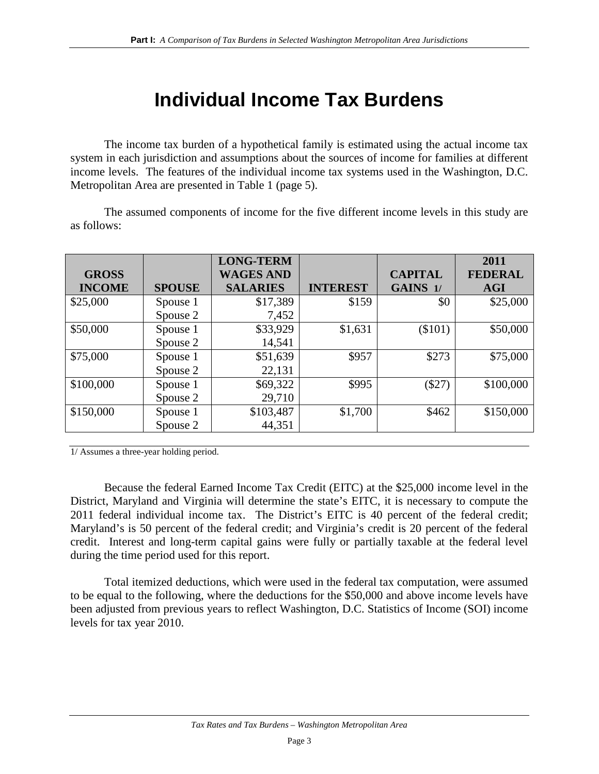## **Individual Income Tax Burdens**

The income tax burden of a hypothetical family is estimated using the actual income tax system in each jurisdiction and assumptions about the sources of income for families at different income levels. The features of the individual income tax systems used in the Washington, D.C. Metropolitan Area are presented in Table 1 (page 5).

The assumed components of income for the five different income levels in this study are as follows:

|               |               | <b>LONG-TERM</b> |                 |                | 2011           |
|---------------|---------------|------------------|-----------------|----------------|----------------|
| <b>GROSS</b>  |               | <b>WAGES AND</b> |                 | <b>CAPITAL</b> | <b>FEDERAL</b> |
| <b>INCOME</b> | <b>SPOUSE</b> | <b>SALARIES</b>  | <b>INTEREST</b> | GAINS 1/       | <b>AGI</b>     |
| \$25,000      | Spouse 1      | \$17,389         | \$159           | \$0            | \$25,000       |
|               | Spouse 2      | 7,452            |                 |                |                |
| \$50,000      | Spouse 1      | \$33,929         | \$1,631         | $(\$101)$      | \$50,000       |
|               | Spouse 2      | 14,541           |                 |                |                |
| \$75,000      | Spouse 1      | \$51,639         | \$957           | \$273          | \$75,000       |
|               | Spouse 2      | 22,131           |                 |                |                |
| \$100,000     | Spouse 1      | \$69,322         | \$995           | $(\$27)$       | \$100,000      |
|               | Spouse 2      | 29,710           |                 |                |                |
| \$150,000     | Spouse 1      | \$103,487        | \$1,700         | \$462          | \$150,000      |
|               | Spouse 2      | 44,351           |                 |                |                |

1/ Assumes a three-year holding period.

Because the federal Earned Income Tax Credit (EITC) at the \$25,000 income level in the District, Maryland and Virginia will determine the state's EITC, it is necessary to compute the 2011 federal individual income tax. The District's EITC is 40 percent of the federal credit; Maryland's is 50 percent of the federal credit; and Virginia's credit is 20 percent of the federal credit. Interest and long-term capital gains were fully or partially taxable at the federal level during the time period used for this report.

Total itemized deductions, which were used in the federal tax computation, were assumed to be equal to the following, where the deductions for the \$50,000 and above income levels have been adjusted from previous years to reflect Washington, D.C. Statistics of Income (SOI) income levels for tax year 2010.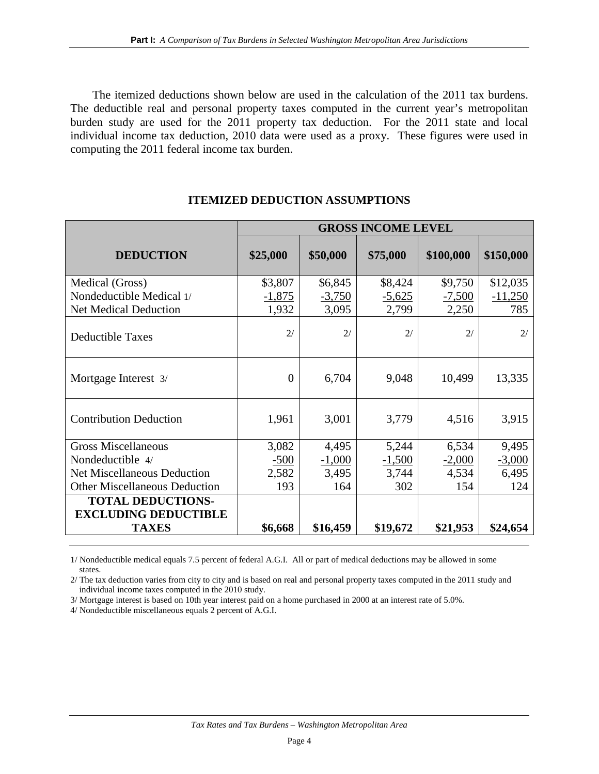The itemized deductions shown below are used in the calculation of the 2011 tax burdens. The deductible real and personal property taxes computed in the current year's metropolitan burden study are used for the 2011 property tax deduction. For the 2011 state and local individual income tax deduction, 2010 data were used as a proxy. These figures were used in computing the 2011 federal income tax burden.

|                                      | <b>GROSS INCOME LEVEL</b> |          |          |           |           |
|--------------------------------------|---------------------------|----------|----------|-----------|-----------|
| <b>DEDUCTION</b>                     | \$25,000                  | \$50,000 | \$75,000 | \$100,000 | \$150,000 |
| Medical (Gross)                      | \$3,807                   | \$6,845  | \$8,424  | \$9,750   | \$12,035  |
| Nondeductible Medical 1/             | $-1,875$                  | $-3,750$ | $-5,625$ | $-7,500$  | $-11,250$ |
| <b>Net Medical Deduction</b>         | 1,932                     | 3,095    | 2,799    | 2,250     | 785       |
| <b>Deductible Taxes</b>              | 2/                        | 2/       | 2/       | 2/        | 2/        |
| Mortgage Interest 3/                 | $\theta$                  | 6,704    | 9,048    | 10,499    | 13,335    |
| <b>Contribution Deduction</b>        | 1,961                     | 3,001    | 3,779    | 4,516     | 3,915     |
| <b>Gross Miscellaneous</b>           | 3,082                     | 4,495    | 5,244    | 6,534     | 9,495     |
| Nondeductible 4/                     | $-500$                    | $-1,000$ | $-1,500$ | $-2,000$  | $-3,000$  |
| <b>Net Miscellaneous Deduction</b>   | 2,582                     | 3,495    | 3,744    | 4,534     | 6,495     |
| <b>Other Miscellaneous Deduction</b> | 193                       | 164      | 302      | 154       | 124       |
| <b>TOTAL DEDUCTIONS-</b>             |                           |          |          |           |           |
| <b>EXCLUDING DEDUCTIBLE</b>          |                           |          |          |           |           |
| <b>TAXES</b>                         | \$6,668                   | \$16,459 | \$19,672 | \$21,953  | \$24,654  |

### **ITEMIZED DEDUCTION ASSUMPTIONS**

1/ Nondeductible medical equals 7.5 percent of federal A.G.I. All or part of medical deductions may be allowed in some states.

2/ The tax deduction varies from city to city and is based on real and personal property taxes computed in the 2011 study and individual income taxes computed in the 2010 study.

3/ Mortgage interest is based on 10th year interest paid on a home purchased in 2000 at an interest rate of 5.0%.

4/ Nondeductible miscellaneous equals 2 percent of A.G.I.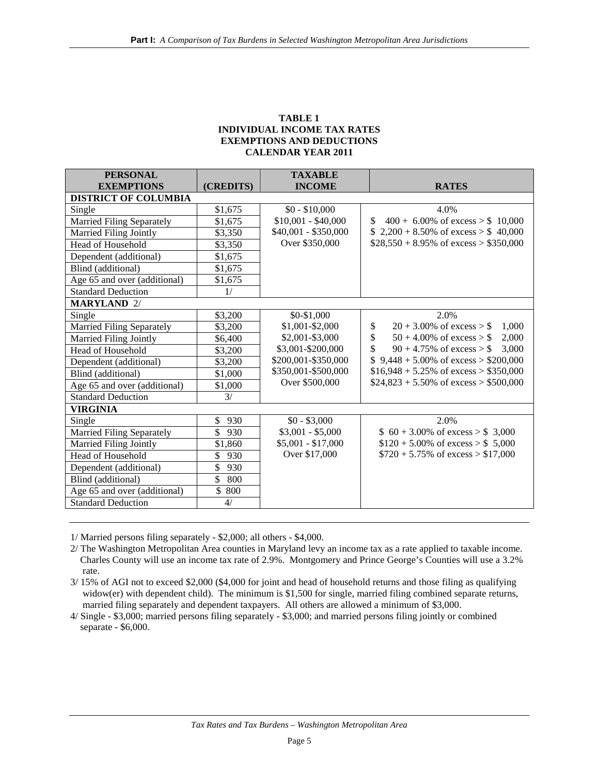#### **TABLE 1 INDIVIDUAL INCOME TAX RATES EXEMPTIONS AND DEDUCTIONS CALENDAR YEAR 2011**

| <b>PERSONAL</b>                  |                      | <b>TAXABLE</b>       |                                                 |
|----------------------------------|----------------------|----------------------|-------------------------------------------------|
| <b>EXEMPTIONS</b>                | (CREDITS)            | <b>INCOME</b>        | <b>RATES</b>                                    |
| <b>DISTRICT OF COLUMBIA</b>      |                      |                      |                                                 |
| Single                           | \$1,675              | $$0 - $10,000$       | 4.0%                                            |
| <b>Married Filing Separately</b> | \$1,675              | $$10,001 - $40,000$  | $$400 + 6.00\% \text{ of excess} > $10,000$     |
| Married Filing Jointly           | \$3,350              | \$40,001 - \$350,000 | \$ 2,200 + 8.50% of excess > $$40,000$          |
| Head of Household                | \$3,350              | Over \$350,000       | $$28,550 + 8.95\%$ of excess > \$350,000        |
| Dependent (additional)           | \$1,675              |                      |                                                 |
| Blind (additional)               | \$1,675              |                      |                                                 |
| Age 65 and over (additional)     | \$1,675              |                      |                                                 |
| <b>Standard Deduction</b>        | 1/                   |                      |                                                 |
| <b>MARYLAND 2/</b>               |                      |                      |                                                 |
| Single                           | \$3,200              | \$0-\$1,000          | 2.0%                                            |
| Married Filing Separately        | \$3,200              | \$1,001-\$2,000      | $20 + 3.00\%$ of excess $>$ \$<br>\$<br>1.000   |
| Married Filing Jointly           | \$6,400              | \$2,001-\$3,000      | \$<br>$50 + 4.00\%$ of excess $>$ \$<br>2,000   |
| Head of Household                | \$3,200              | \$3,001-\$200,000    | \$<br>$90 + 4.75\%$ of excess $>$ \$<br>3.000   |
| Dependent (additional)           | \$3,200              | \$200,001-\$350,000  | $$9,448 + 5.00\% \text{ of excess} > $200,000$  |
| Blind (additional)               | \$1,000              | \$350,001-\$500,000  | $$16,948 + 5.25\%$ of excess > \$350,000        |
| Age 65 and over (additional)     | \$1,000              | Over \$500,000       | $$24,823 + 5.50\% \text{ of excess} > $500,000$ |
| <b>Standard Deduction</b>        | 3/                   |                      |                                                 |
| <b>VIRGINIA</b>                  |                      |                      |                                                 |
| Single                           | \$<br>930            | $$0 - $3,000$        | 2.0%                                            |
| <b>Married Filing Separately</b> | \$<br>930            | $$3,001 - $5,000$    | $$60 + 3.00\% \text{ of excess} > $3,000$       |
| Married Filing Jointly           | \$1,860              | $$5,001 - $17,000$   | $$120 + 5.00\% \text{ of excess} > $5,000$      |
| <b>Head of Household</b>         | \$<br>930            | Over \$17,000        | $$720 + 5.75\% \text{ of excess} > $17,000$     |
| Dependent (additional)           | \$<br>930            |                      |                                                 |
| Blind (additional)               | \$<br>800            |                      |                                                 |
| Age 65 and over (additional)     | $\mathcal{S}$<br>800 |                      |                                                 |
| <b>Standard Deduction</b>        | 4/                   |                      |                                                 |

1/ Married persons filing separately - \$2,000; all others - \$4,000.

2/ The Washington Metropolitan Area counties in Maryland levy an income tax as a rate applied to taxable income. Charles County will use an income tax rate of 2.9%. Montgomery and Prince George's Counties will use a 3.2% rate.

3/ 15% of AGI not to exceed \$2,000 (\$4,000 for joint and head of household returns and those filing as qualifying widow(er) with dependent child). The minimum is \$1,500 for single, married filing combined separate returns, married filing separately and dependent taxpayers. All others are allowed a minimum of \$3,000.

4/ Single - \$3,000; married persons filing separately - \$3,000; and married persons filing jointly or combined separate - \$6,000.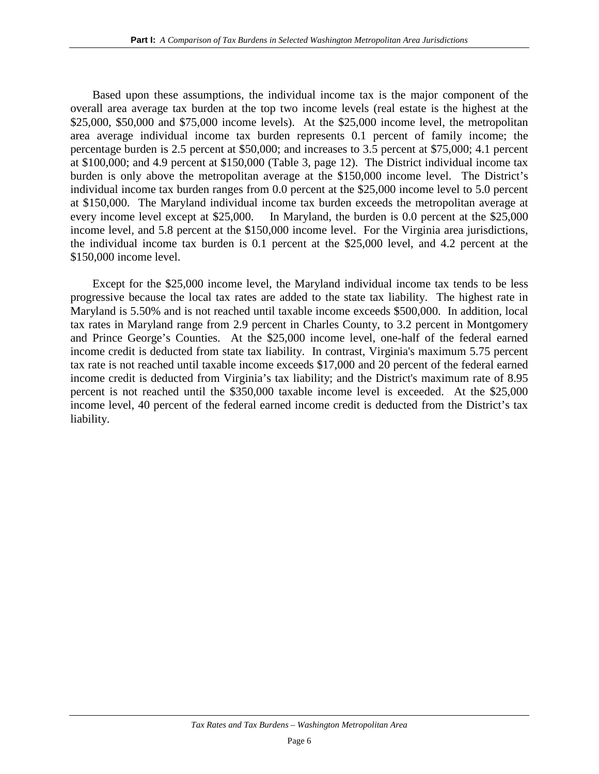Based upon these assumptions, the individual income tax is the major component of the overall area average tax burden at the top two income levels (real estate is the highest at the \$25,000, \$50,000 and \$75,000 income levels). At the \$25,000 income level, the metropolitan area average individual income tax burden represents 0.1 percent of family income; the percentage burden is 2.5 percent at \$50,000; and increases to 3.5 percent at \$75,000; 4.1 percent at \$100,000; and 4.9 percent at \$150,000 (Table 3, page 12). The District individual income tax burden is only above the metropolitan average at the \$150,000 income level. The District's individual income tax burden ranges from 0.0 percent at the \$25,000 income level to 5.0 percent at \$150,000. The Maryland individual income tax burden exceeds the metropolitan average at every income level except at \$25,000. In Maryland, the burden is 0.0 percent at the \$25,000 income level, and 5.8 percent at the \$150,000 income level. For the Virginia area jurisdictions, the individual income tax burden is 0.1 percent at the \$25,000 level, and 4.2 percent at the \$150,000 income level.

Except for the \$25,000 income level, the Maryland individual income tax tends to be less progressive because the local tax rates are added to the state tax liability. The highest rate in Maryland is 5.50% and is not reached until taxable income exceeds \$500,000. In addition, local tax rates in Maryland range from 2.9 percent in Charles County, to 3.2 percent in Montgomery and Prince George's Counties. At the \$25,000 income level, one-half of the federal earned income credit is deducted from state tax liability. In contrast, Virginia's maximum 5.75 percent tax rate is not reached until taxable income exceeds \$17,000 and 20 percent of the federal earned income credit is deducted from Virginia's tax liability; and the District's maximum rate of 8.95 percent is not reached until the \$350,000 taxable income level is exceeded. At the \$25,000 income level, 40 percent of the federal earned income credit is deducted from the District's tax liability.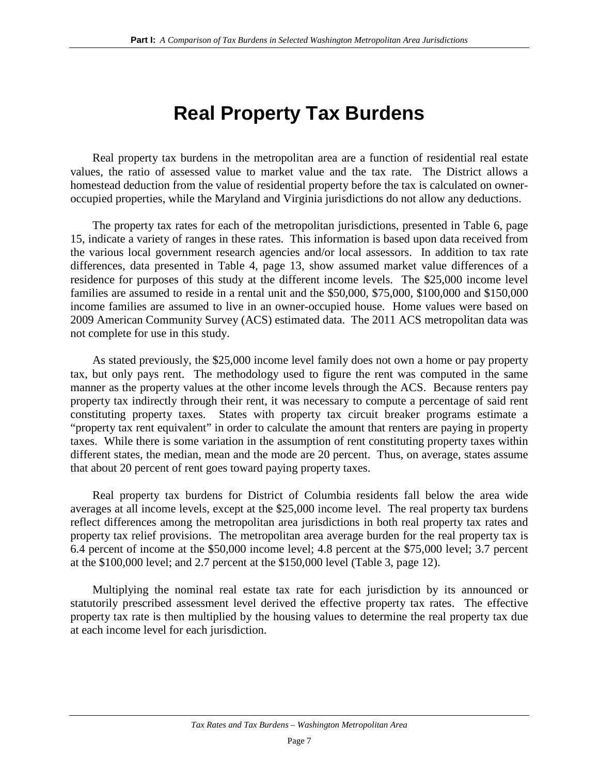## **Real Property Tax Burdens**

Real property tax burdens in the metropolitan area are a function of residential real estate values, the ratio of assessed value to market value and the tax rate. The District allows a homestead deduction from the value of residential property before the tax is calculated on owneroccupied properties, while the Maryland and Virginia jurisdictions do not allow any deductions.

The property tax rates for each of the metropolitan jurisdictions, presented in Table 6, page 15, indicate a variety of ranges in these rates. This information is based upon data received from the various local government research agencies and/or local assessors. In addition to tax rate differences, data presented in Table 4, page 13, show assumed market value differences of a residence for purposes of this study at the different income levels. The \$25,000 income level families are assumed to reside in a rental unit and the \$50,000, \$75,000, \$100,000 and \$150,000 income families are assumed to live in an owner-occupied house. Home values were based on 2009 American Community Survey (ACS) estimated data. The 2011 ACS metropolitan data was not complete for use in this study.

As stated previously, the \$25,000 income level family does not own a home or pay property tax, but only pays rent. The methodology used to figure the rent was computed in the same manner as the property values at the other income levels through the ACS. Because renters pay property tax indirectly through their rent, it was necessary to compute a percentage of said rent constituting property taxes. States with property tax circuit breaker programs estimate a "property tax rent equivalent" in order to calculate the amount that renters are paying in property taxes. While there is some variation in the assumption of rent constituting property taxes within different states, the median, mean and the mode are 20 percent. Thus, on average, states assume that about 20 percent of rent goes toward paying property taxes.

Real property tax burdens for District of Columbia residents fall below the area wide averages at all income levels, except at the \$25,000 income level. The real property tax burdens reflect differences among the metropolitan area jurisdictions in both real property tax rates and property tax relief provisions. The metropolitan area average burden for the real property tax is 6.4 percent of income at the \$50,000 income level; 4.8 percent at the \$75,000 level; 3.7 percent at the \$100,000 level; and 2.7 percent at the \$150,000 level (Table 3, page 12).

Multiplying the nominal real estate tax rate for each jurisdiction by its announced or statutorily prescribed assessment level derived the effective property tax rates. The effective property tax rate is then multiplied by the housing values to determine the real property tax due at each income level for each jurisdiction.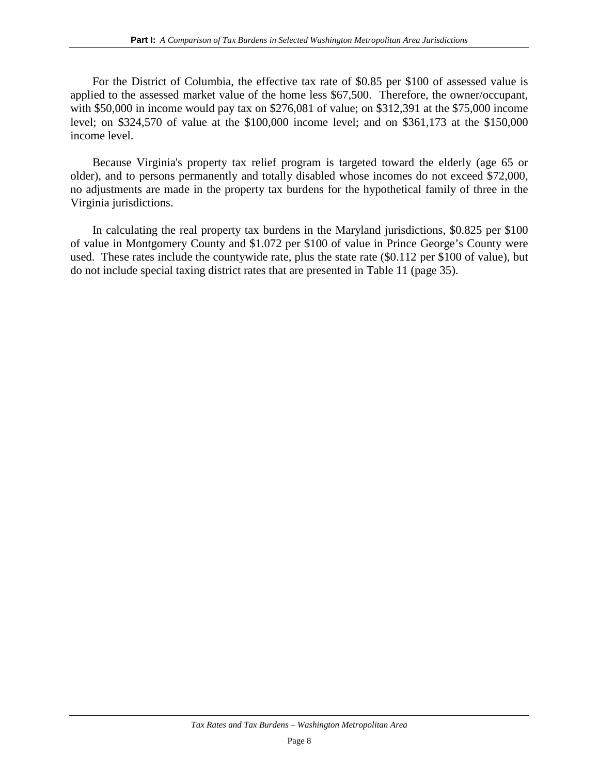For the District of Columbia, the effective tax rate of \$0.85 per \$100 of assessed value is applied to the assessed market value of the home less \$67,500. Therefore, the owner/occupant, with \$50,000 in income would pay tax on \$276,081 of value; on \$312,391 at the \$75,000 income level; on \$324,570 of value at the \$100,000 income level; and on \$361,173 at the \$150,000 income level.

Because Virginia's property tax relief program is targeted toward the elderly (age 65 or older), and to persons permanently and totally disabled whose incomes do not exceed \$72,000, no adjustments are made in the property tax burdens for the hypothetical family of three in the Virginia jurisdictions.

In calculating the real property tax burdens in the Maryland jurisdictions, \$0.825 per \$100 of value in Montgomery County and \$1.072 per \$100 of value in Prince George's County were used. These rates include the countywide rate, plus the state rate (\$0.112 per \$100 of value), but do not include special taxing district rates that are presented in Table 11 (page 35).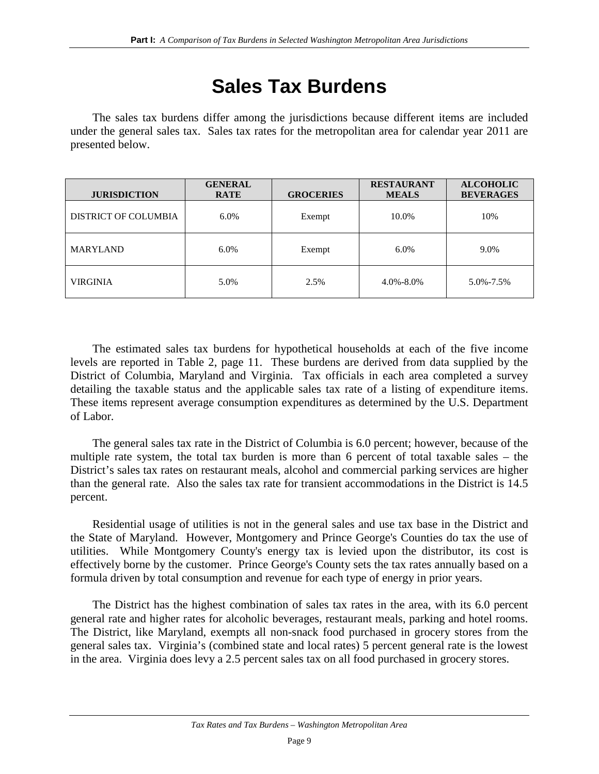## **Sales Tax Burdens**

The sales tax burdens differ among the jurisdictions because different items are included under the general sales tax. Sales tax rates for the metropolitan area for calendar year 2011 are presented below.

| <b>JURISDICTION</b>  | <b>GENERAL</b><br><b>RATE</b> | <b>GROCERIES</b> | <b>RESTAURANT</b><br><b>MEALS</b> | <b>ALCOHOLIC</b><br><b>BEVERAGES</b> |
|----------------------|-------------------------------|------------------|-----------------------------------|--------------------------------------|
| DISTRICT OF COLUMBIA | $6.0\%$                       | Exempt           | 10.0%                             | 10%                                  |
| <b>MARYLAND</b>      | $6.0\%$                       | Exempt           | 6.0%                              | 9.0%                                 |
| VIRGINIA             | 5.0%                          | 2.5%             | $4.0\% - 8.0\%$                   | 5.0%-7.5%                            |

The estimated sales tax burdens for hypothetical households at each of the five income levels are reported in Table 2, page 11. These burdens are derived from data supplied by the District of Columbia, Maryland and Virginia. Tax officials in each area completed a survey detailing the taxable status and the applicable sales tax rate of a listing of expenditure items. These items represent average consumption expenditures as determined by the U.S. Department of Labor.

The general sales tax rate in the District of Columbia is 6.0 percent; however, because of the multiple rate system, the total tax burden is more than 6 percent of total taxable sales – the District's sales tax rates on restaurant meals, alcohol and commercial parking services are higher than the general rate. Also the sales tax rate for transient accommodations in the District is 14.5 percent.

Residential usage of utilities is not in the general sales and use tax base in the District and the State of Maryland. However, Montgomery and Prince George's Counties do tax the use of utilities. While Montgomery County's energy tax is levied upon the distributor, its cost is effectively borne by the customer. Prince George's County sets the tax rates annually based on a formula driven by total consumption and revenue for each type of energy in prior years.

The District has the highest combination of sales tax rates in the area, with its 6.0 percent general rate and higher rates for alcoholic beverages, restaurant meals, parking and hotel rooms. The District, like Maryland, exempts all non-snack food purchased in grocery stores from the general sales tax. Virginia's (combined state and local rates) 5 percent general rate is the lowest in the area. Virginia does levy a 2.5 percent sales tax on all food purchased in grocery stores.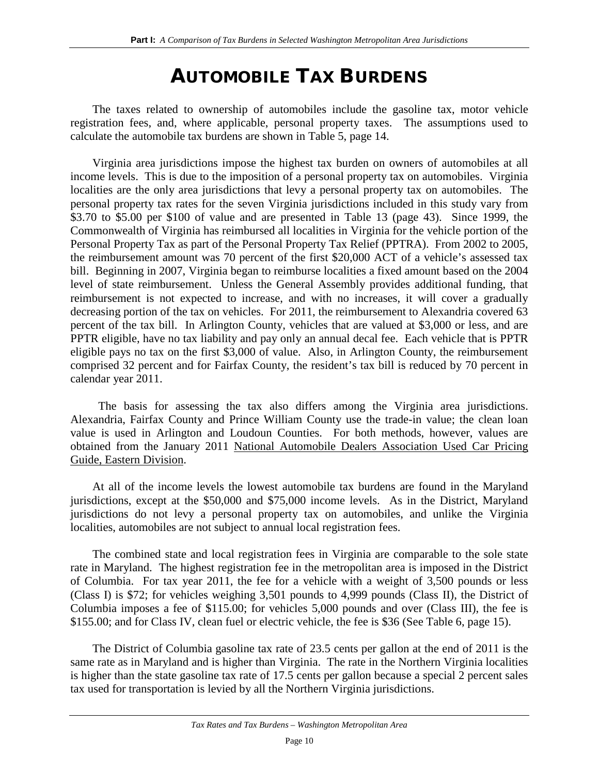## AUTOMOBILE TAX BURDENS

The taxes related to ownership of automobiles include the gasoline tax, motor vehicle registration fees, and, where applicable, personal property taxes. The assumptions used to calculate the automobile tax burdens are shown in Table 5, page 14.

Virginia area jurisdictions impose the highest tax burden on owners of automobiles at all income levels. This is due to the imposition of a personal property tax on automobiles. Virginia localities are the only area jurisdictions that levy a personal property tax on automobiles. The personal property tax rates for the seven Virginia jurisdictions included in this study vary from \$3.70 to \$5.00 per \$100 of value and are presented in Table 13 (page 43). Since 1999, the Commonwealth of Virginia has reimbursed all localities in Virginia for the vehicle portion of the Personal Property Tax as part of the Personal Property Tax Relief (PPTRA). From 2002 to 2005, the reimbursement amount was 70 percent of the first \$20,000 ACT of a vehicle's assessed tax bill. Beginning in 2007, Virginia began to reimburse localities a fixed amount based on the 2004 level of state reimbursement. Unless the General Assembly provides additional funding, that reimbursement is not expected to increase, and with no increases, it will cover a gradually decreasing portion of the tax on vehicles. For 2011, the reimbursement to Alexandria covered 63 percent of the tax bill. In Arlington County, vehicles that are valued at \$3,000 or less, and are PPTR eligible, have no tax liability and pay only an annual decal fee. Each vehicle that is PPTR eligible pays no tax on the first \$3,000 of value. Also, in Arlington County, the reimbursement comprised 32 percent and for Fairfax County, the resident's tax bill is reduced by 70 percent in calendar year 2011.

 The basis for assessing the tax also differs among the Virginia area jurisdictions. Alexandria, Fairfax County and Prince William County use the trade-in value; the clean loan value is used in Arlington and Loudoun Counties. For both methods, however, values are obtained from the January 2011 National Automobile Dealers Association Used Car Pricing Guide, Eastern Division.

At all of the income levels the lowest automobile tax burdens are found in the Maryland jurisdictions, except at the \$50,000 and \$75,000 income levels. As in the District, Maryland jurisdictions do not levy a personal property tax on automobiles, and unlike the Virginia localities, automobiles are not subject to annual local registration fees.

The combined state and local registration fees in Virginia are comparable to the sole state rate in Maryland. The highest registration fee in the metropolitan area is imposed in the District of Columbia. For tax year 2011, the fee for a vehicle with a weight of 3,500 pounds or less (Class I) is \$72; for vehicles weighing 3,501 pounds to 4,999 pounds (Class II), the District of Columbia imposes a fee of \$115.00; for vehicles 5,000 pounds and over (Class III), the fee is \$155.00; and for Class IV, clean fuel or electric vehicle, the fee is \$36 (See Table 6, page 15).

The District of Columbia gasoline tax rate of 23.5 cents per gallon at the end of 2011 is the same rate as in Maryland and is higher than Virginia. The rate in the Northern Virginia localities is higher than the state gasoline tax rate of 17.5 cents per gallon because a special 2 percent sales tax used for transportation is levied by all the Northern Virginia jurisdictions.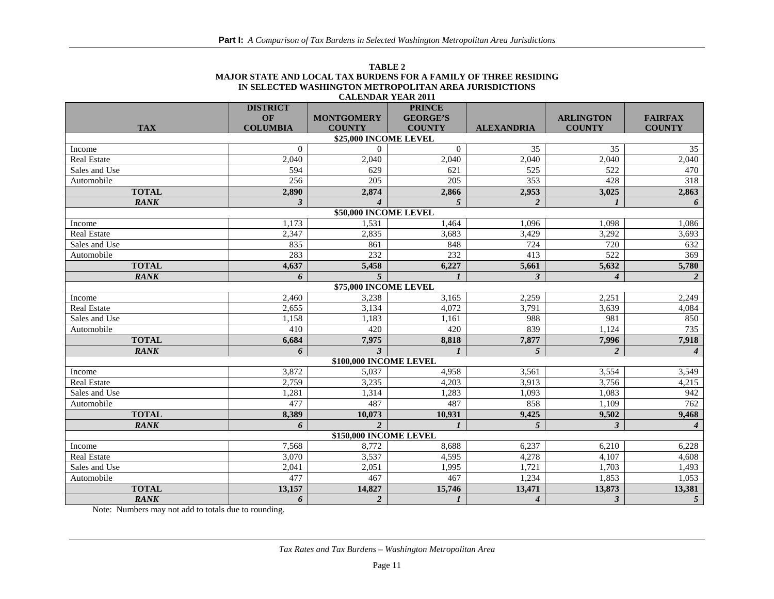| TARLE 2                                                          |
|------------------------------------------------------------------|
| MAJOR STATE AND LOCAL TAX BURDENS FOR A FAMILY OF THREE RESIDING |
| IN SELECTED WASHINGTON METROPOLITAN AREA JURISDICTIONS           |
| <b>CALENDAR YEAR 2011</b>                                        |

|                        | <b>DISTRICT</b> |                         | <b>PRINCE</b>    |                   |                         |                        |
|------------------------|-----------------|-------------------------|------------------|-------------------|-------------------------|------------------------|
|                        | <b>OF</b>       | <b>MONTGOMERY</b>       | <b>GEORGE'S</b>  |                   | <b>ARLINGTON</b>        | <b>FAIRFAX</b>         |
| <b>TAX</b>             | <b>COLUMBIA</b> | <b>COUNTY</b>           | <b>COUNTY</b>    | <b>ALEXANDRIA</b> | <b>COUNTY</b>           | <b>COUNTY</b>          |
|                        |                 | \$25,000 INCOME LEVEL   |                  |                   |                         |                        |
| Income                 | $\theta$        | $\Omega$                | $\Omega$         | 35                | 35                      | 35                     |
| <b>Real Estate</b>     | 2,040           | 2,040                   | 2,040            | 2,040             | 2,040                   | 2,040                  |
| Sales and Use          | 594             | 629                     | 621              | 525               | 522                     | 470                    |
| Automobile             | 256             | 205                     | 205              | 353               | 428                     | 318                    |
| <b>TOTAL</b>           | 2,890           | 2,874                   | 2,866            | 2,953             | 3,025                   | 2,863                  |
| <b>RANK</b>            | $\mathbf{3}$    |                         | $\overline{5}$   | 2                 | $\boldsymbol{l}$        | 6                      |
|                        |                 | \$50,000 INCOME LEVEL   |                  |                   |                         |                        |
| Income                 | 1.173           | 1,531                   | 1,464            | 1.096             | 1.098                   | 1,086                  |
| <b>Real Estate</b>     | 2,347           | 2,835                   | 3,683            | 3,429             | 3,292                   | 3,693                  |
| Sales and Use          | 835             | 861                     | 848              | 724               | 720                     | 632                    |
| Automobile             | 283             | 232                     | 232              | 413               | 522                     | 369                    |
| <b>TOTAL</b>           | 4,637           | 5,458                   | 6,227            | 5,661             | 5,632                   | 5,780                  |
| <b>RANK</b>            | 6               | $\overline{5}$          |                  | 3                 | $\boldsymbol{4}$        | 2                      |
|                        |                 | \$75,000 INCOME LEVEL   |                  |                   |                         |                        |
| Income                 | 2.460           | 3,238                   | 3.165            | 2,259             | 2,251                   | 2,249                  |
| <b>Real Estate</b>     | 2,655           | 3,134                   | 4,072            | 3,791             | 3,639                   | 4,084                  |
| Sales and Use          | 1,158           | 1,183                   | 1,161            | 988               | 981                     | 850                    |
| Automobile             | 410             | 420                     | 420              | 839               | 1,124                   | 735                    |
| <b>TOTAL</b>           | 6,684           | 7,975                   | 8,818            | 7,877             | 7,996                   | 7,918                  |
| <b>RANK</b>            | 6               | $\overline{\mathbf{3}}$ | $\boldsymbol{l}$ | 5                 | $\overline{2}$          | $\boldsymbol{4}$       |
|                        |                 | \$100,000 INCOME LEVEL  |                  |                   |                         |                        |
| Income                 | 3,872           | 5,037                   | 4,958            | 3,561             | 3,554                   | 3,549                  |
| <b>Real Estate</b>     | 2,759           | 3,235                   | 4.203            | 3,913             | 3,756                   | 4,215                  |
| Sales and Use          | 1,281           | 1,314                   | 1,283            | 1,093             | 1,083                   | 942                    |
| Automobile             | 477             | 487                     | 487              | 858               | 1,109                   | 762                    |
| <b>TOTAL</b>           | 8,389           | 10,073                  | 10,931           | 9,425             | 9,502                   | 9,468                  |
| <b>RANK</b>            | 6               | $\overline{\mathbf{c}}$ | $\mathbf{I}$     | 5                 | $\overline{\mathbf{3}}$ | $\boldsymbol{\Lambda}$ |
| \$150,000 INCOME LEVEL |                 |                         |                  |                   |                         |                        |
| Income                 | 7.568           | 8,772                   | 8.688            | 6.237             | 6.210                   | 6,228                  |
| <b>Real Estate</b>     | 3,070           | 3,537                   | 4,595            | 4,278             | 4,107                   | 4,608                  |
| Sales and Use          | 2,041           | 2,051                   | 1,995            | 1,721             | 1.703                   | 1,493                  |
| Automobile             | 477             | 467                     | 467              | 1,234             | 1.853                   | 1,053                  |
| <b>TOTAL</b>           | 13,157          | 14,827                  | 15,746           | 13,471            | 13,873                  | 13,381                 |
| <b>RANK</b>            | 6               | $\overline{2}$          | $\boldsymbol{l}$ | $\boldsymbol{4}$  | $\mathbf{3}$            | $\overline{5}$         |

Note: Numbers may not add to totals due to rounding.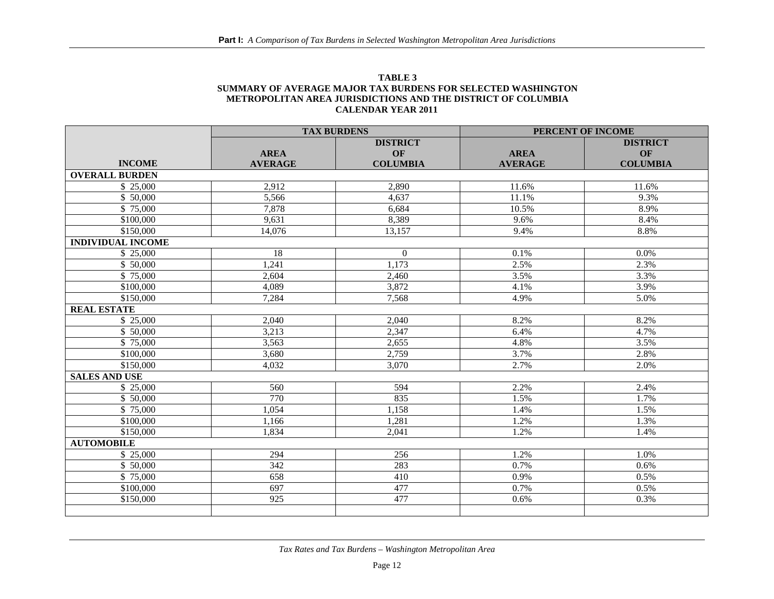| TABLE 3                                                      |
|--------------------------------------------------------------|
| SUMMARY OF AVERAGE MAJOR TAX BURDENS FOR SELECTED WASHINGTON |
| METROPOLITAN AREA JURISDICTIONS AND THE DISTRICT OF COLUMBIA |
| <b>CALENDAR YEAR 2011</b>                                    |

|                          | <b>TAX BURDENS</b> |                 | PERCENT OF INCOME |                 |  |
|--------------------------|--------------------|-----------------|-------------------|-----------------|--|
|                          |                    | <b>DISTRICT</b> |                   | <b>DISTRICT</b> |  |
|                          | <b>AREA</b>        | OF              | <b>AREA</b>       | OF              |  |
| <b>INCOME</b>            | <b>AVERAGE</b>     | <b>COLUMBIA</b> | <b>AVERAGE</b>    | <b>COLUMBIA</b> |  |
| <b>OVERALL BURDEN</b>    |                    |                 |                   |                 |  |
| \$25,000                 | 2,912              | 2,890           | 11.6%             | 11.6%           |  |
| \$50,000                 | 5,566              | 4.637           | 11.1%             | 9.3%            |  |
| \$75,000                 | 7,878              | 6,684           | 10.5%             | 8.9%            |  |
| \$100,000                | 9,631              | 8,389           | 9.6%              | 8.4%            |  |
| \$150,000                | 14,076             | 13,157          | 9.4%              | 8.8%            |  |
| <b>INDIVIDUAL INCOME</b> |                    |                 |                   |                 |  |
| \$25,000                 | 18                 | $\mathbf{0}$    | 0.1%              | 0.0%            |  |
| \$50,000                 | 1,241              | 1,173           | 2.5%              | 2.3%            |  |
| \$75,000                 | 2,604              | 2,460           | 3.5%              | 3.3%            |  |
| \$100,000                | 4,089              | 3,872           | 4.1%              | 3.9%            |  |
| \$150,000                | 7,284              | 7,568           | 4.9%              | 5.0%            |  |
| <b>REAL ESTATE</b>       |                    |                 |                   |                 |  |
| \$25,000                 | 2,040              | 2,040           | 8.2%              | 8.2%            |  |
| \$50,000                 | 3,213              | 2,347           | 6.4%              | 4.7%            |  |
| \$75,000                 | 3,563              | 2,655           | 4.8%              | 3.5%            |  |
| \$100,000                | 3,680              | 2,759           | 3.7%              | 2.8%            |  |
| \$150,000                | 4,032              | 3,070           | 2.7%              | 2.0%            |  |
| <b>SALES AND USE</b>     |                    |                 |                   |                 |  |
| \$25,000                 | 560                | 594             | 2.2%              | 2.4%            |  |
| \$ 50,000                | 770                | 835             | 1.5%              | 1.7%            |  |
| \$75,000                 | 1,054              | 1,158           | 1.4%              | 1.5%            |  |
| \$100,000                | 1,166              | 1,281           | 1.2%              | 1.3%            |  |
| \$150,000                | 1,834              | 2,041           | 1.2%              | 1.4%            |  |
| <b>AUTOMOBILE</b>        |                    |                 |                   |                 |  |
| \$25,000                 | 294                | 256             | 1.2%              | 1.0%            |  |
| \$50,000                 | 342                | 283             | 0.7%              | 0.6%            |  |
| \$75,000                 | 658                | 410             | 0.9%              | 0.5%            |  |
| \$100,000                | 697                | 477             | 0.7%              | 0.5%            |  |
| \$150,000                | 925                | 477             | 0.6%              | 0.3%            |  |
|                          |                    |                 |                   |                 |  |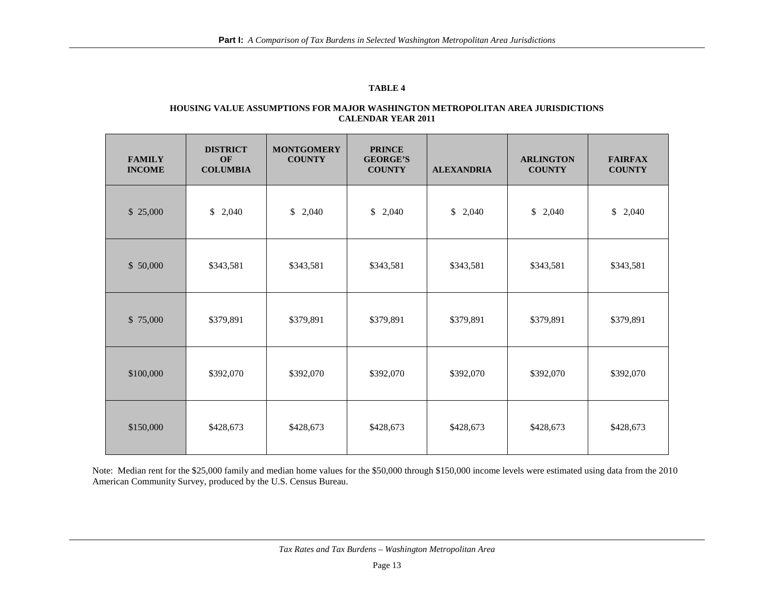#### **TABLE 4**

#### **HOUSING VALUE ASSUMPTIONS FOR MAJOR WASHINGTON METROPOLITAN AREA JURISDICTIONS CALENDAR YEAR 2011**

| <b>FAMILY</b><br><b>INCOME</b> | <b>DISTRICT</b><br>OF<br><b>COLUMBIA</b> | <b>MONTGOMERY</b><br><b>COUNTY</b> | <b>PRINCE</b><br><b>GEORGE'S</b><br><b>COUNTY</b> | <b>ALEXANDRIA</b>     | <b>ARLINGTON</b><br><b>COUNTY</b> | <b>FAIRFAX</b><br><b>COUNTY</b> |
|--------------------------------|------------------------------------------|------------------------------------|---------------------------------------------------|-----------------------|-----------------------------------|---------------------------------|
| \$25,000                       | \$<br>2,040                              | \$2,040                            | \$<br>2,040                                       | $\mathbb{S}$<br>2,040 | \$2,040                           | \$<br>2,040                     |
| \$50,000                       | \$343,581                                | \$343,581                          | \$343,581                                         | \$343,581             | \$343,581                         | \$343,581                       |
| \$75,000                       | \$379,891                                | \$379,891                          | \$379,891                                         | \$379,891             | \$379,891                         | \$379,891                       |
| \$100,000                      | \$392,070                                | \$392,070                          | \$392,070                                         | \$392,070             | \$392,070                         | \$392,070                       |
| \$150,000                      | \$428,673                                | \$428,673                          | \$428,673                                         | \$428,673             | \$428,673                         | \$428,673                       |

Note: Median rent for the \$25,000 family and median home values for the \$50,000 through \$150,000 income levels were estimated using data from the 2010 American Community Survey, produced by the U.S. Census Bureau.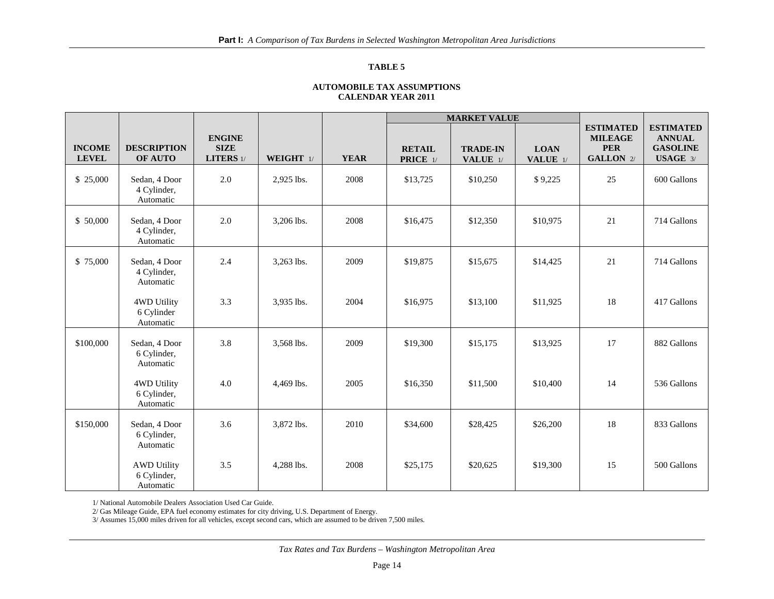#### **TABLE 5**

#### **AUTOMOBILE TAX ASSUMPTIONS CALENDAR YEAR 2011**

|                               |                                                |                                           |            |             | <b>MARKET VALUE</b>       |                                      |                                  |                                                                      |                                                                  |
|-------------------------------|------------------------------------------------|-------------------------------------------|------------|-------------|---------------------------|--------------------------------------|----------------------------------|----------------------------------------------------------------------|------------------------------------------------------------------|
| <b>INCOME</b><br><b>LEVEL</b> | <b>DESCRIPTION</b><br>OF AUTO                  | <b>ENGINE</b><br><b>SIZE</b><br>LITERS 1/ | WEIGHT 1/  | <b>YEAR</b> | <b>RETAIL</b><br>PRICE 1/ | <b>TRADE-IN</b><br><b>VALUE</b> $1/$ | <b>LOAN</b><br><b>VALUE</b> $1/$ | <b>ESTIMATED</b><br><b>MILEAGE</b><br><b>PER</b><br><b>GALLON</b> 2/ | <b>ESTIMATED</b><br><b>ANNUAL</b><br><b>GASOLINE</b><br>USAGE 3/ |
| \$25,000                      | Sedan, 4 Door<br>4 Cylinder,<br>Automatic      | 2.0                                       | 2,925 lbs. | 2008        | \$13,725                  | \$10,250                             | \$9,225                          | 25                                                                   | 600 Gallons                                                      |
| \$ 50,000                     | Sedan, 4 Door<br>4 Cylinder,<br>Automatic      | 2.0                                       | 3,206 lbs. | 2008        | \$16,475                  | \$12,350                             | \$10,975                         | 21                                                                   | 714 Gallons                                                      |
| \$75,000                      | Sedan, 4 Door<br>4 Cylinder,<br>Automatic      | 2.4                                       | 3,263 lbs. | 2009        | \$19,875                  | \$15,675                             | \$14,425                         | 21                                                                   | 714 Gallons                                                      |
|                               | 4WD Utility<br>6 Cylinder<br>Automatic         | 3.3                                       | 3,935 lbs. | 2004        | \$16,975                  | \$13,100                             | \$11,925                         | 18                                                                   | 417 Gallons                                                      |
| \$100,000                     | Sedan, 4 Door<br>6 Cylinder,<br>Automatic      | 3.8                                       | 3,568 lbs. | 2009        | \$19,300                  | \$15,175                             | \$13,925                         | 17                                                                   | 882 Gallons                                                      |
|                               | 4WD Utility<br>6 Cylinder,<br>Automatic        | 4.0                                       | 4,469 lbs. | 2005        | \$16,350                  | \$11,500                             | \$10,400                         | 14                                                                   | 536 Gallons                                                      |
| \$150,000                     | Sedan, 4 Door<br>6 Cylinder,<br>Automatic      | 3.6                                       | 3,872 lbs. | 2010        | \$34,600                  | \$28,425                             | \$26,200                         | 18                                                                   | 833 Gallons                                                      |
|                               | <b>AWD Utility</b><br>6 Cylinder,<br>Automatic | 3.5                                       | 4,288 lbs. | 2008        | \$25,175                  | \$20,625                             | \$19,300                         | 15                                                                   | 500 Gallons                                                      |

1/ National Automobile Dealers Association Used Car Guide.

2/ Gas Mileage Guide, EPA fuel economy estimates for city driving, U.S. Department of Energy.

3/ Assumes 15,000 miles driven for all vehicles, except second cars, which are assumed to be driven 7,500 miles.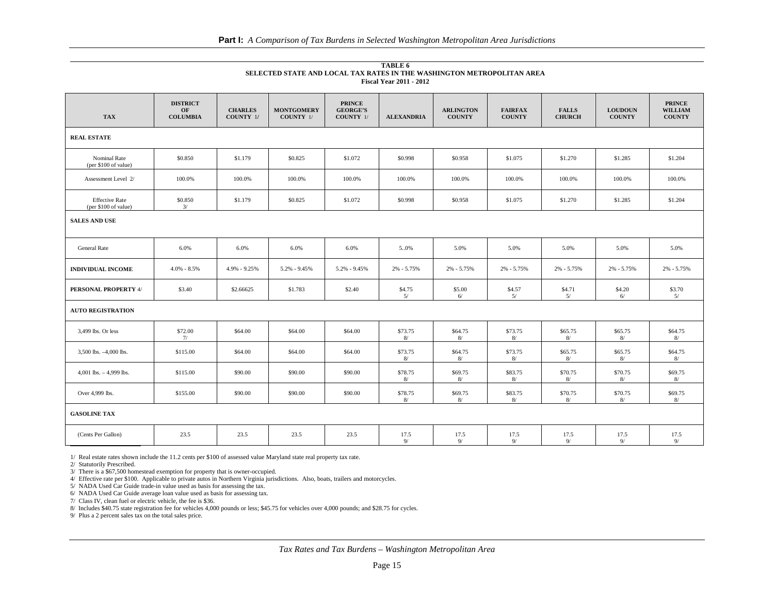**TABLE 6 SELECTED STATE AND LOCAL TAX RATES IN THE WASHINGTON METROPOLITAN AREA Fiscal Year 2011 - 2012**

| <b>TAX</b>                                    | <b>DISTRICT</b><br>OF<br><b>COLUMBIA</b> | <b>CHARLES</b><br>COUNTY 1/ | <b>MONTGOMERY</b><br>COUNTY 1/ | <b>PRINCE</b><br><b>GEORGE'S</b><br><b>COUNTY</b> 1/ | <b>ALEXANDRIA</b> | <b>ARLINGTON</b><br><b>COUNTY</b> | <b>FAIRFAX</b><br><b>COUNTY</b> | <b>FALLS</b><br><b>CHURCH</b> | <b>LOUDOUN</b><br><b>COUNTY</b> | <b>PRINCE</b><br><b>WILLIAM</b><br><b>COUNTY</b> |
|-----------------------------------------------|------------------------------------------|-----------------------------|--------------------------------|------------------------------------------------------|-------------------|-----------------------------------|---------------------------------|-------------------------------|---------------------------------|--------------------------------------------------|
| <b>REAL ESTATE</b>                            |                                          |                             |                                |                                                      |                   |                                   |                                 |                               |                                 |                                                  |
| Nominal Rate<br>(per \$100 of value)          | \$0.850                                  | \$1.179                     | \$0.825                        | \$1.072                                              | \$0.998           | \$0.958                           | \$1.075                         | \$1.270                       | \$1.285                         | \$1.204                                          |
| Assessment Level 2/                           | 100.0%                                   | 100.0%                      | 100.0%                         | 100.0%                                               | 100.0%            | 100.0%                            | 100.0%                          | 100.0%                        | 100.0%                          | 100.0%                                           |
| <b>Effective Rate</b><br>(per \$100 of value) | \$0.850<br>3/                            | \$1.179                     | \$0.825                        | \$1.072                                              | \$0.998           | \$0.958                           | \$1.075                         | \$1.270                       | \$1.285                         | \$1.204                                          |
| <b>SALES AND USE</b>                          |                                          |                             |                                |                                                      |                   |                                   |                                 |                               |                                 |                                                  |
| <b>General Rate</b>                           | 6.0%                                     | 6.0%                        | 6.0%                           | 6.0%                                                 | 50%               | 5.0%                              | 5.0%                            | 5.0%                          | 5.0%                            | 5.0%                                             |
| <b>INDIVIDUAL INCOME</b>                      | $4.0\% - 8.5\%$                          | 4.9% - 9.25%                | 5.2% - 9.45%                   | $5.2\% - 9.45\%$                                     | $2\% - 5.75\%$    | 2% - 5.75%                        | 2% - 5.75%                      | $2\% - 5.75\%$                | $2\% - 5.75\%$                  | 2% - 5.75%                                       |
| PERSONAL PROPERTY 4/                          | \$3.40                                   | \$2.66625                   | \$1.783                        | \$2.40                                               | \$4.75<br>5/      | \$5.00<br>6/                      | \$4.57<br>5/                    | \$4.71<br>5/                  | \$4.20<br>6/                    | \$3.70<br>5/                                     |
| <b>AUTO REGISTRATION</b>                      |                                          |                             |                                |                                                      |                   |                                   |                                 |                               |                                 |                                                  |
| 3,499 lbs. Or less                            | \$72.00<br>7/                            | \$64.00                     | \$64.00                        | \$64.00                                              | \$73.75<br>8/     | \$64.75<br>8/                     | \$73.75<br>8/                   | \$65.75<br>8/                 | \$65.75<br>8/                   | \$64.75<br>8/                                    |
| 3,500 lbs. -4,000 lbs.                        | \$115.00                                 | \$64.00                     | \$64.00                        | \$64.00                                              | \$73.75<br>8/     | \$64.75<br>8/                     | \$73.75<br>8/                   | \$65.75<br>8/                 | \$65.75<br>8/                   | \$64.75<br>8/                                    |
| 4,001 lbs. $-4,999$ lbs.                      | \$115.00                                 | \$90.00                     | \$90.00                        | \$90.00                                              | \$78.75<br>8/     | \$69.75<br>8/                     | \$83.75<br>8/                   | \$70.75<br>8/                 | \$70.75<br>8/                   | \$69.75<br>8/                                    |
| Over 4,999 lbs.                               | \$155.00                                 | \$90.00                     | \$90.00                        | \$90.00                                              | \$78.75<br>8/     | \$69.75<br>8/                     | \$83.75<br>8/                   | \$70.75<br>8/                 | \$70.75<br>8/                   | \$69.75<br>8/                                    |
| <b>GASOLINE TAX</b>                           |                                          |                             |                                |                                                      |                   |                                   |                                 |                               |                                 |                                                  |
| (Cents Per Gallon)                            | 23.5                                     | 23.5                        | 23.5                           | 23.5                                                 | 17.5<br>9/        | 17.5<br>9/                        | 17.5<br>9/                      | 17.5<br>9/                    | 17.5<br>9/                      | 17.5<br>9/                                       |

1/ Real estate rates shown include the 11.2 cents per \$100 of assessed value Maryland state real property tax rate.

2/ Statutorily Prescribed.

3/ There is a \$67,500 homestead exemption for property that is owner-occupied.

4/ Effective rate per \$100. Applicable to private autos in Northern Virginia jurisdictions. Also, boats, trailers and motorcycles.

5/ NADA Used Car Guide trade-in value used as basis for assessing the tax.

6/ NADA Used Car Guide average loan value used as basis for assessing tax.

7/ Class IV, clean fuel or electric vehicle, the fee is \$36.

8/ Includes \$40.75 state registration fee for vehicles 4,000 pounds or less; \$45.75 for vehicles over 4,000 pounds; and \$28.75 for cycles.

9/ Plus a 2 percent sales tax on the total sales price.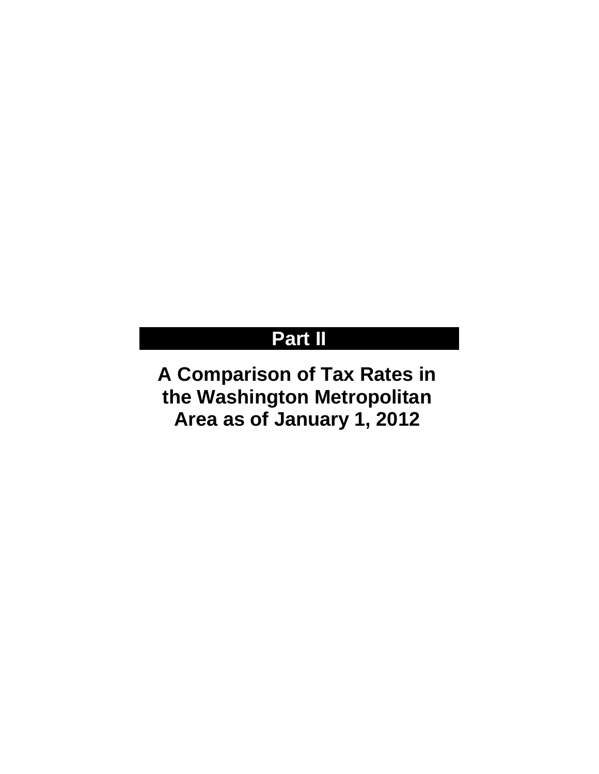## **Part II**

**A Comparison of Tax Rates in the Washington Metropolitan Area as of January 1, 2012**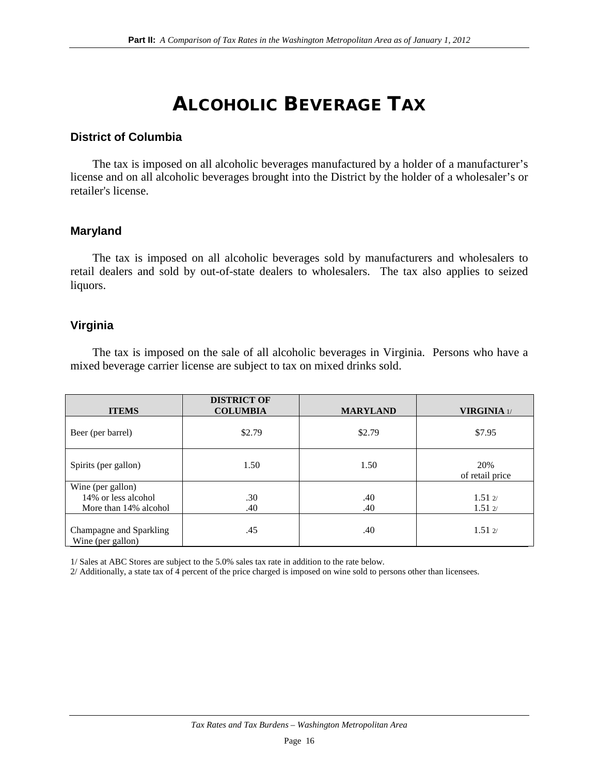## ALCOHOLIC BEVERAGE TAX

### **District of Columbia**

The tax is imposed on all alcoholic beverages manufactured by a holder of a manufacturer's license and on all alcoholic beverages brought into the District by the holder of a wholesaler's or retailer's license.

### **Maryland**

The tax is imposed on all alcoholic beverages sold by manufacturers and wholesalers to retail dealers and sold by out-of-state dealers to wholesalers. The tax also applies to seized liquors.

#### **Virginia**

The tax is imposed on the sale of all alcoholic beverages in Virginia. Persons who have a mixed beverage carrier license are subject to tax on mixed drinks sold.

| <b>ITEMS</b>                                                      | <b>DISTRICT OF</b><br><b>COLUMBIA</b> | <b>MARYLAND</b> | <b>VIRGINIA</b> 1/                       |
|-------------------------------------------------------------------|---------------------------------------|-----------------|------------------------------------------|
| Beer (per barrel)                                                 | \$2.79                                | \$2.79          | \$7.95                                   |
| Spirits (per gallon)                                              | 1.50                                  | 1.50            | 20%<br>of retail price                   |
| Wine (per gallon)<br>14% or less alcohol<br>More than 14% alcohol | .30<br>.40                            | .40<br>.40      | $1.51 \frac{2}{3}$<br>$1.51 \frac{2}{2}$ |
| Champagne and Sparkling<br>Wine (per gallon)                      | .45                                   | .40             | $1.51 \frac{2}{3}$                       |

1/ Sales at ABC Stores are subject to the 5.0% sales tax rate in addition to the rate below.

2/ Additionally, a state tax of 4 percent of the price charged is imposed on wine sold to persons other than licensees.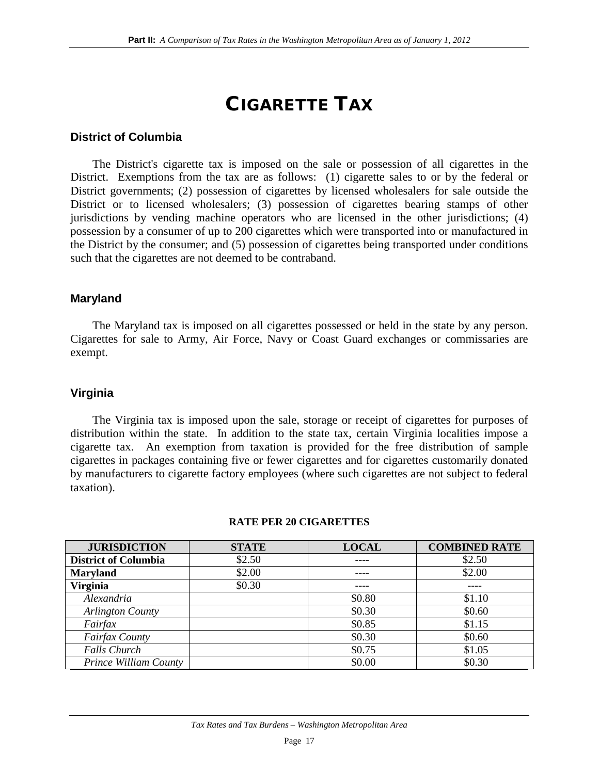## CIGARETTE TAX

### **District of Columbia**

The District's cigarette tax is imposed on the sale or possession of all cigarettes in the District. Exemptions from the tax are as follows: (1) cigarette sales to or by the federal or District governments; (2) possession of cigarettes by licensed wholesalers for sale outside the District or to licensed wholesalers; (3) possession of cigarettes bearing stamps of other jurisdictions by vending machine operators who are licensed in the other jurisdictions; (4) possession by a consumer of up to 200 cigarettes which were transported into or manufactured in the District by the consumer; and (5) possession of cigarettes being transported under conditions such that the cigarettes are not deemed to be contraband.

### **Maryland**

The Maryland tax is imposed on all cigarettes possessed or held in the state by any person. Cigarettes for sale to Army, Air Force, Navy or Coast Guard exchanges or commissaries are exempt.

### **Virginia**

The Virginia tax is imposed upon the sale, storage or receipt of cigarettes for purposes of distribution within the state. In addition to the state tax, certain Virginia localities impose a cigarette tax. An exemption from taxation is provided for the free distribution of sample cigarettes in packages containing five or fewer cigarettes and for cigarettes customarily donated by manufacturers to cigarette factory employees (where such cigarettes are not subject to federal taxation).

| <b>JURISDICTION</b>         | <b>STATE</b> | <b>LOCAL</b> | <b>COMBINED RATE</b> |
|-----------------------------|--------------|--------------|----------------------|
| <b>District of Columbia</b> | \$2.50       |              | \$2.50               |
| <b>Maryland</b>             | \$2.00       |              | \$2.00               |
| <b>Virginia</b>             | \$0.30       |              |                      |
| Alexandria                  |              | \$0.80       | \$1.10               |
| Arlington County            |              | \$0.30       | \$0.60               |
| Fairfax                     |              | \$0.85       | \$1.15               |
| Fairfax County              |              | \$0.30       | \$0.60               |
| <b>Falls Church</b>         |              | \$0.75       | \$1.05               |
| Prince William County       |              | \$0.00       | \$0.30               |

#### **RATE PER 20 CIGARETTES**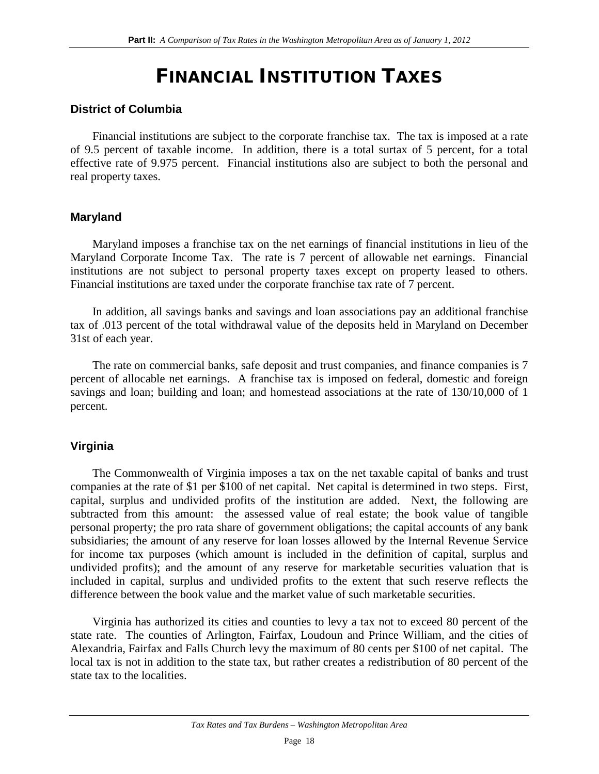## FINANCIAL INSTITUTION TAXES

#### **District of Columbia**

Financial institutions are subject to the corporate franchise tax. The tax is imposed at a rate of 9.5 percent of taxable income. In addition, there is a total surtax of 5 percent, for a total effective rate of 9.975 percent. Financial institutions also are subject to both the personal and real property taxes.

### **Maryland**

Maryland imposes a franchise tax on the net earnings of financial institutions in lieu of the Maryland Corporate Income Tax. The rate is 7 percent of allowable net earnings. Financial institutions are not subject to personal property taxes except on property leased to others. Financial institutions are taxed under the corporate franchise tax rate of 7 percent.

In addition, all savings banks and savings and loan associations pay an additional franchise tax of .013 percent of the total withdrawal value of the deposits held in Maryland on December 31st of each year.

The rate on commercial banks, safe deposit and trust companies, and finance companies is 7 percent of allocable net earnings. A franchise tax is imposed on federal, domestic and foreign savings and loan; building and loan; and homestead associations at the rate of  $130/10,000$  of 1 percent.

### **Virginia**

The Commonwealth of Virginia imposes a tax on the net taxable capital of banks and trust companies at the rate of \$1 per \$100 of net capital. Net capital is determined in two steps. First, capital, surplus and undivided profits of the institution are added. Next, the following are subtracted from this amount: the assessed value of real estate; the book value of tangible personal property; the pro rata share of government obligations; the capital accounts of any bank subsidiaries; the amount of any reserve for loan losses allowed by the Internal Revenue Service for income tax purposes (which amount is included in the definition of capital, surplus and undivided profits); and the amount of any reserve for marketable securities valuation that is included in capital, surplus and undivided profits to the extent that such reserve reflects the difference between the book value and the market value of such marketable securities.

Virginia has authorized its cities and counties to levy a tax not to exceed 80 percent of the state rate. The counties of Arlington, Fairfax, Loudoun and Prince William, and the cities of Alexandria, Fairfax and Falls Church levy the maximum of 80 cents per \$100 of net capital. The local tax is not in addition to the state tax, but rather creates a redistribution of 80 percent of the state tax to the localities.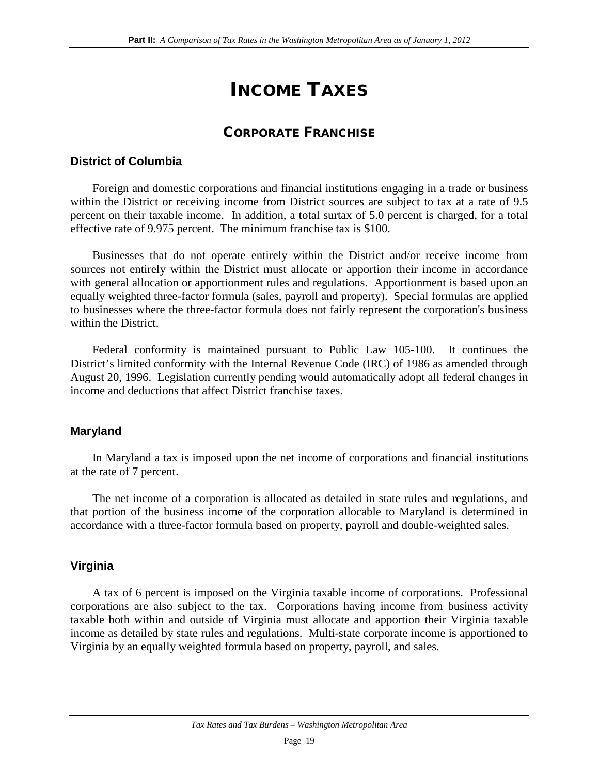## INCOME TAXES

## CORPORATE FRANCHISE

### **District of Columbia**

Foreign and domestic corporations and financial institutions engaging in a trade or business within the District or receiving income from District sources are subject to tax at a rate of 9.5 percent on their taxable income. In addition, a total surtax of 5.0 percent is charged, for a total effective rate of 9.975 percent. The minimum franchise tax is \$100.

Businesses that do not operate entirely within the District and/or receive income from sources not entirely within the District must allocate or apportion their income in accordance with general allocation or apportionment rules and regulations. Apportionment is based upon an equally weighted three-factor formula (sales, payroll and property). Special formulas are applied to businesses where the three-factor formula does not fairly represent the corporation's business within the District.

Federal conformity is maintained pursuant to Public Law 105-100. It continues the District's limited conformity with the Internal Revenue Code (IRC) of 1986 as amended through August 20, 1996. Legislation currently pending would automatically adopt all federal changes in income and deductions that affect District franchise taxes.

### **Maryland**

In Maryland a tax is imposed upon the net income of corporations and financial institutions at the rate of 7 percent.

The net income of a corporation is allocated as detailed in state rules and regulations, and that portion of the business income of the corporation allocable to Maryland is determined in accordance with a three-factor formula based on property, payroll and double-weighted sales.

### **Virginia**

A tax of 6 percent is imposed on the Virginia taxable income of corporations. Professional corporations are also subject to the tax. Corporations having income from business activity taxable both within and outside of Virginia must allocate and apportion their Virginia taxable income as detailed by state rules and regulations. Multi-state corporate income is apportioned to Virginia by an equally weighted formula based on property, payroll, and sales.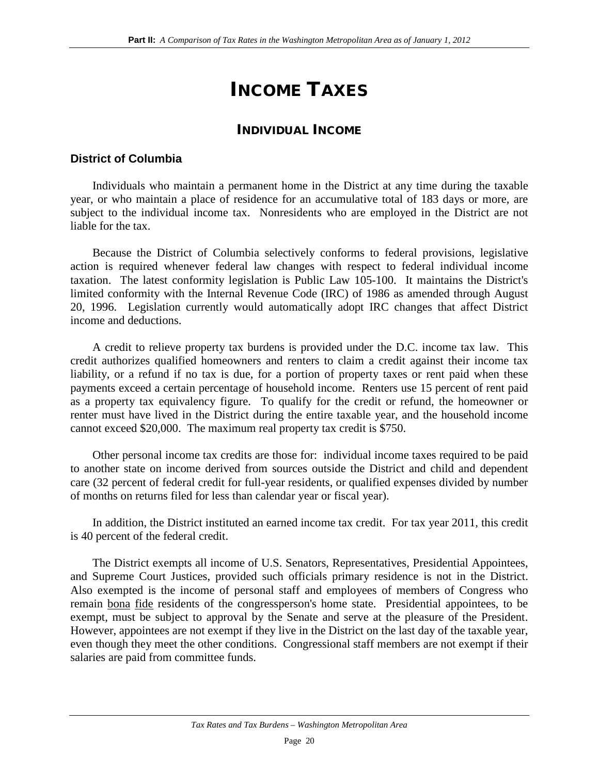## INCOME TAXES

### INDIVIDUAL INCOME

### **District of Columbia**

Individuals who maintain a permanent home in the District at any time during the taxable year, or who maintain a place of residence for an accumulative total of 183 days or more, are subject to the individual income tax. Nonresidents who are employed in the District are not liable for the tax.

Because the District of Columbia selectively conforms to federal provisions, legislative action is required whenever federal law changes with respect to federal individual income taxation. The latest conformity legislation is Public Law 105-100. It maintains the District's limited conformity with the Internal Revenue Code (IRC) of 1986 as amended through August 20, 1996. Legislation currently would automatically adopt IRC changes that affect District income and deductions.

A credit to relieve property tax burdens is provided under the D.C. income tax law. This credit authorizes qualified homeowners and renters to claim a credit against their income tax liability, or a refund if no tax is due, for a portion of property taxes or rent paid when these payments exceed a certain percentage of household income. Renters use 15 percent of rent paid as a property tax equivalency figure. To qualify for the credit or refund, the homeowner or renter must have lived in the District during the entire taxable year, and the household income cannot exceed \$20,000. The maximum real property tax credit is \$750.

Other personal income tax credits are those for: individual income taxes required to be paid to another state on income derived from sources outside the District and child and dependent care (32 percent of federal credit for full-year residents, or qualified expenses divided by number of months on returns filed for less than calendar year or fiscal year).

In addition, the District instituted an earned income tax credit. For tax year 2011, this credit is 40 percent of the federal credit.

The District exempts all income of U.S. Senators, Representatives, Presidential Appointees, and Supreme Court Justices, provided such officials primary residence is not in the District. Also exempted is the income of personal staff and employees of members of Congress who remain bona fide residents of the congressperson's home state. Presidential appointees, to be exempt, must be subject to approval by the Senate and serve at the pleasure of the President. However, appointees are not exempt if they live in the District on the last day of the taxable year, even though they meet the other conditions. Congressional staff members are not exempt if their salaries are paid from committee funds.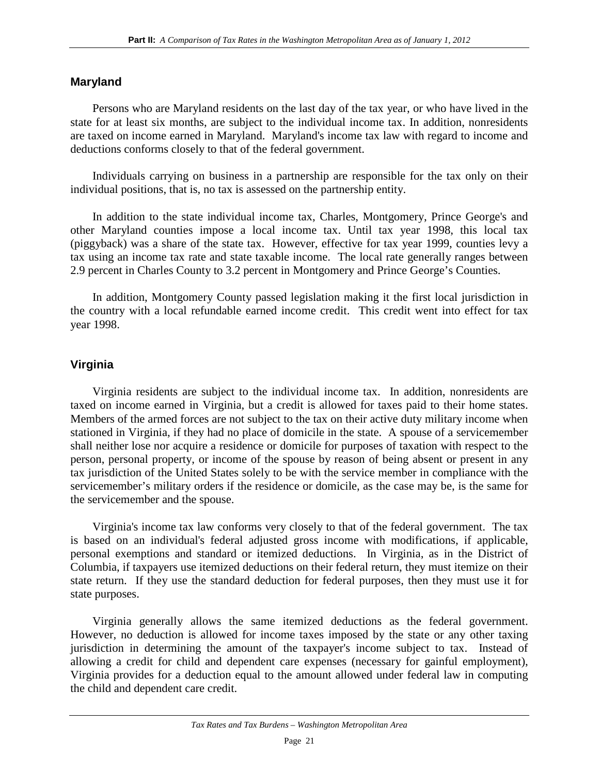### **Maryland**

Persons who are Maryland residents on the last day of the tax year, or who have lived in the state for at least six months, are subject to the individual income tax. In addition, nonresidents are taxed on income earned in Maryland. Maryland's income tax law with regard to income and deductions conforms closely to that of the federal government.

Individuals carrying on business in a partnership are responsible for the tax only on their individual positions, that is, no tax is assessed on the partnership entity.

In addition to the state individual income tax, Charles, Montgomery, Prince George's and other Maryland counties impose a local income tax. Until tax year 1998, this local tax (piggyback) was a share of the state tax. However, effective for tax year 1999, counties levy a tax using an income tax rate and state taxable income. The local rate generally ranges between 2.9 percent in Charles County to 3.2 percent in Montgomery and Prince George's Counties.

In addition, Montgomery County passed legislation making it the first local jurisdiction in the country with a local refundable earned income credit. This credit went into effect for tax year 1998.

### **Virginia**

Virginia residents are subject to the individual income tax. In addition, nonresidents are taxed on income earned in Virginia, but a credit is allowed for taxes paid to their home states. Members of the armed forces are not subject to the tax on their active duty military income when stationed in Virginia, if they had no place of domicile in the state. A spouse of a servicemember shall neither lose nor acquire a residence or domicile for purposes of taxation with respect to the person, personal property, or income of the spouse by reason of being absent or present in any tax jurisdiction of the United States solely to be with the service member in compliance with the servicemember's military orders if the residence or domicile, as the case may be, is the same for the servicemember and the spouse.

Virginia's income tax law conforms very closely to that of the federal government. The tax is based on an individual's federal adjusted gross income with modifications, if applicable, personal exemptions and standard or itemized deductions. In Virginia, as in the District of Columbia, if taxpayers use itemized deductions on their federal return, they must itemize on their state return. If they use the standard deduction for federal purposes, then they must use it for state purposes.

Virginia generally allows the same itemized deductions as the federal government. However, no deduction is allowed for income taxes imposed by the state or any other taxing jurisdiction in determining the amount of the taxpayer's income subject to tax. Instead of allowing a credit for child and dependent care expenses (necessary for gainful employment), Virginia provides for a deduction equal to the amount allowed under federal law in computing the child and dependent care credit.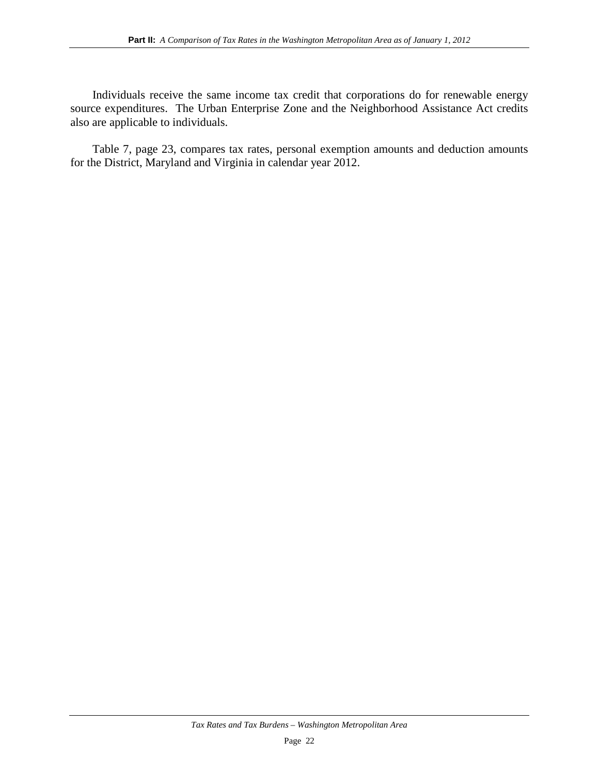Individuals receive the same income tax credit that corporations do for renewable energy source expenditures. The Urban Enterprise Zone and the Neighborhood Assistance Act credits also are applicable to individuals.

Table 7, page 23, compares tax rates, personal exemption amounts and deduction amounts for the District, Maryland and Virginia in calendar year 2012.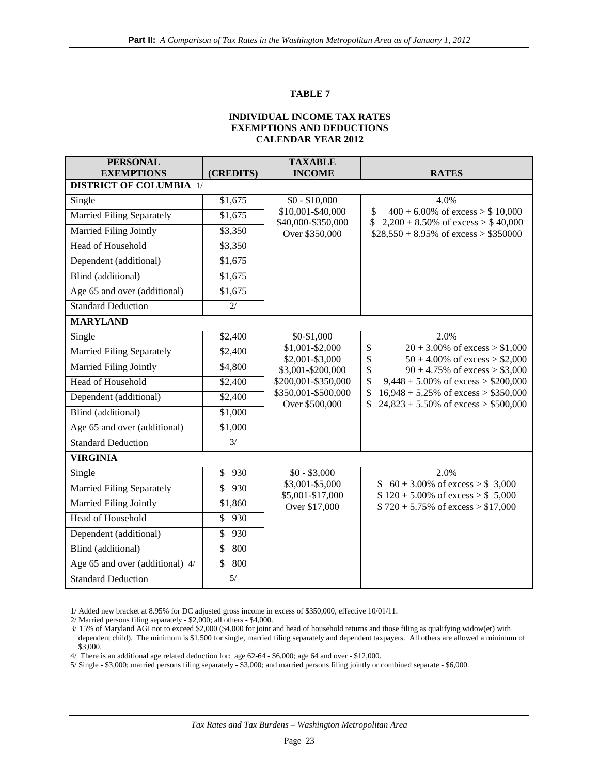#### **TABLE 7**

#### **INDIVIDUAL INCOME TAX RATES EXEMPTIONS AND DEDUCTIONS CALENDAR YEAR 2012**

| <b>PERSONAL</b><br><b>EXEMPTIONS</b> | (CREDITS)                       | <b>TAXABLE</b><br><b>INCOME</b>         | <b>RATES</b>                                                                                   |
|--------------------------------------|---------------------------------|-----------------------------------------|------------------------------------------------------------------------------------------------|
| <b>DISTRICT OF COLUMBIA 1/</b>       |                                 |                                         |                                                                                                |
| Single                               | \$1,675                         | $$0 - $10,000$                          | 4.0%                                                                                           |
| <b>Married Filing Separately</b>     | \$1,675                         | \$10,001-\$40,000<br>\$40,000-\$350,000 | $400 + 6.00\%$ of excess $> $10,000$<br>\$<br>$2,200 + 8.50\%$ of excess $> $40,000$<br>\$     |
| Married Filing Jointly               | \$3,350                         | Over \$350,000                          | $$28,550 + 8.95\%$ of excess > \$350000                                                        |
| <b>Head of Household</b>             | \$3,350                         |                                         |                                                                                                |
| Dependent (additional)               | \$1,675                         |                                         |                                                                                                |
| Blind (additional)                   | \$1,675                         |                                         |                                                                                                |
| Age 65 and over (additional)         | \$1,675                         |                                         |                                                                                                |
| <b>Standard Deduction</b>            | $\overline{2/}$                 |                                         |                                                                                                |
| <b>MARYLAND</b>                      |                                 |                                         |                                                                                                |
| Single                               | \$2,400                         | \$0-\$1,000                             | 2.0%                                                                                           |
| <b>Married Filing Separately</b>     | \$2,400                         | \$1,001-\$2,000<br>\$2,001-\$3,000      | $20 + 3.00\%$ of excess $> $1,000$<br>\$<br>\$<br>$50 + 4.00\%$ of excess $> $2,000$           |
| Married Filing Jointly               | \$4,800                         | \$3,001-\$200,000                       | \$<br>$90 + 4.75\%$ of excess > \$3,000                                                        |
| Head of Household                    | \$2,400                         | \$200,001-\$350,000                     | $\$$<br>$9,448 + 5.00\%$ of excess > \$200,000                                                 |
| Dependent (additional)               | \$2,400                         | \$350,001-\$500,000<br>Over \$500,000   | \$<br>$16,948 + 5.25\%$ of excess > \$350,000<br>\$<br>$24,823 + 5.50\%$ of excess > \$500,000 |
| Blind (additional)                   | \$1,000                         |                                         |                                                                                                |
| Age 65 and over (additional)         | \$1,000                         |                                         |                                                                                                |
| <b>Standard Deduction</b>            | 3/                              |                                         |                                                                                                |
| <b>VIRGINIA</b>                      |                                 |                                         |                                                                                                |
| Single                               | $\mathbb{S}$<br>930             | $$0 - $3,000$                           | 2.0%                                                                                           |
| <b>Married Filing Separately</b>     | $\mathbb{S}$<br>930             | \$3,001-\$5,000<br>\$5,001-\$17,000     | \$ $60 + 3.00\%$ of excess > \$ 3,000<br>$$120 + 5.00\% \text{ of excess} > $5,000$            |
| Married Filing Jointly               | \$1,860                         | Over \$17,000                           | $$720 + 5.75\%$ of excess $> $17,000$                                                          |
| Head of Household                    | $\overline{\mathcal{S}}$<br>930 |                                         |                                                                                                |
| Dependent (additional)               | \$<br>930                       |                                         |                                                                                                |
| Blind (additional)                   | $\mathbb{S}$<br>800             |                                         |                                                                                                |
| Age 65 and over (additional) 4/      | \$<br>800                       |                                         |                                                                                                |
| <b>Standard Deduction</b>            | 5/                              |                                         |                                                                                                |

1/ Added new bracket at 8.95% for DC adjusted gross income in excess of \$350,000, effective 10/01/11.

2/ Married persons filing separately - \$2,000; all others - \$4,000.

4/ There is an additional age related deduction for: age 62-64 - \$6,000; age 64 and over - \$12,000.

5/ Single - \$3,000; married persons filing separately - \$3,000; and married persons filing jointly or combined separate - \$6,000.

<sup>3/</sup> 15% of Maryland AGI not to exceed \$2,000 (\$4,000 for joint and head of household returns and those filing as qualifying widow(er) with dependent child). The minimum is \$1,500 for single, married filing separately and dependent taxpayers. All others are allowed a minimum of \$3,000.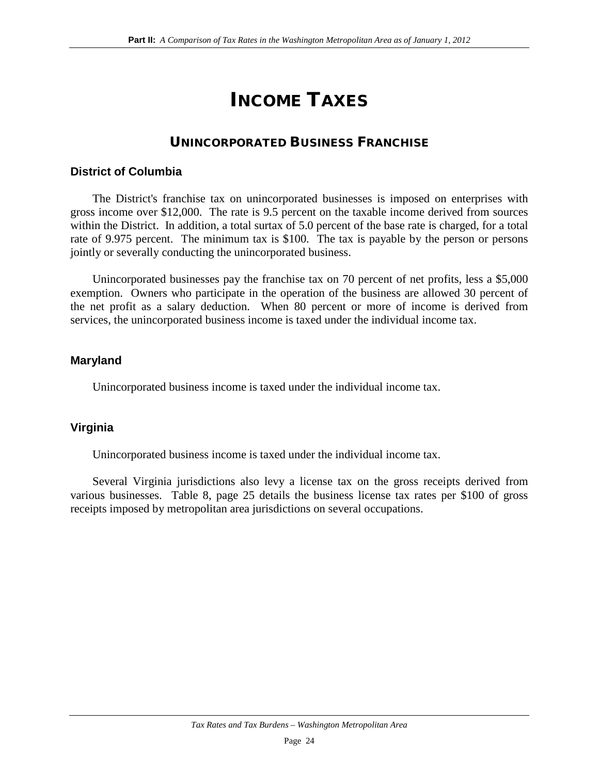## INCOME TAXES

## UNINCORPORATED BUSINESS FRANCHISE

### **District of Columbia**

The District's franchise tax on unincorporated businesses is imposed on enterprises with gross income over \$12,000. The rate is 9.5 percent on the taxable income derived from sources within the District. In addition, a total surtax of 5.0 percent of the base rate is charged, for a total rate of 9.975 percent. The minimum tax is \$100. The tax is payable by the person or persons jointly or severally conducting the unincorporated business.

Unincorporated businesses pay the franchise tax on 70 percent of net profits, less a \$5,000 exemption. Owners who participate in the operation of the business are allowed 30 percent of the net profit as a salary deduction. When 80 percent or more of income is derived from services, the unincorporated business income is taxed under the individual income tax.

### **Maryland**

Unincorporated business income is taxed under the individual income tax.

## **Virginia**

Unincorporated business income is taxed under the individual income tax.

Several Virginia jurisdictions also levy a license tax on the gross receipts derived from various businesses. Table 8, page 25 details the business license tax rates per \$100 of gross receipts imposed by metropolitan area jurisdictions on several occupations.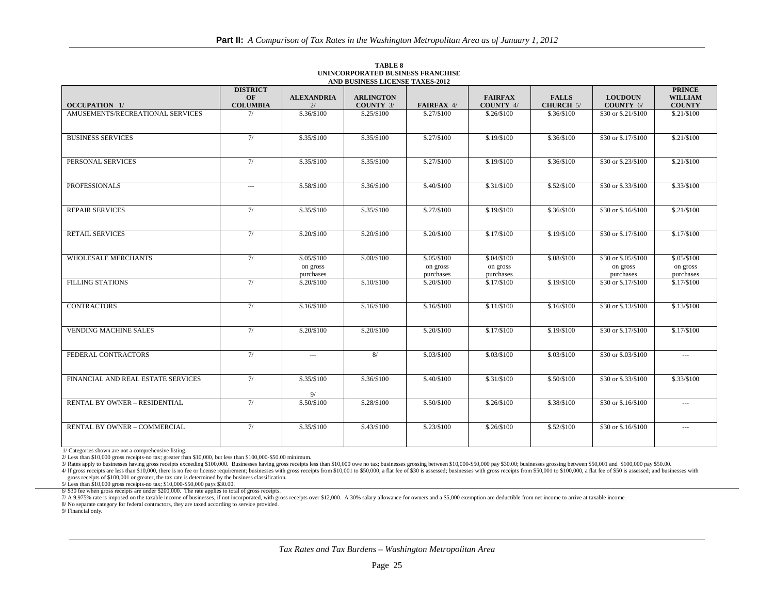|                                      | <b>DISTRICT</b><br>OF                    | <b>ALEXANDRIA</b>        | <b>ARLINGTON</b> |                          | <b>FAIRFAX</b>          | <b>FALLS</b> | <b>LOUDOUN</b>                   | <b>PRINCE</b><br><b>WILLIAM</b> |
|--------------------------------------|------------------------------------------|--------------------------|------------------|--------------------------|-------------------------|--------------|----------------------------------|---------------------------------|
| <b>OCCUPATION</b> 1/                 | <b>COLUMBIA</b>                          | 2/                       | <b>COUNTY 3/</b> | FAIRFAX 4/               | COUNTY 4/               | CHURCH 5/    | COUNTY 6/                        | <b>COUNTY</b>                   |
| AMUSEMENTS/RECREATIONAL SERVICES     | 7/                                       | \$.36/\$100              | \$.25/\$100      | \$.27/\$100              | \$.26/\$100             | \$.36/\$100  | \$30 or \$.21/\$100              | \$.21/\$100                     |
|                                      |                                          |                          |                  |                          |                         |              |                                  |                                 |
| <b>BUSINESS SERVICES</b>             | 7/                                       | \$.35/\$100              | \$.35/\$100      | \$.27/\$100              | \$.19/\$100             | \$.36/\$100  | \$30 or \$.17/\$100              | \$.21/\$100                     |
|                                      |                                          |                          |                  |                          |                         |              |                                  |                                 |
| PERSONAL SERVICES                    | 7/                                       | \$.35/\$100              | \$.35/\$100      | \$.27/\$100              | \$.19/\$100             | \$.36/\$100  | \$30 or \$.23/\$100              | \$.21/\$100                     |
|                                      |                                          |                          |                  |                          |                         |              |                                  |                                 |
| <b>PROFESSIONALS</b>                 | $\hspace{0.05cm} \ldots \hspace{0.05cm}$ | \$.58/\$100              | \$.36/\$100      | \$.40/\$100              | \$.31/S100              | \$.52/\$100  | \$30 or \$.33/\$100              | \$.33/\$100                     |
|                                      |                                          |                          |                  |                          |                         |              |                                  |                                 |
| <b>REPAIR SERVICES</b>               | 7/                                       | \$.35/\$100              | \$.35/\$100      | \$.27/\$100              | \$.19/\$100             | \$.36/\$100  | \$30 or \$.16/\$100              | \$.21/\$100                     |
|                                      |                                          |                          |                  |                          |                         |              |                                  |                                 |
| <b>RETAIL SERVICES</b>               | 7/                                       | \$.20/\$100              | \$.20/\$100      | \$.20/\$100              | \$.17/S100              | \$.19/\$100  | \$30 or \$.17/\$100              | \$.17/S100                      |
|                                      |                                          |                          |                  |                          |                         |              |                                  |                                 |
| <b>WHOLESALE MERCHANTS</b>           | 7/                                       | \$.05/S100               | \$.08/\$100      | \$.05/\$100              | \$,04/\$100             | \$.08/\$100  | \$30 or \$.05/\$100              | \$.05/\$100                     |
|                                      |                                          | on gross                 |                  | on gross                 | on gross                |              | on gross                         | on gross                        |
| <b>FILLING STATIONS</b>              | 7/                                       | purchases<br>\$.20/\$100 | \$.10/\$100      | purchases<br>\$.20/\$100 | purchases<br>\$.17/S100 | \$.19/\$100  | purchases<br>\$30 or \$.17/\$100 | purchases<br>\$.17/\$100        |
|                                      |                                          |                          |                  |                          |                         |              |                                  |                                 |
|                                      |                                          |                          |                  |                          |                         |              |                                  |                                 |
| <b>CONTRACTORS</b>                   | 7/                                       | \$.16/\$100              | \$.16/\$100      | \$.16/\$100              | \$.11/\$100             | \$.16/\$100  | \$30 or \$.13/\$100              | \$.13/\$100                     |
|                                      |                                          |                          |                  |                          |                         |              |                                  |                                 |
| <b>VENDING MACHINE SALES</b>         | 7/                                       | \$.20/\$100              | \$.20/\$100      | \$.20/\$100              | \$.17/\$100             | \$.19/\$100  | \$30 or \$.17/\$100              | \$.17/\$100                     |
|                                      |                                          |                          |                  |                          |                         |              |                                  |                                 |
| FEDERAL CONTRACTORS                  | 7/                                       | $\overline{a}$           | 8/               | \$.03/\$100              | \$.03/\$100             | \$.03/\$100  | \$30 or \$.03/\$100              | $\ldots$                        |
|                                      |                                          |                          |                  |                          |                         |              |                                  |                                 |
| FINANCIAL AND REAL ESTATE SERVICES   | 7/                                       | \$.35/\$100              | \$.36/\$100      | \$.40/\$100              | \$.31/\$100             | \$.50/\$100  | \$30 or \$.33/\$100              | \$.33/\$100                     |
|                                      |                                          | 9/                       |                  |                          |                         |              |                                  |                                 |
| <b>RENTAL BY OWNER - RESIDENTIAL</b> | 7/                                       | \$.50/\$100              | \$.28/\$100      | \$.50/\$100              | \$.26/\$100             | \$.38/\$100  | \$30 or \$.16/\$100              | $\cdots$                        |
|                                      |                                          |                          |                  |                          |                         |              |                                  |                                 |
| RENTAL BY OWNER - COMMERCIAL         | 7/                                       | \$.35/S100               | \$.43/\$100      | \$.23/\$100              | \$.26/\$100             | \$.52/\$100  | \$30 or \$.16/\$100              | $---$                           |
|                                      |                                          |                          |                  |                          |                         |              |                                  |                                 |

**TABLE 8 UNINCORPORATED BUSINESS FRANCHISE AND BUSINESS LICENSE TAXES-2012**

1/ Categories shown are not a comprehensive listing.

2/ Less than \$10,000 gross receipts-no tax; greater than \$10,000, but less than \$100,000-\$50.00 minimum.

2/ Rates apply to businesses having gross receipts exceeding \$100,000. Businesses having gross receipts less than \$10,000 owe no tax; businesses grossing between \$10,000-\$50,000 pay \$30.00; businesses grossing between \$50,

4/ If gross receipts are less than \$10,000, there is no fee or license requirement; businesses with gross receipts from \$10,001 to \$50,000, a flat fee of \$50 is assessed; businesses with gross receipts from \$50,000, a flat gross receipts of \$100,001 or greater, the tax rate is determined by the business classification.

5/ Less than \$10,000 gross receipts-no tax; \$10,000-\$50,000 pays \$30.00.

6/ \$30 fee when gross receipts are under \$200,000. The rate applies to total of gross receipts.

7/ A 9.975% rate is imposed on the taxable income of businesses, if not incorporated, with gross receipts over \$12,000. A 30% salary allowance for owners and a \$5,000 exemption are deductible from net income to arrive at t

8/ No separate category for federal contractors, they are taxed according to service provided.

9/ Financial only.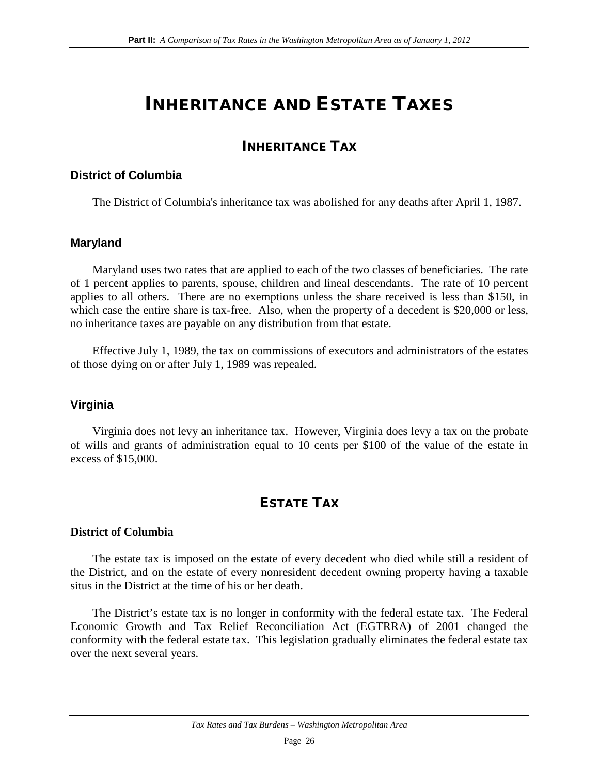## INHERITANCE AND ESTATE TAXES

## INHERITANCE TAX

#### **District of Columbia**

The District of Columbia's inheritance tax was abolished for any deaths after April 1, 1987.

#### **Maryland**

Maryland uses two rates that are applied to each of the two classes of beneficiaries. The rate of 1 percent applies to parents, spouse, children and lineal descendants. The rate of 10 percent applies to all others. There are no exemptions unless the share received is less than \$150, in which case the entire share is tax-free. Also, when the property of a decedent is \$20,000 or less, no inheritance taxes are payable on any distribution from that estate.

Effective July 1, 1989, the tax on commissions of executors and administrators of the estates of those dying on or after July 1, 1989 was repealed.

### **Virginia**

Virginia does not levy an inheritance tax. However, Virginia does levy a tax on the probate of wills and grants of administration equal to 10 cents per \$100 of the value of the estate in excess of \$15,000.

## ESTATE TAX

#### **District of Columbia**

The estate tax is imposed on the estate of every decedent who died while still a resident of the District, and on the estate of every nonresident decedent owning property having a taxable situs in the District at the time of his or her death.

The District's estate tax is no longer in conformity with the federal estate tax. The Federal Economic Growth and Tax Relief Reconciliation Act (EGTRRA) of 2001 changed the conformity with the federal estate tax. This legislation gradually eliminates the federal estate tax over the next several years.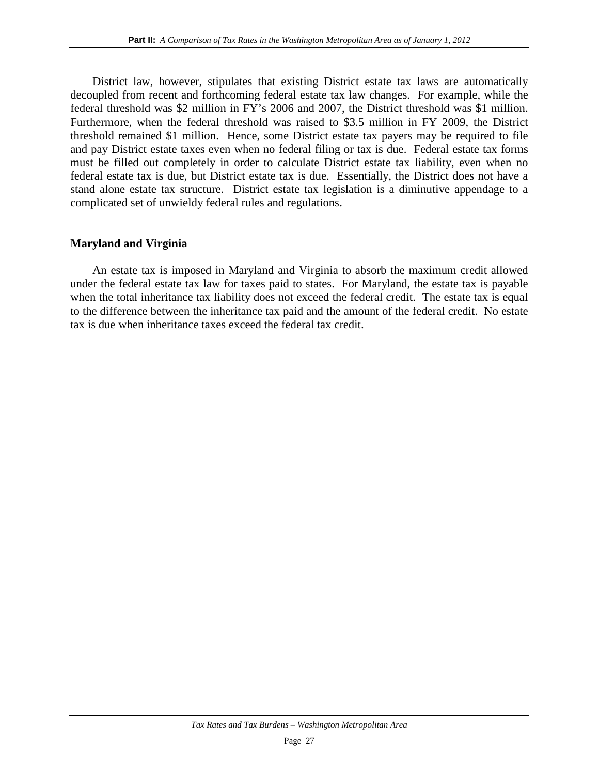District law, however, stipulates that existing District estate tax laws are automatically decoupled from recent and forthcoming federal estate tax law changes. For example, while the federal threshold was \$2 million in FY's 2006 and 2007, the District threshold was \$1 million. Furthermore, when the federal threshold was raised to \$3.5 million in FY 2009, the District threshold remained \$1 million. Hence, some District estate tax payers may be required to file and pay District estate taxes even when no federal filing or tax is due. Federal estate tax forms must be filled out completely in order to calculate District estate tax liability, even when no federal estate tax is due, but District estate tax is due. Essentially, the District does not have a stand alone estate tax structure. District estate tax legislation is a diminutive appendage to a complicated set of unwieldy federal rules and regulations.

#### **Maryland and Virginia**

An estate tax is imposed in Maryland and Virginia to absorb the maximum credit allowed under the federal estate tax law for taxes paid to states. For Maryland, the estate tax is payable when the total inheritance tax liability does not exceed the federal credit. The estate tax is equal to the difference between the inheritance tax paid and the amount of the federal credit. No estate tax is due when inheritance taxes exceed the federal tax credit.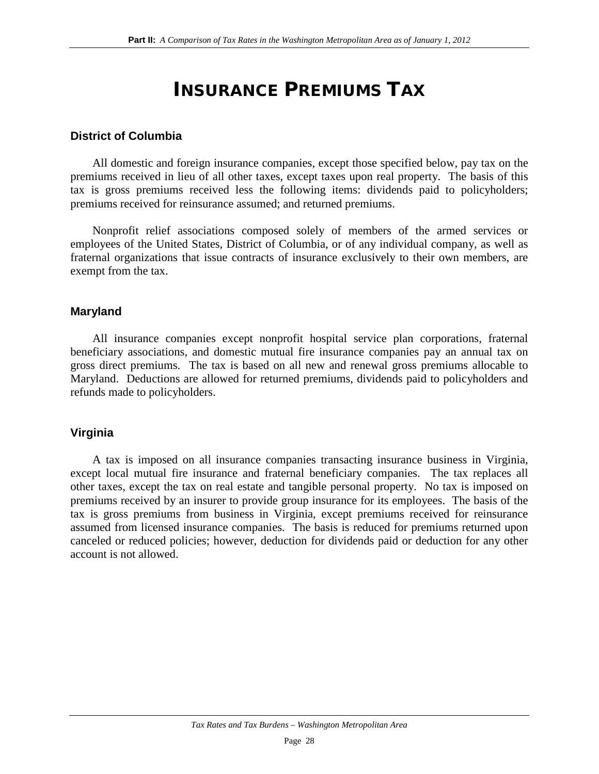## INSURANCE PREMIUMS TAX

### **District of Columbia**

All domestic and foreign insurance companies, except those specified below, pay tax on the premiums received in lieu of all other taxes, except taxes upon real property. The basis of this tax is gross premiums received less the following items: dividends paid to policyholders; premiums received for reinsurance assumed; and returned premiums.

Nonprofit relief associations composed solely of members of the armed services or employees of the United States, District of Columbia, or of any individual company, as well as fraternal organizations that issue contracts of insurance exclusively to their own members, are exempt from the tax.

### **Maryland**

All insurance companies except nonprofit hospital service plan corporations, fraternal beneficiary associations, and domestic mutual fire insurance companies pay an annual tax on gross direct premiums. The tax is based on all new and renewal gross premiums allocable to Maryland. Deductions are allowed for returned premiums, dividends paid to policyholders and refunds made to policyholders.

### **Virginia**

A tax is imposed on all insurance companies transacting insurance business in Virginia, except local mutual fire insurance and fraternal beneficiary companies. The tax replaces all other taxes, except the tax on real estate and tangible personal property. No tax is imposed on premiums received by an insurer to provide group insurance for its employees. The basis of the tax is gross premiums from business in Virginia, except premiums received for reinsurance assumed from licensed insurance companies. The basis is reduced for premiums returned upon canceled or reduced policies; however, deduction for dividends paid or deduction for any other account is not allowed.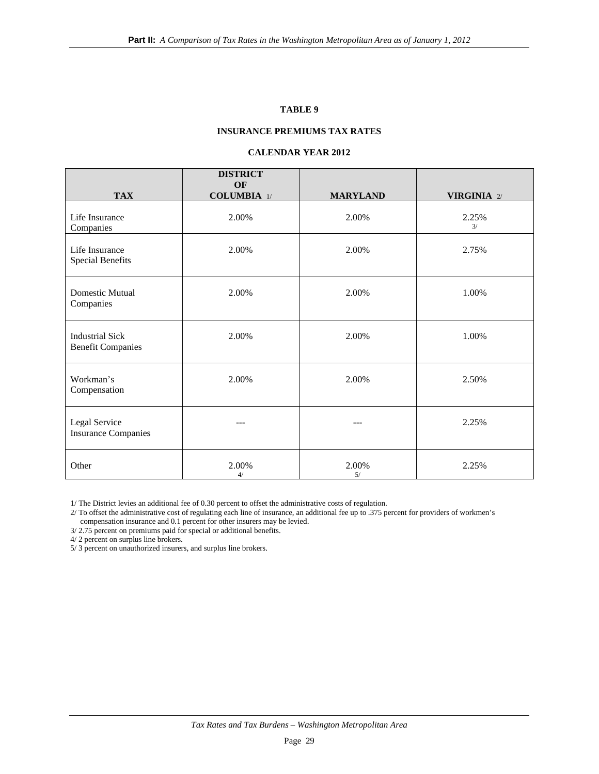#### **TABLE 9**

#### **INSURANCE PREMIUMS TAX RATES**

#### **CALENDAR YEAR 2012**

|                                                    | <b>DISTRICT</b><br>OF |                 |                    |
|----------------------------------------------------|-----------------------|-----------------|--------------------|
| <b>TAX</b>                                         | $COLUMBIA$ 1/         | <b>MARYLAND</b> | <b>VIRGINIA</b> 2/ |
| Life Insurance<br>Companies                        | 2.00%                 | 2.00%           | 2.25%<br>3/        |
| Life Insurance<br><b>Special Benefits</b>          | 2.00%                 | 2.00%           | 2.75%              |
| <b>Domestic Mutual</b><br>Companies                | 2.00%                 | 2.00%           | 1.00%              |
| <b>Industrial Sick</b><br><b>Benefit Companies</b> | 2.00%                 | 2.00%           | 1.00%              |
| Workman's<br>Compensation                          | 2.00%                 | 2.00%           | 2.50%              |
| Legal Service<br><b>Insurance Companies</b>        | ---                   | ---             | 2.25%              |
| Other                                              | 2.00%<br>4/           | 2.00%<br>5/     | 2.25%              |

1/ The District levies an additional fee of 0.30 percent to offset the administrative costs of regulation.

2/ To offset the administrative cost of regulating each line of insurance, an additional fee up to .375 percent for providers of workmen's compensation insurance and 0.1 percent for other insurers may be levied.

3/ 2.75 percent on premiums paid for special or additional benefits.

4/ 2 percent on surplus line brokers.

5/ 3 percent on unauthorized insurers, and surplus line brokers.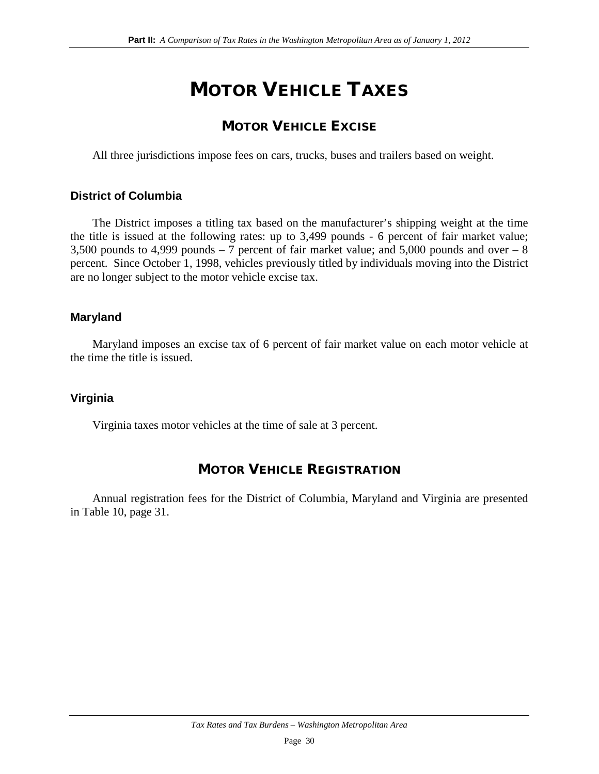## MOTOR VEHICLE TAXES

## MOTOR VEHICLE EXCISE

All three jurisdictions impose fees on cars, trucks, buses and trailers based on weight.

## **District of Columbia**

The District imposes a titling tax based on the manufacturer's shipping weight at the time the title is issued at the following rates: up to 3,499 pounds - 6 percent of fair market value; 3,500 pounds to 4,999 pounds  $-7$  percent of fair market value; and 5,000 pounds and over  $-8$ percent. Since October 1, 1998, vehicles previously titled by individuals moving into the District are no longer subject to the motor vehicle excise tax.

## **Maryland**

Maryland imposes an excise tax of 6 percent of fair market value on each motor vehicle at the time the title is issued.

## **Virginia**

Virginia taxes motor vehicles at the time of sale at 3 percent.

## MOTOR VEHICLE REGISTRATION

Annual registration fees for the District of Columbia, Maryland and Virginia are presented in Table 10, page 31.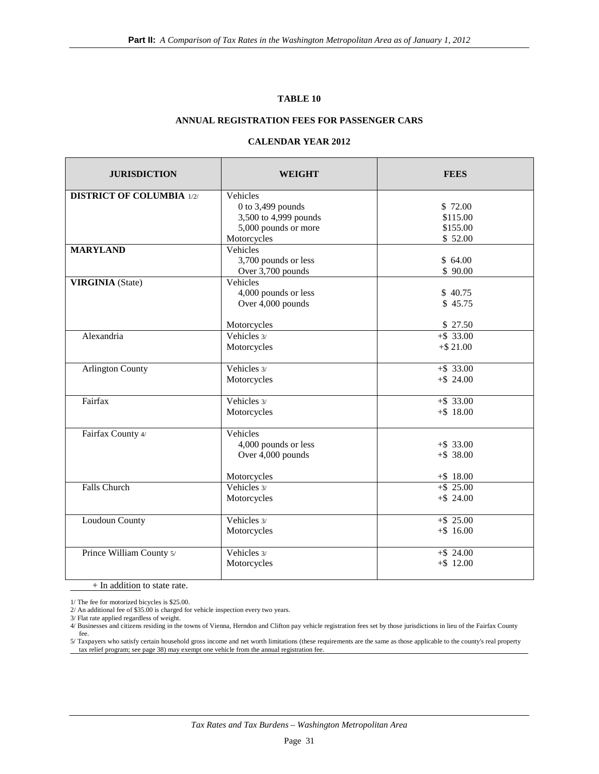#### **TABLE 10**

#### **ANNUAL REGISTRATION FEES FOR PASSENGER CARS**

## **CALENDAR YEAR 2012**

| <b>JURISDICTION</b>              | WEIGHT                | <b>FEES</b>  |
|----------------------------------|-----------------------|--------------|
| <b>DISTRICT OF COLUMBIA 1/2/</b> | Vehicles              |              |
|                                  | 0 to $3,499$ pounds   | \$72.00      |
|                                  | 3,500 to 4,999 pounds | \$115.00     |
|                                  | 5,000 pounds or more  | \$155.00     |
|                                  | Motorcycles           | \$52.00      |
| <b>MARYLAND</b>                  | Vehicles              |              |
|                                  | 3,700 pounds or less  | \$64.00      |
|                                  | Over 3,700 pounds     | \$90.00      |
| <b>VIRGINIA</b> (State)          | Vehicles              |              |
|                                  | 4,000 pounds or less  | \$40.75      |
|                                  | Over 4,000 pounds     | \$45.75      |
|                                  |                       |              |
|                                  | Motorcycles           | \$27.50      |
| Alexandria                       | Vehicles 3/           | $+$ \$ 33.00 |
|                                  | Motorcycles           | $+$ \$ 21.00 |
|                                  |                       |              |
| <b>Arlington County</b>          | Vehicles 3/           | $+$ \$ 33.00 |
|                                  | Motorcycles           | $+$ \$ 24.00 |
|                                  |                       |              |
| Fairfax                          | Vehicles 3/           | $+$ \$ 33.00 |
|                                  | Motorcycles           | $+$ \$ 18.00 |
|                                  |                       |              |
| Fairfax County 4/                | Vehicles              |              |
|                                  | 4,000 pounds or less  | $+$ \$ 33.00 |
|                                  | Over 4,000 pounds     | $+$ \$ 38.00 |
|                                  | Motorcycles           | $+$ \$ 18.00 |
| <b>Falls Church</b>              | Vehicles 3/           | $+$ \$ 25.00 |
|                                  | Motorcycles           | $+$ \$ 24.00 |
|                                  |                       |              |
| Loudoun County                   | Vehicles 3/           | $+$ \$ 25.00 |
|                                  | Motorcycles           | $+$ \$16.00  |
|                                  |                       |              |
| Prince William County 5/         | Vehicles 3/           | $+$ \$ 24.00 |
|                                  | Motorcycles           | $+$ \$ 12.00 |
|                                  |                       |              |

+ In addition to state rate.

1/ The fee for motorized bicycles is \$25.00.

2/ An additional fee of \$35.00 is charged for vehicle inspection every two years.

3/ Flat rate applied regardless of weight.

<sup>4/</sup> Businesses and citizens residing in the towns of Vienna, Herndon and Clifton pay vehicle registration fees set by those jurisdictions in lieu of the Fairfax County fee.

<sup>5/</sup> Taxpayers who satisfy certain household gross income and net worth limitations (these requirements are the same as those applicable to the county's real property tax relief program; see page 38) may exempt one vehicle from the annual registration fee.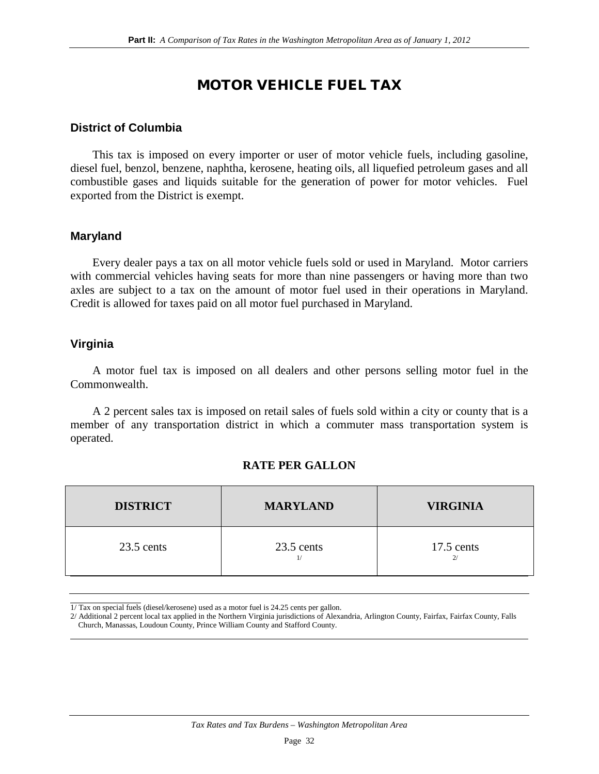## MOTOR VEHICLE FUEL TAX

### **District of Columbia**

This tax is imposed on every importer or user of motor vehicle fuels, including gasoline, diesel fuel, benzol, benzene, naphtha, kerosene, heating oils, all liquefied petroleum gases and all combustible gases and liquids suitable for the generation of power for motor vehicles. Fuel exported from the District is exempt.

#### **Maryland**

Every dealer pays a tax on all motor vehicle fuels sold or used in Maryland. Motor carriers with commercial vehicles having seats for more than nine passengers or having more than two axles are subject to a tax on the amount of motor fuel used in their operations in Maryland. Credit is allowed for taxes paid on all motor fuel purchased in Maryland.

#### **Virginia**

A motor fuel tax is imposed on all dealers and other persons selling motor fuel in the Commonwealth.

A 2 percent sales tax is imposed on retail sales of fuels sold within a city or county that is a member of any transportation district in which a commuter mass transportation system is operated.

### **RATE PER GALLON**

| <b>DISTRICT</b> | <b>MARYLAND</b> | <b>VIRGINIA</b>    |
|-----------------|-----------------|--------------------|
| $23.5$ cents    | $23.5$ cents    | $17.5$ cents<br>2/ |

 $1/Tax$  on special fuels (diesel/kerosene) used as a motor fuel is 24.25 cents per gallon.

2/ Additional 2 percent local tax applied in the Northern Virginia jurisdictions of Alexandria, Arlington County, Fairfax, Fairfax County, Falls Church, Manassas, Loudoun County, Prince William County and Stafford County.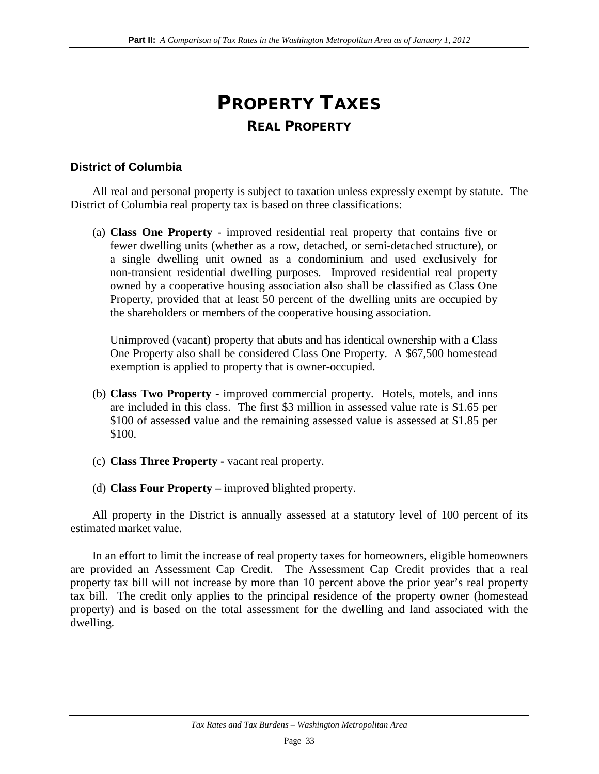## PROPERTY TAXES REAL PROPERTY

### **District of Columbia**

All real and personal property is subject to taxation unless expressly exempt by statute. The District of Columbia real property tax is based on three classifications:

(a) **Class One Property** - improved residential real property that contains five or fewer dwelling units (whether as a row, detached, or semi-detached structure), or a single dwelling unit owned as a condominium and used exclusively for non-transient residential dwelling purposes. Improved residential real property owned by a cooperative housing association also shall be classified as Class One Property, provided that at least 50 percent of the dwelling units are occupied by the shareholders or members of the cooperative housing association.

Unimproved (vacant) property that abuts and has identical ownership with a Class One Property also shall be considered Class One Property. A \$67,500 homestead exemption is applied to property that is owner-occupied.

- (b) **Class Two Property** improved commercial property. Hotels, motels, and inns are included in this class. The first \$3 million in assessed value rate is \$1.65 per \$100 of assessed value and the remaining assessed value is assessed at \$1.85 per \$100.
- (c) **Class Three Property -** vacant real property.
- (d) **Class Four Property –** improved blighted property.

All property in the District is annually assessed at a statutory level of 100 percent of its estimated market value.

In an effort to limit the increase of real property taxes for homeowners, eligible homeowners are provided an Assessment Cap Credit. The Assessment Cap Credit provides that a real property tax bill will not increase by more than 10 percent above the prior year's real property tax bill. The credit only applies to the principal residence of the property owner (homestead property) and is based on the total assessment for the dwelling and land associated with the dwelling.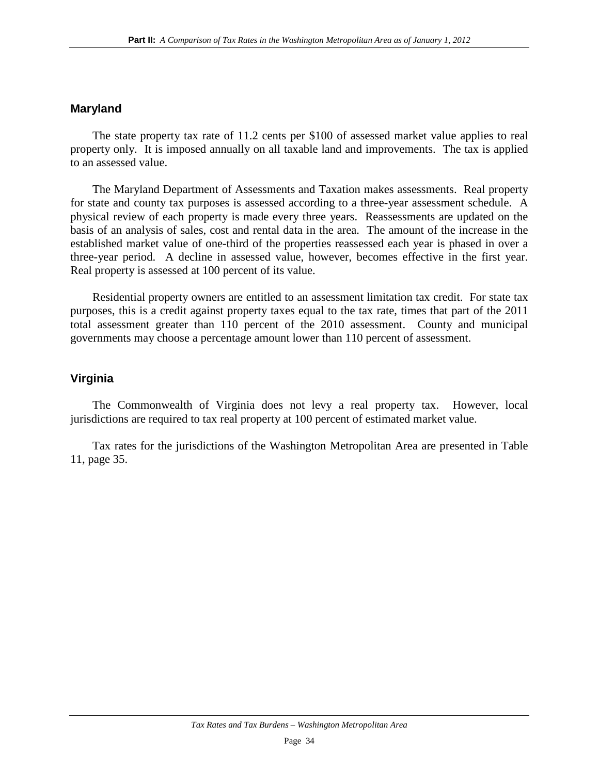#### **Maryland**

The state property tax rate of 11.2 cents per \$100 of assessed market value applies to real property only. It is imposed annually on all taxable land and improvements. The tax is applied to an assessed value.

The Maryland Department of Assessments and Taxation makes assessments. Real property for state and county tax purposes is assessed according to a three-year assessment schedule. A physical review of each property is made every three years. Reassessments are updated on the basis of an analysis of sales, cost and rental data in the area. The amount of the increase in the established market value of one-third of the properties reassessed each year is phased in over a three-year period. A decline in assessed value, however, becomes effective in the first year. Real property is assessed at 100 percent of its value.

Residential property owners are entitled to an assessment limitation tax credit. For state tax purposes, this is a credit against property taxes equal to the tax rate, times that part of the 2011 total assessment greater than 110 percent of the 2010 assessment. County and municipal governments may choose a percentage amount lower than 110 percent of assessment.

#### **Virginia**

The Commonwealth of Virginia does not levy a real property tax. However, local jurisdictions are required to tax real property at 100 percent of estimated market value.

Tax rates for the jurisdictions of the Washington Metropolitan Area are presented in Table 11, page 35.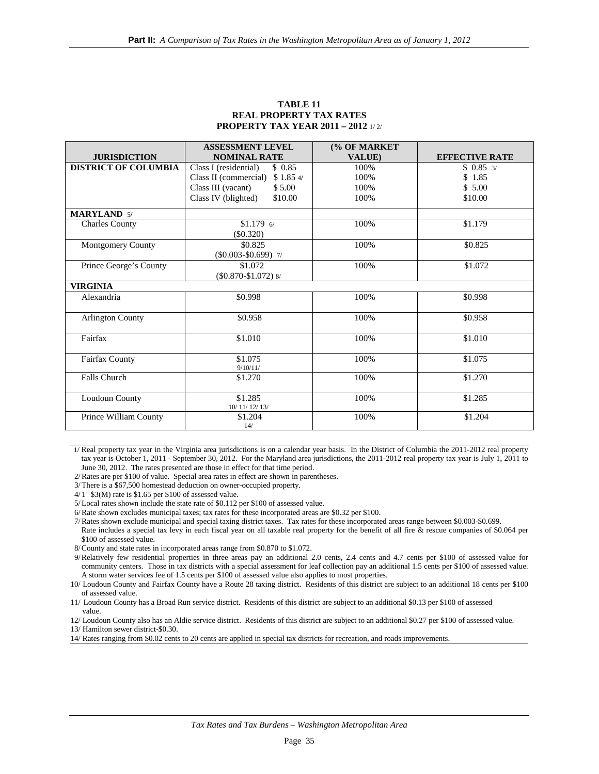|                             | <b>ASSESSMENT LEVEL</b>         | (% OF MARKET |                       |
|-----------------------------|---------------------------------|--------------|-----------------------|
| <b>JURISDICTION</b>         | <b>NOMINAL RATE</b>             | VALUE)       | <b>EFFECTIVE RATE</b> |
| <b>DISTRICT OF COLUMBIA</b> | Class I (residential)<br>\$0.85 | 100%         | $$0.85 \frac{3}{2}$   |
|                             | Class II (commercial) \$1.85 4/ | 100%         | \$1.85                |
|                             | Class III (vacant)<br>\$5.00    | 100%         | \$5.00                |
|                             | Class IV (blighted)<br>\$10.00  | 100%         | \$10.00               |
| <b>MARYLAND 5/</b>          |                                 |              |                       |
| <b>Charles County</b>       | $$1.179$ 6/                     | 100%         | \$1.179               |
|                             | $(\$0.320)$                     |              |                       |
| Montgomery County           | \$0.825                         | 100%         | \$0.825               |
|                             | $(\$0.003-\$0.699)$ 7/          |              |                       |
| Prince George's County      | \$1.072                         | 100%         | \$1.072               |
|                             | $($0.870-$1.072)$ 8/            |              |                       |
| <b>VIRGINIA</b>             |                                 |              |                       |
| Alexandria                  | \$0.998                         | 100%         | \$0.998               |
|                             |                                 |              |                       |
| <b>Arlington County</b>     | \$0.958                         | 100%         | \$0.958               |
|                             |                                 |              |                       |
| Fairfax                     | \$1.010                         | 100%         | \$1.010               |
|                             |                                 |              |                       |
| Fairfax County              | \$1.075                         | 100%         | \$1.075               |
|                             | 9/10/11/                        |              |                       |
| <b>Falls Church</b>         | \$1.270                         | 100%         | \$1.270               |
|                             |                                 |              |                       |
| Loudoun County              | \$1.285                         | 100%         | \$1.285               |
|                             | 10/11/12/13/                    |              |                       |
| Prince William County       | \$1.204                         | 100%         | \$1.204               |
|                             | 14/                             |              |                       |

#### **TABLE 11 REAL PROPERTY TAX RATES PROPERTY TAX YEAR 2011 – 2012** 1/ 2/

 1/ Real property tax year in the Virginia area jurisdictions is on a calendar year basis. In the District of Columbia the 2011-2012 real property tax year is October 1, 2011 - September 30, 2012. For the Maryland area jurisdictions, the 2011-2012 real property tax year is July 1, 2011 to June 30, 2012. The rates presented are those in effect for that time period.

2/Rates are per \$100 of value. Special area rates in effect are shown in parentheses.

3/ There is a \$67,500 homestead deduction on owner-occupied property.

 $4/1$ <sup>st</sup> \$3(M) rate is \$1.65 per \$100 of assessed value.

5/ Local rates shown include the state rate of \$0.112 per \$100 of assessed value.

6/Rate shown excludes municipal taxes; tax rates for these incorporated areas are \$0.32 per \$100.

7/Rates shown exclude municipal and special taxing district taxes. Tax rates for these incorporated areas range between \$0.003-\$0.699. Rate includes a special tax levy in each fiscal year on all taxable real property for the benefit of all fire & rescue companies of \$0.064 per \$100 of assessed value.

8/County and state rates in incorporated areas range from \$0.870 to \$1.072.

9/Relatively few residential properties in three areas pay an additional 2.0 cents, 2.4 cents and 4.7 cents per \$100 of assessed value for community centers. Those in tax districts with a special assessment for leaf collection pay an additional 1.5 cents per \$100 of assessed value. A storm water services fee of 1.5 cents per \$100 of assessed value also applies to most properties.

10/ Loudoun County and Fairfax County have a Route 28 taxing district. Residents of this district are subject to an additional 18 cents per \$100 of assessed value.

11/ Loudoun County has a Broad Run service district. Residents of this district are subject to an additional \$0.13 per \$100 of assessed value.

12/ Loudoun County also has an Aldie service district. Residents of this district are subject to an additional \$0.27 per \$100 of assessed value.

13/ Hamilton sewer district-\$0.30.

14/ Rates ranging from \$0.02 cents to 20 cents are applied in special tax districts for recreation, and roads improvements.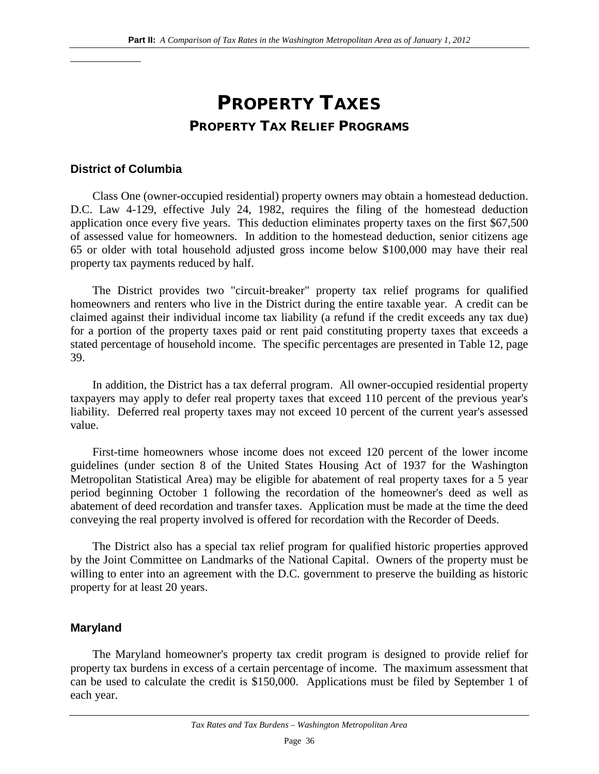## PROPERTY TAXES PROPERTY TAX RELIEF PROGRAMS

### **District of Columbia**

Class One (owner-occupied residential) property owners may obtain a homestead deduction. D.C. Law 4-129, effective July 24, 1982, requires the filing of the homestead deduction application once every five years. This deduction eliminates property taxes on the first \$67,500 of assessed value for homeowners. In addition to the homestead deduction, senior citizens age 65 or older with total household adjusted gross income below \$100,000 may have their real property tax payments reduced by half.

The District provides two "circuit-breaker" property tax relief programs for qualified homeowners and renters who live in the District during the entire taxable year. A credit can be claimed against their individual income tax liability (a refund if the credit exceeds any tax due) for a portion of the property taxes paid or rent paid constituting property taxes that exceeds a stated percentage of household income. The specific percentages are presented in Table 12, page 39.

In addition, the District has a tax deferral program. All owner-occupied residential property taxpayers may apply to defer real property taxes that exceed 110 percent of the previous year's liability. Deferred real property taxes may not exceed 10 percent of the current year's assessed value.

First-time homeowners whose income does not exceed 120 percent of the lower income guidelines (under section 8 of the United States Housing Act of 1937 for the Washington Metropolitan Statistical Area) may be eligible for abatement of real property taxes for a 5 year period beginning October 1 following the recordation of the homeowner's deed as well as abatement of deed recordation and transfer taxes. Application must be made at the time the deed conveying the real property involved is offered for recordation with the Recorder of Deeds.

The District also has a special tax relief program for qualified historic properties approved by the Joint Committee on Landmarks of the National Capital. Owners of the property must be willing to enter into an agreement with the D.C. government to preserve the building as historic property for at least 20 years.

### **Maryland**

The Maryland homeowner's property tax credit program is designed to provide relief for property tax burdens in excess of a certain percentage of income. The maximum assessment that can be used to calculate the credit is \$150,000. Applications must be filed by September 1 of each year.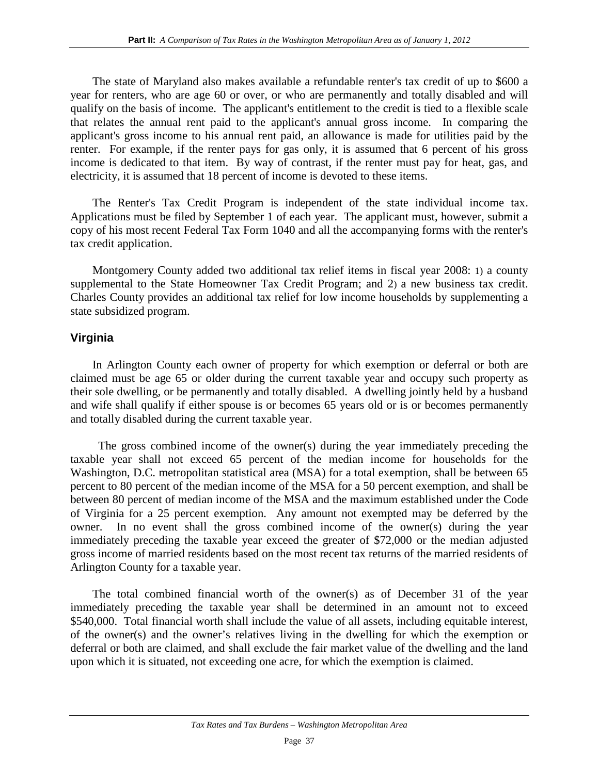The state of Maryland also makes available a refundable renter's tax credit of up to \$600 a year for renters, who are age 60 or over, or who are permanently and totally disabled and will qualify on the basis of income. The applicant's entitlement to the credit is tied to a flexible scale that relates the annual rent paid to the applicant's annual gross income. In comparing the applicant's gross income to his annual rent paid, an allowance is made for utilities paid by the renter. For example, if the renter pays for gas only, it is assumed that 6 percent of his gross income is dedicated to that item. By way of contrast, if the renter must pay for heat, gas, and electricity, it is assumed that 18 percent of income is devoted to these items.

The Renter's Tax Credit Program is independent of the state individual income tax. Applications must be filed by September 1 of each year. The applicant must, however, submit a copy of his most recent Federal Tax Form 1040 and all the accompanying forms with the renter's tax credit application.

Montgomery County added two additional tax relief items in fiscal year 2008: 1) a county supplemental to the State Homeowner Tax Credit Program; and 2) a new business tax credit. Charles County provides an additional tax relief for low income households by supplementing a state subsidized program.

### **Virginia**

In Arlington County each owner of property for which exemption or deferral or both are claimed must be age 65 or older during the current taxable year and occupy such property as their sole dwelling, or be permanently and totally disabled. A dwelling jointly held by a husband and wife shall qualify if either spouse is or becomes 65 years old or is or becomes permanently and totally disabled during the current taxable year.

 The gross combined income of the owner(s) during the year immediately preceding the taxable year shall not exceed 65 percent of the median income for households for the Washington, D.C. metropolitan statistical area (MSA) for a total exemption, shall be between 65 percent to 80 percent of the median income of the MSA for a 50 percent exemption, and shall be between 80 percent of median income of the MSA and the maximum established under the Code of Virginia for a 25 percent exemption. Any amount not exempted may be deferred by the owner. In no event shall the gross combined income of the owner(s) during the year immediately preceding the taxable year exceed the greater of \$72,000 or the median adjusted gross income of married residents based on the most recent tax returns of the married residents of Arlington County for a taxable year.

The total combined financial worth of the owner(s) as of December 31 of the year immediately preceding the taxable year shall be determined in an amount not to exceed \$540,000. Total financial worth shall include the value of all assets, including equitable interest, of the owner(s) and the owner's relatives living in the dwelling for which the exemption or deferral or both are claimed, and shall exclude the fair market value of the dwelling and the land upon which it is situated, not exceeding one acre, for which the exemption is claimed.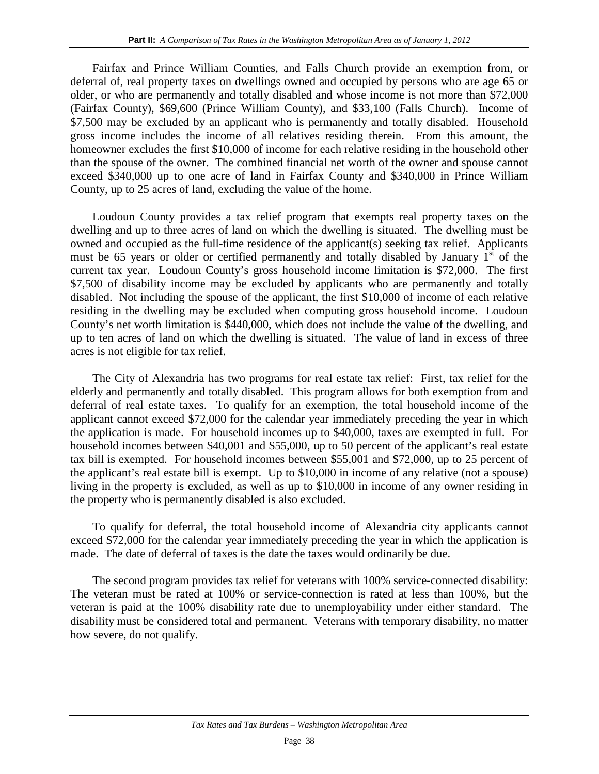Fairfax and Prince William Counties, and Falls Church provide an exemption from, or deferral of, real property taxes on dwellings owned and occupied by persons who are age 65 or older, or who are permanently and totally disabled and whose income is not more than \$72,000 (Fairfax County), \$69,600 (Prince William County), and \$33,100 (Falls Church). Income of \$7,500 may be excluded by an applicant who is permanently and totally disabled. Household gross income includes the income of all relatives residing therein. From this amount, the homeowner excludes the first \$10,000 of income for each relative residing in the household other than the spouse of the owner. The combined financial net worth of the owner and spouse cannot exceed \$340,000 up to one acre of land in Fairfax County and \$340,000 in Prince William County, up to 25 acres of land, excluding the value of the home.

Loudoun County provides a tax relief program that exempts real property taxes on the dwelling and up to three acres of land on which the dwelling is situated. The dwelling must be owned and occupied as the full-time residence of the applicant(s) seeking tax relief. Applicants must be 65 years or older or certified permanently and totally disabled by January  $1<sup>st</sup>$  of the current tax year. Loudoun County's gross household income limitation is \$72,000. The first \$7,500 of disability income may be excluded by applicants who are permanently and totally disabled. Not including the spouse of the applicant, the first \$10,000 of income of each relative residing in the dwelling may be excluded when computing gross household income. Loudoun County's net worth limitation is \$440,000, which does not include the value of the dwelling, and up to ten acres of land on which the dwelling is situated. The value of land in excess of three acres is not eligible for tax relief.

The City of Alexandria has two programs for real estate tax relief: First, tax relief for the elderly and permanently and totally disabled. This program allows for both exemption from and deferral of real estate taxes. To qualify for an exemption, the total household income of the applicant cannot exceed \$72,000 for the calendar year immediately preceding the year in which the application is made. For household incomes up to \$40,000, taxes are exempted in full. For household incomes between \$40,001 and \$55,000, up to 50 percent of the applicant's real estate tax bill is exempted. For household incomes between \$55,001 and \$72,000, up to 25 percent of the applicant's real estate bill is exempt. Up to \$10,000 in income of any relative (not a spouse) living in the property is excluded, as well as up to \$10,000 in income of any owner residing in the property who is permanently disabled is also excluded.

To qualify for deferral, the total household income of Alexandria city applicants cannot exceed \$72,000 for the calendar year immediately preceding the year in which the application is made. The date of deferral of taxes is the date the taxes would ordinarily be due.

The second program provides tax relief for veterans with 100% service-connected disability: The veteran must be rated at 100% or service-connection is rated at less than 100%, but the veteran is paid at the 100% disability rate due to unemployability under either standard. The disability must be considered total and permanent. Veterans with temporary disability, no matter how severe, do not qualify.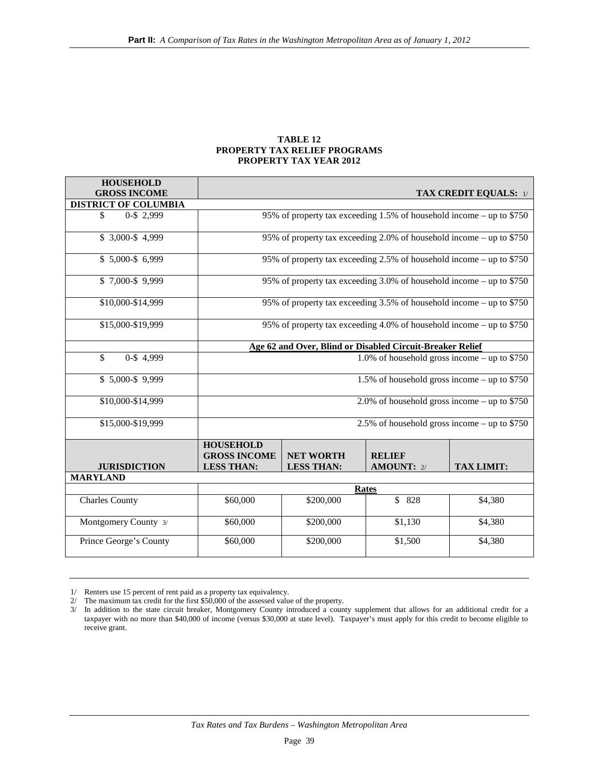#### **TABLE 12 PROPERTY TAX RELIEF PROGRAMS PROPERTY TAX YEAR 2012**

| <b>HOUSEHOLD</b><br><b>GROSS INCOME</b> |                                                              |                                       |                                                                       | <b>TAX CREDIT EQUALS: 1/</b> |  |  |
|-----------------------------------------|--------------------------------------------------------------|---------------------------------------|-----------------------------------------------------------------------|------------------------------|--|--|
| <b>DISTRICT OF COLUMBIA</b>             |                                                              |                                       |                                                                       |                              |  |  |
| 0-\$ 2,999<br>\$                        |                                                              |                                       | 95% of property tax exceeding 1.5% of household income – up to \$750  |                              |  |  |
| $$3,000-S4,999$                         |                                                              |                                       | 95% of property tax exceeding 2.0% of household income – up to \$750  |                              |  |  |
| $$5,000-S6,999$                         |                                                              |                                       | 95% of property tax exceeding 2.5% of household income – up to \$750  |                              |  |  |
| $$7,000-S$ 9,999                        |                                                              |                                       | 95% of property tax exceeding 3.0% of household income – up to $$750$ |                              |  |  |
| \$10,000-\$14,999                       |                                                              |                                       | 95% of property tax exceeding 3.5% of household income – up to \$750  |                              |  |  |
| \$15,000-\$19,999                       |                                                              |                                       | 95% of property tax exceeding 4.0% of household income – up to \$750  |                              |  |  |
|                                         |                                                              |                                       | Age 62 and Over, Blind or Disabled Circuit-Breaker Relief             |                              |  |  |
| \$<br>0-\$4,999                         |                                                              |                                       | 1.0% of household gross income – up to $$750$                         |                              |  |  |
| $$5,000-S$ 9,999                        | 1.5% of household gross income - up to \$750                 |                                       |                                                                       |                              |  |  |
| \$10,000-\$14,999                       | 2.0% of household gross income – up to $$750$                |                                       |                                                                       |                              |  |  |
| \$15,000-\$19,999                       |                                                              |                                       | 2.5% of household gross income – up to $$750$                         |                              |  |  |
| <b>JURISDICTION</b>                     | <b>HOUSEHOLD</b><br><b>GROSS INCOME</b><br><b>LESS THAN:</b> | <b>NET WORTH</b><br><b>LESS THAN:</b> | <b>RELIEF</b><br><b>AMOUNT: 2/</b>                                    | <b>TAX LIMIT:</b>            |  |  |
| <b>MARYLAND</b>                         |                                                              |                                       |                                                                       |                              |  |  |
|                                         | Rates                                                        |                                       |                                                                       |                              |  |  |
| <b>Charles County</b>                   | \$60,000                                                     | \$200,000                             | \$ 828                                                                | \$4,380                      |  |  |
| Montgomery County 3/                    | \$60,000                                                     | \$200,000                             | \$1,130                                                               | \$4,380                      |  |  |
| Prince George's County                  | \$60,000                                                     | \$200,000                             | \$1,500                                                               | \$4,380                      |  |  |

<sup>1/</sup> Renters use 15 percent of rent paid as a property tax equivalency.

<sup>2/</sup> The maximum tax credit for the first \$50,000 of the assessed value of the property.

<sup>3/</sup> In addition to the state circuit breaker, Montgomery County introduced a county supplement that allows for an additional credit for a taxpayer with no more than \$40,000 of income (versus \$30,000 at state level). Taxpayer's must apply for this credit to become eligible to receive grant.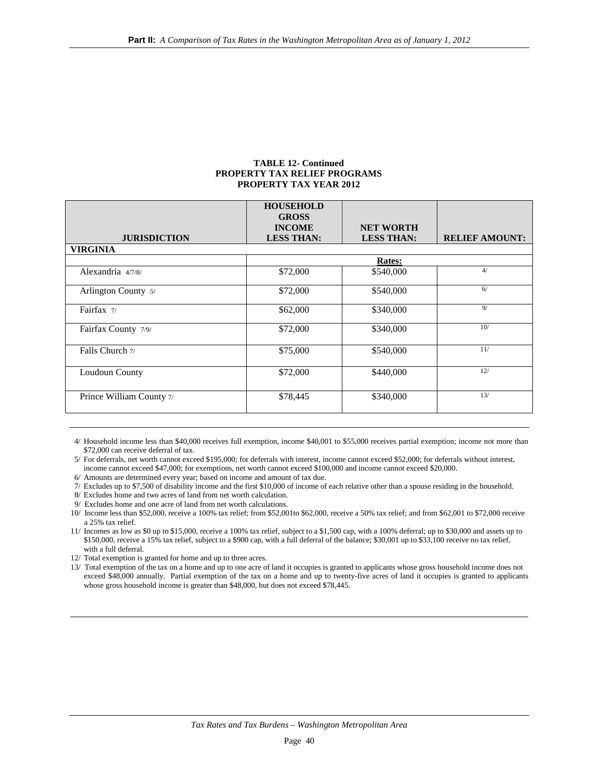#### **TABLE 12- Continued PROPERTY TAX RELIEF PROGRAMS PROPERTY TAX YEAR 2012**

|                          | <b>HOUSEHOLD</b><br><b>GROSS</b><br><b>INCOME</b> | <b>NET WORTH</b>  |                       |
|--------------------------|---------------------------------------------------|-------------------|-----------------------|
| <b>JURISDICTION</b>      | <b>LESS THAN:</b>                                 | <b>LESS THAN:</b> | <b>RELIEF AMOUNT:</b> |
| <b>VIRGINIA</b>          |                                                   |                   |                       |
|                          |                                                   | <b>Rates:</b>     |                       |
| Alexandria 4/7/8/        | \$72,000                                          | \$540,000         | 4/                    |
| Arlington County 5/      | \$72,000                                          | \$540,000         | 6/                    |
| Fairfax $7/$             | \$62,000                                          | \$340,000         | 9/                    |
| Fairfax County 7/9/      | \$72,000                                          | \$340,000         | 10/                   |
| Falls Church 7/          | \$75,000                                          | \$540,000         | 11/                   |
| Loudoun County           | \$72,000                                          | \$440,000         | 12/                   |
| Prince William County 7/ | \$78,445                                          | \$340,000         | 13/                   |

4/ Household income less than \$40,000 receives full exemption, income \$40,001 to \$55,000 receives partial exemption; income not more than \$72,000 can receive deferral of tax.

5/ For deferrals, net worth cannot exceed \$195,000; for deferrals with interest, income cannot exceed \$52,000; for deferrals without interest, income cannot exceed \$47,000; for exemptions, net worth cannot exceed \$100,000 and income cannot exceed \$20,000.

6/ Amounts are determined every year; based on income and amount of tax due.

7/ Excludes up to \$7,500 of disability income and the first \$10,000 of income of each relative other than a spouse residing in the household.

8/ Excludes home and two acres of land from net worth calculation.

9/ Excludes home and one acre of land from net worth calculations.

10/ Income less than \$52,000, receive a 100% tax relief; from \$52,001to \$62,000, receive a 50% tax relief; and from \$62,001 to \$72,000 receive a 25% tax relief.

11/ Incomes as low as \$0 up to \$15,000, receive a 100% tax relief, subject to a \$1,500 cap, with a 100% deferral; up to \$30,000 and assets up to \$150,000, receive a 15% tax relief, subject to a \$900 cap, with a full deferral of the balance; \$30,001 up to \$33,100 receive no tax relief, with a full deferral.

12/ Total exemption is granted for home and up to three acres.

13/ Total exemption of the tax on a home and up to one acre of land it occupies is granted to applicants whose gross household income does not exceed \$48,000 annually. Partial exemption of the tax on a home and up to twenty-five acres of land it occupies is granted to applicants whose gross household income is greater than \$48,000, but does not exceed \$78,445.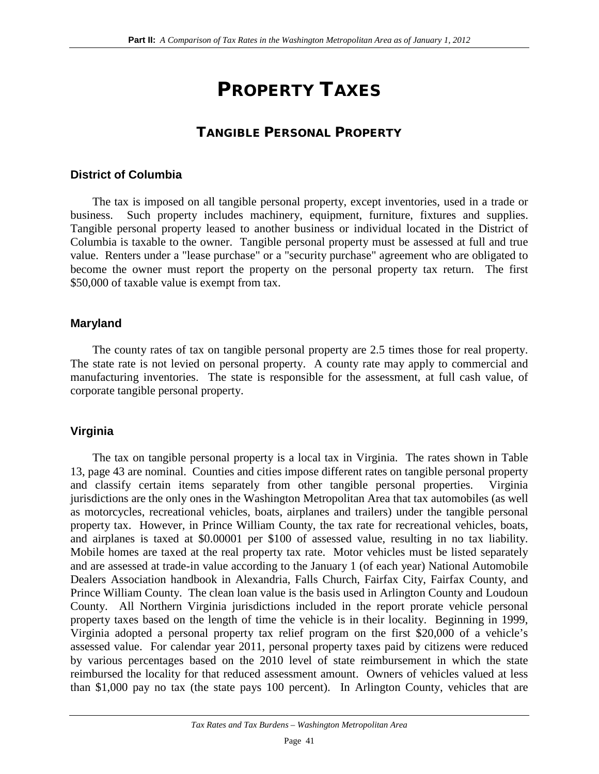## PROPERTY TAXES

## TANGIBLE PERSONAL PROPERTY

### **District of Columbia**

The tax is imposed on all tangible personal property, except inventories, used in a trade or business. Such property includes machinery, equipment, furniture, fixtures and supplies. Tangible personal property leased to another business or individual located in the District of Columbia is taxable to the owner. Tangible personal property must be assessed at full and true value. Renters under a "lease purchase" or a "security purchase" agreement who are obligated to become the owner must report the property on the personal property tax return. The first \$50,000 of taxable value is exempt from tax.

### **Maryland**

The county rates of tax on tangible personal property are 2.5 times those for real property. The state rate is not levied on personal property. A county rate may apply to commercial and manufacturing inventories. The state is responsible for the assessment, at full cash value, of corporate tangible personal property.

### **Virginia**

The tax on tangible personal property is a local tax in Virginia. The rates shown in Table 13, page 43 are nominal. Counties and cities impose different rates on tangible personal property and classify certain items separately from other tangible personal properties. Virginia jurisdictions are the only ones in the Washington Metropolitan Area that tax automobiles (as well as motorcycles, recreational vehicles, boats, airplanes and trailers) under the tangible personal property tax. However, in Prince William County, the tax rate for recreational vehicles, boats, and airplanes is taxed at \$0.00001 per \$100 of assessed value, resulting in no tax liability. Mobile homes are taxed at the real property tax rate. Motor vehicles must be listed separately and are assessed at trade-in value according to the January 1 (of each year) National Automobile Dealers Association handbook in Alexandria, Falls Church, Fairfax City, Fairfax County, and Prince William County. The clean loan value is the basis used in Arlington County and Loudoun County. All Northern Virginia jurisdictions included in the report prorate vehicle personal property taxes based on the length of time the vehicle is in their locality. Beginning in 1999, Virginia adopted a personal property tax relief program on the first \$20,000 of a vehicle's assessed value. For calendar year 2011, personal property taxes paid by citizens were reduced by various percentages based on the 2010 level of state reimbursement in which the state reimbursed the locality for that reduced assessment amount. Owners of vehicles valued at less than \$1,000 pay no tax (the state pays 100 percent). In Arlington County, vehicles that are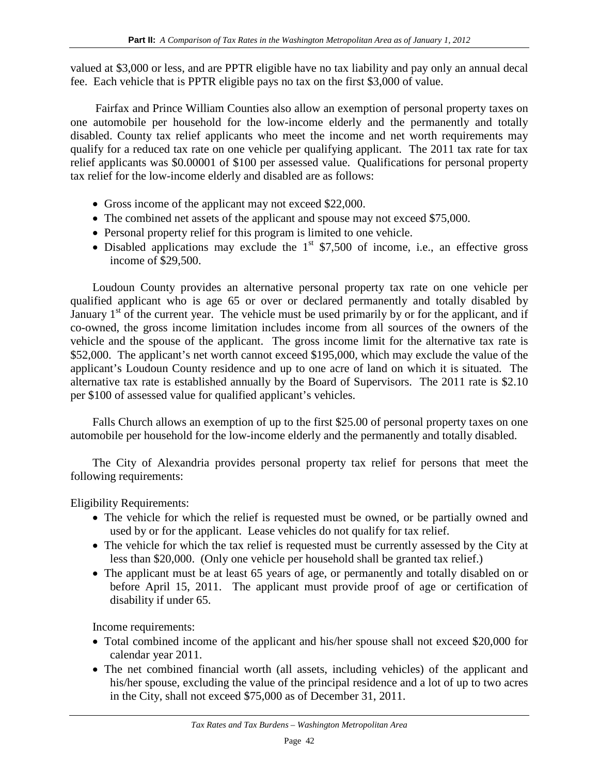valued at \$3,000 or less, and are PPTR eligible have no tax liability and pay only an annual decal fee. Each vehicle that is PPTR eligible pays no tax on the first \$3,000 of value.

Fairfax and Prince William Counties also allow an exemption of personal property taxes on one automobile per household for the low-income elderly and the permanently and totally disabled. County tax relief applicants who meet the income and net worth requirements may qualify for a reduced tax rate on one vehicle per qualifying applicant. The 2011 tax rate for tax relief applicants was \$0.00001 of \$100 per assessed value. Qualifications for personal property tax relief for the low-income elderly and disabled are as follows:

- Gross income of the applicant may not exceed \$22,000.
- The combined net assets of the applicant and spouse may not exceed \$75,000.
- Personal property relief for this program is limited to one vehicle.
- Disabled applications may exclude the  $1<sup>st</sup>$  \$7,500 of income, i.e., an effective gross income of \$29,500.

Loudoun County provides an alternative personal property tax rate on one vehicle per qualified applicant who is age 65 or over or declared permanently and totally disabled by January  $1<sup>st</sup>$  of the current year. The vehicle must be used primarily by or for the applicant, and if co-owned, the gross income limitation includes income from all sources of the owners of the vehicle and the spouse of the applicant. The gross income limit for the alternative tax rate is \$52,000. The applicant's net worth cannot exceed \$195,000, which may exclude the value of the applicant's Loudoun County residence and up to one acre of land on which it is situated. The alternative tax rate is established annually by the Board of Supervisors. The 2011 rate is \$2.10 per \$100 of assessed value for qualified applicant's vehicles.

Falls Church allows an exemption of up to the first \$25.00 of personal property taxes on one automobile per household for the low-income elderly and the permanently and totally disabled.

The City of Alexandria provides personal property tax relief for persons that meet the following requirements:

Eligibility Requirements:

- The vehicle for which the relief is requested must be owned, or be partially owned and used by or for the applicant. Lease vehicles do not qualify for tax relief.
- The vehicle for which the tax relief is requested must be currently assessed by the City at less than \$20,000. (Only one vehicle per household shall be granted tax relief.)
- The applicant must be at least 65 years of age, or permanently and totally disabled on or before April 15, 2011. The applicant must provide proof of age or certification of disability if under 65.

Income requirements:

- Total combined income of the applicant and his/her spouse shall not exceed \$20,000 for calendar year 2011.
- The net combined financial worth (all assets, including vehicles) of the applicant and his/her spouse, excluding the value of the principal residence and a lot of up to two acres in the City, shall not exceed \$75,000 as of December 31, 2011.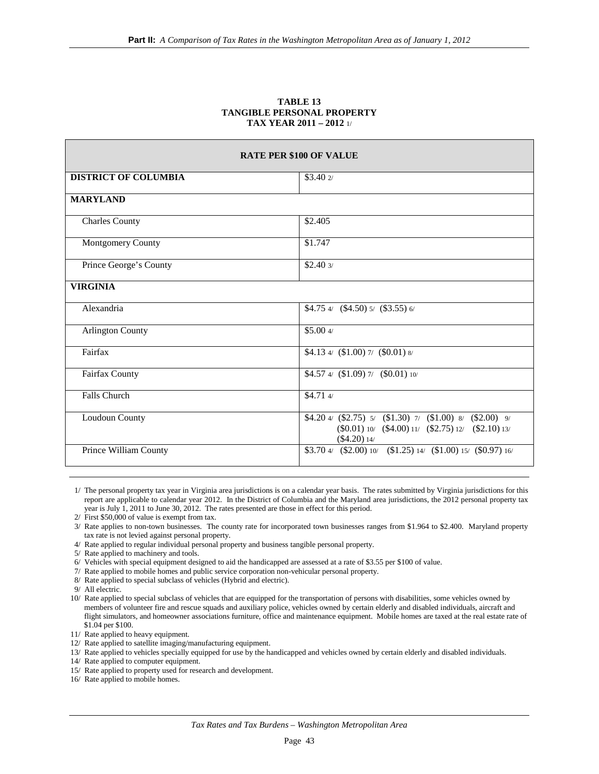#### **TABLE 13 TANGIBLE PERSONAL PROPERTY TAX YEAR 2011 – 2012** 1/

| <b>RATE PER \$100 OF VALUE</b> |                                                                                                                                                                                                   |  |  |
|--------------------------------|---------------------------------------------------------------------------------------------------------------------------------------------------------------------------------------------------|--|--|
| <b>DISTRICT OF COLUMBIA</b>    | \$3.402                                                                                                                                                                                           |  |  |
| <b>MARYLAND</b>                |                                                                                                                                                                                                   |  |  |
| <b>Charles County</b>          | \$2.405                                                                                                                                                                                           |  |  |
| Montgomery County              | \$1.747                                                                                                                                                                                           |  |  |
| Prince George's County         | \$2.403/                                                                                                                                                                                          |  |  |
| <b>VIRGINIA</b>                |                                                                                                                                                                                                   |  |  |
| Alexandria                     | $$4.754/$ $($4.50)5/$ $($3.55)6/$                                                                                                                                                                 |  |  |
| <b>Arlington County</b>        | \$5.004/                                                                                                                                                                                          |  |  |
| Fairfax                        | \$4.13 4/ $(1.00)$ 7/ $(0.01)$ 8/                                                                                                                                                                 |  |  |
| Fairfax County                 | $$4.57 \frac{4}{(1.09)} \frac{7}{(0.01)} \frac{10}{10}$                                                                                                                                           |  |  |
| Falls Church                   | \$4.714/                                                                                                                                                                                          |  |  |
| Loudoun County                 | \$4.20 $\frac{4}{1}$ (\$2.75) $\frac{5}{1}$ (\$1.30) $\frac{7}{1}$ (\$1.00) $\frac{8}{1}$ (\$2.00) $\frac{9}{1}$<br>$(\$0.01)$ 10/ $(\$4.00)$ 11/ $(\$2.75)$ 12/ $(\$2.10)$ 13/<br>$(\$4.20)$ 14/ |  |  |
| Prince William County          | $$3.704/$ (\$2.00) 10/ (\$1.25) 14/ (\$1.00) 15/ (\$0.97) 16/                                                                                                                                     |  |  |

1/ The personal property tax year in Virginia area jurisdictions is on a calendar year basis. The rates submitted by Virginia jurisdictions for this report are applicable to calendar year 2012. In the District of Columbia and the Maryland area jurisdictions, the 2012 personal property tax year is July 1, 2011 to June 30, 2012. The rates presented are those in effect for this period.

- 6/ Vehicles with special equipment designed to aid the handicapped are assessed at a rate of \$3.55 per \$100 of value.
- 7/ Rate applied to mobile homes and public service corporation non-vehicular personal property.
- 8/ Rate applied to special subclass of vehicles (Hybrid and electric).

- 10/ Rate applied to special subclass of vehicles that are equipped for the transportation of persons with disabilities, some vehicles owned by members of volunteer fire and rescue squads and auxiliary police, vehicles owned by certain elderly and disabled individuals, aircraft and flight simulators, and homeowner associations furniture, office and maintenance equipment. Mobile homes are taxed at the real estate rate of \$1.04 per \$100.
- 11/ Rate applied to heavy equipment.
- 12/ Rate applied to satellite imaging/manufacturing equipment.
- 13/ Rate applied to vehicles specially equipped for use by the handicapped and vehicles owned by certain elderly and disabled individuals.
- 14/ Rate applied to computer equipment.
- 15/ Rate applied to property used for research and development.
- 16/ Rate applied to mobile homes.

<sup>2/</sup> First \$50,000 of value is exempt from tax.

<sup>3/</sup> Rate applies to non-town businesses. The county rate for incorporated town businesses ranges from \$1.964 to \$2.400. Maryland property tax rate is not levied against personal property.

 <sup>4/</sup> Rate applied to regular individual personal property and business tangible personal property.

 <sup>5/</sup> Rate applied to machinery and tools.

<sup>9/</sup> All electric.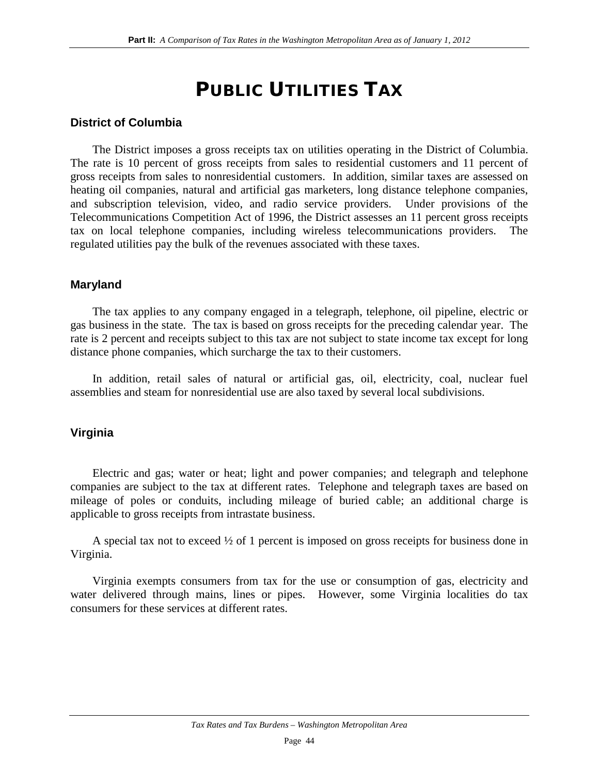## PUBLIC UTILITIES TAX

### **District of Columbia**

The District imposes a gross receipts tax on utilities operating in the District of Columbia. The rate is 10 percent of gross receipts from sales to residential customers and 11 percent of gross receipts from sales to nonresidential customers. In addition, similar taxes are assessed on heating oil companies, natural and artificial gas marketers, long distance telephone companies, and subscription television, video, and radio service providers. Under provisions of the Telecommunications Competition Act of 1996, the District assesses an 11 percent gross receipts tax on local telephone companies, including wireless telecommunications providers. The regulated utilities pay the bulk of the revenues associated with these taxes.

### **Maryland**

The tax applies to any company engaged in a telegraph, telephone, oil pipeline, electric or gas business in the state. The tax is based on gross receipts for the preceding calendar year. The rate is 2 percent and receipts subject to this tax are not subject to state income tax except for long distance phone companies, which surcharge the tax to their customers.

In addition, retail sales of natural or artificial gas, oil, electricity, coal, nuclear fuel assemblies and steam for nonresidential use are also taxed by several local subdivisions.

### **Virginia**

Electric and gas; water or heat; light and power companies; and telegraph and telephone companies are subject to the tax at different rates. Telephone and telegraph taxes are based on mileage of poles or conduits, including mileage of buried cable; an additional charge is applicable to gross receipts from intrastate business.

A special tax not to exceed ½ of 1 percent is imposed on gross receipts for business done in Virginia.

Virginia exempts consumers from tax for the use or consumption of gas, electricity and water delivered through mains, lines or pipes. However, some Virginia localities do tax consumers for these services at different rates.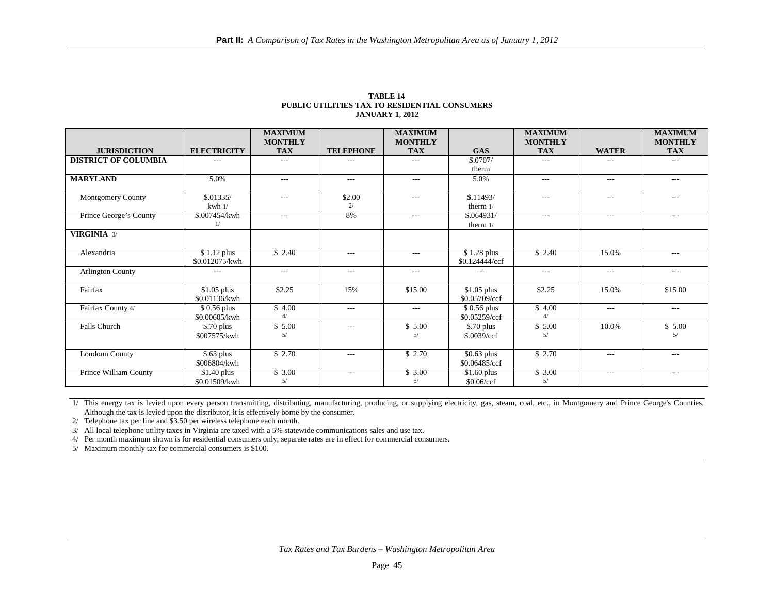|                             |                               | <b>MAXIMUM</b><br><b>MONTHLY</b> |                  | <b>MAXIMUM</b><br><b>MONTHLY</b> |                               | <b>MAXIMUM</b><br><b>MONTHLY</b> |              | <b>MAXIMUM</b><br><b>MONTHLY</b> |
|-----------------------------|-------------------------------|----------------------------------|------------------|----------------------------------|-------------------------------|----------------------------------|--------------|----------------------------------|
| <b>JURISDICTION</b>         | <b>ELECTRICITY</b>            | <b>TAX</b>                       | <b>TELEPHONE</b> | <b>TAX</b>                       | <b>GAS</b>                    | <b>TAX</b>                       | <b>WATER</b> | <b>TAX</b>                       |
| <b>DISTRICT OF COLUMBIA</b> | ---                           | $---$                            | $---$            | $---$                            | \$.0707/                      | $---$                            | ---          | $---$                            |
|                             |                               |                                  |                  |                                  | therm                         |                                  |              |                                  |
| <b>MARYLAND</b>             | 5.0%                          | $---$                            | $---$            | $---$                            | 5.0%                          | $---$                            | $---$        | $---$                            |
| Montgomery County           | \$.01335/                     | $---$                            | \$2.00           | $---$                            | \$.11493/                     | $---$                            | $---$        | $---$                            |
|                             | $kwh$ $1/$                    |                                  | 2/               |                                  | therm $1/$                    |                                  |              |                                  |
| Prince George's County      | \$.007454/kwh<br>1/           | $---$                            | 8%               | $---$                            | \$.064931/<br>therm $1/$      | $---$                            | $---$        | $- - -$                          |
| <b>VIRGINIA 3/</b>          |                               |                                  |                  |                                  |                               |                                  |              |                                  |
| Alexandria                  | \$1.12 plus<br>\$0.012075/kwh | \$2.40                           | $---$            | $\cdots$                         | \$1.28 plus<br>\$0.124444/ccf | \$2.40                           | 15.0%        | $---$                            |
| <b>Arlington County</b>     | $---$                         | $---$                            | $---$            | $---$                            | $---$                         | $---$                            | $---$        | $---$                            |
| Fairfax                     | $$1.05$ plus<br>\$0.01136/kwh | \$2.25                           | 15%              | \$15.00                          | $$1.05$ plus<br>\$0.05709/ccf | \$2.25                           | 15.0%        | \$15.00                          |
| Fairfax County 4/           | $$0.56$ plus<br>\$0.00605/kwh | \$4.00<br>4/                     | $---$            | $---$                            | $$0.56$ plus<br>\$0.05259/ccf | $\sqrt{$}4.00$<br>4/             | $---$        | $---$                            |
| Falls Church                | $$.70$ plus<br>\$007575/kwh   | \$5.00<br>5/                     | $---$            | \$5.00<br>5/                     | $$.70$ plus<br>\$.0039/ccf    | \$5.00<br>5/                     | 10.0%        | \$5.00<br>5/                     |
| Loudoun County              | \$.63 plus<br>\$006804/kwh    | \$2.70                           | $\cdots$         | \$2.70                           | $$0.63$ plus<br>\$0.06485/ccf | \$2.70                           | $---$        | $\cdots$                         |
| Prince William County       | $$1.40$ plus<br>\$0.01509/kwh | \$3.00<br>5/                     | $\cdots$         | \$3.00<br>5/                     | $$1.60$ plus<br>\$0.06/ccf    | $\frac{1}{2}$ 3.00<br>5/         | $---$        | $---$                            |

#### **TABLE 14 PUBLIC UTILITIES TAX TO RESIDENTIAL CONSUMERS JANUARY 1, 2012**

1/ This energy tax is levied upon every person transmitting, distributing, manufacturing, producing, or supplying electricity, gas, steam, coal, etc., in Montgomery and Prince George's Counties. Although the tax is levied upon the distributor, it is effectively borne by the consumer.

2/ Telephone tax per line and \$3.50 per wireless telephone each month.

3/ All local telephone utility taxes in Virginia are taxed with a 5% statewide communications sales and use tax.

4/ Per month maximum shown is for residential consumers only; separate rates are in effect for commercial consumers.

5/ Maximum monthly tax for commercial consumers is \$100.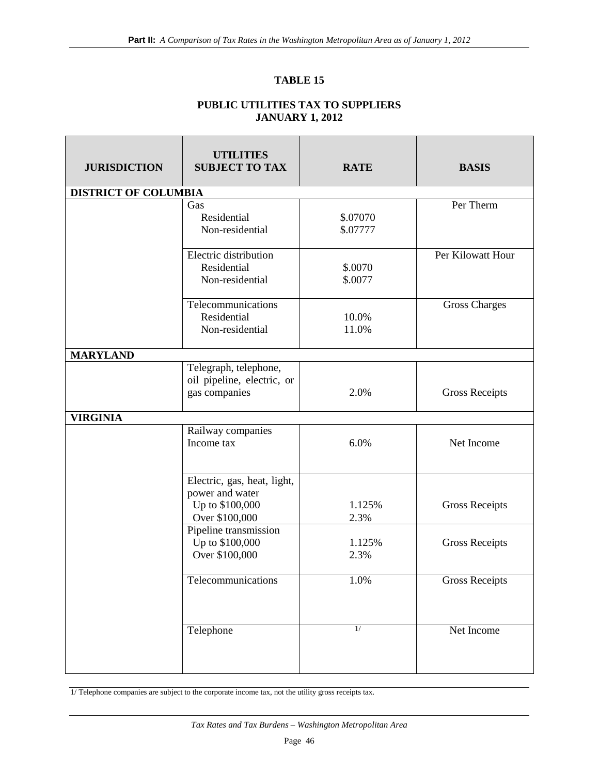#### **TABLE 15**

#### **PUBLIC UTILITIES TAX TO SUPPLIERS JANUARY 1, 2012**

| <b>JURISDICTION</b>         | <b>UTILITIES</b><br><b>SUBJECT TO TAX</b>                                           | <b>RATE</b>          | <b>BASIS</b>          |
|-----------------------------|-------------------------------------------------------------------------------------|----------------------|-----------------------|
| <b>DISTRICT OF COLUMBIA</b> |                                                                                     |                      |                       |
|                             | Gas<br>Residential<br>Non-residential                                               | \$.07070<br>\$.07777 | Per Therm             |
|                             | Electric distribution<br>Residential<br>Non-residential                             | \$.0070<br>\$.0077   | Per Kilowatt Hour     |
|                             | Telecommunications<br>Residential<br>Non-residential                                | 10.0%<br>11.0%       | <b>Gross Charges</b>  |
| <b>MARYLAND</b>             |                                                                                     |                      |                       |
|                             | Telegraph, telephone,<br>oil pipeline, electric, or<br>gas companies                | 2.0%                 | <b>Gross Receipts</b> |
| <b>VIRGINIA</b>             |                                                                                     |                      |                       |
|                             | Railway companies<br>Income tax                                                     | 6.0%                 | Net Income            |
|                             | Electric, gas, heat, light,<br>power and water<br>Up to \$100,000<br>Over \$100,000 | 1.125%<br>2.3%       | <b>Gross Receipts</b> |
|                             | Pipeline transmission<br>Up to \$100,000<br>Over \$100,000                          | 1.125%<br>2.3%       | <b>Gross Receipts</b> |
|                             | Telecommunications                                                                  | 1.0%                 | <b>Gross Receipts</b> |
|                             | Telephone                                                                           | 1/                   | Net Income            |

1/ Telephone companies are subject to the corporate income tax, not the utility gross receipts tax.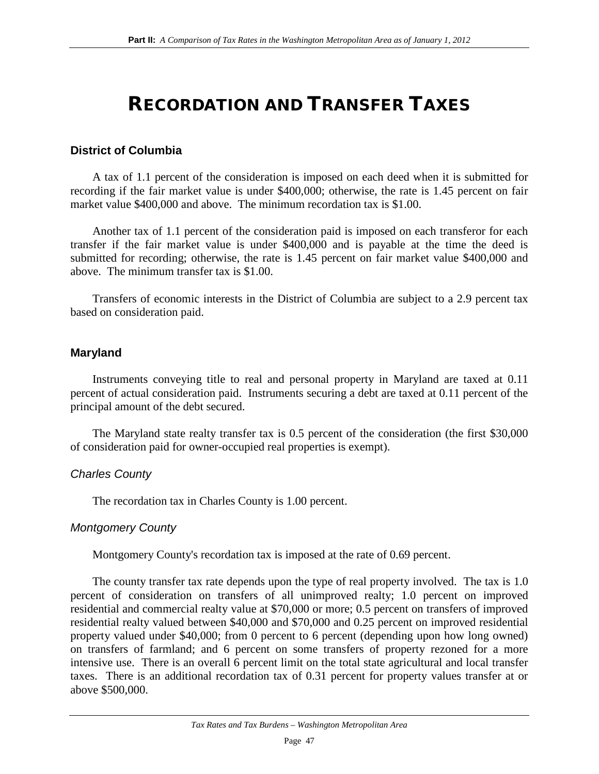## RECORDATION AND TRANSFER TAXES

#### **District of Columbia**

A tax of 1.1 percent of the consideration is imposed on each deed when it is submitted for recording if the fair market value is under \$400,000; otherwise, the rate is 1.45 percent on fair market value \$400,000 and above. The minimum recordation tax is \$1.00.

Another tax of 1.1 percent of the consideration paid is imposed on each transferor for each transfer if the fair market value is under \$400,000 and is payable at the time the deed is submitted for recording; otherwise, the rate is 1.45 percent on fair market value \$400,000 and above. The minimum transfer tax is \$1.00.

Transfers of economic interests in the District of Columbia are subject to a 2.9 percent tax based on consideration paid.

#### **Maryland**

Instruments conveying title to real and personal property in Maryland are taxed at 0.11 percent of actual consideration paid. Instruments securing a debt are taxed at 0.11 percent of the principal amount of the debt secured.

The Maryland state realty transfer tax is 0.5 percent of the consideration (the first \$30,000 of consideration paid for owner-occupied real properties is exempt).

#### *Charles County*

The recordation tax in Charles County is 1.00 percent.

#### *Montgomery County*

Montgomery County's recordation tax is imposed at the rate of 0.69 percent.

The county transfer tax rate depends upon the type of real property involved. The tax is 1.0 percent of consideration on transfers of all unimproved realty; 1.0 percent on improved residential and commercial realty value at \$70,000 or more; 0.5 percent on transfers of improved residential realty valued between \$40,000 and \$70,000 and 0.25 percent on improved residential property valued under \$40,000; from 0 percent to 6 percent (depending upon how long owned) on transfers of farmland; and 6 percent on some transfers of property rezoned for a more intensive use. There is an overall 6 percent limit on the total state agricultural and local transfer taxes. There is an additional recordation tax of 0.31 percent for property values transfer at or above \$500,000.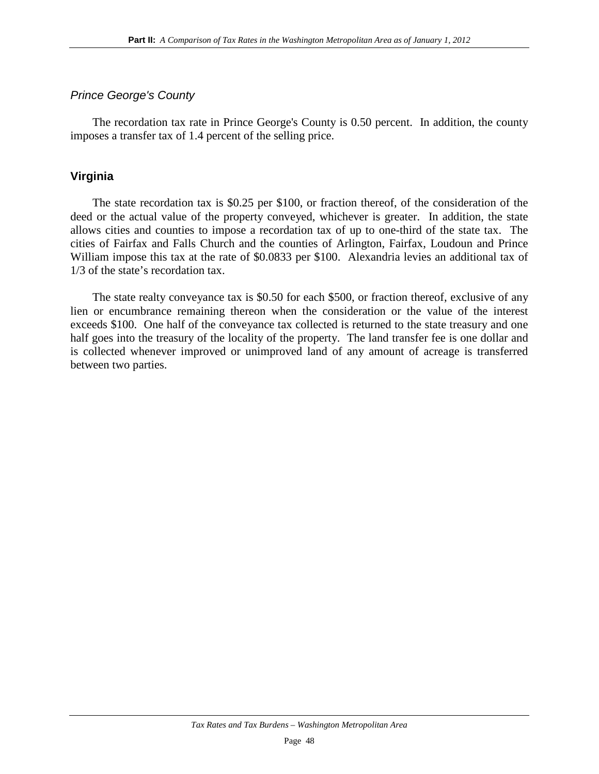### *Prince George's County*

The recordation tax rate in Prince George's County is 0.50 percent. In addition, the county imposes a transfer tax of 1.4 percent of the selling price.

### **Virginia**

The state recordation tax is \$0.25 per \$100, or fraction thereof, of the consideration of the deed or the actual value of the property conveyed, whichever is greater. In addition, the state allows cities and counties to impose a recordation tax of up to one-third of the state tax. The cities of Fairfax and Falls Church and the counties of Arlington, Fairfax, Loudoun and Prince William impose this tax at the rate of \$0.0833 per \$100. Alexandria levies an additional tax of 1/3 of the state's recordation tax.

The state realty conveyance tax is \$0.50 for each \$500, or fraction thereof, exclusive of any lien or encumbrance remaining thereon when the consideration or the value of the interest exceeds \$100. One half of the conveyance tax collected is returned to the state treasury and one half goes into the treasury of the locality of the property. The land transfer fee is one dollar and is collected whenever improved or unimproved land of any amount of acreage is transferred between two parties.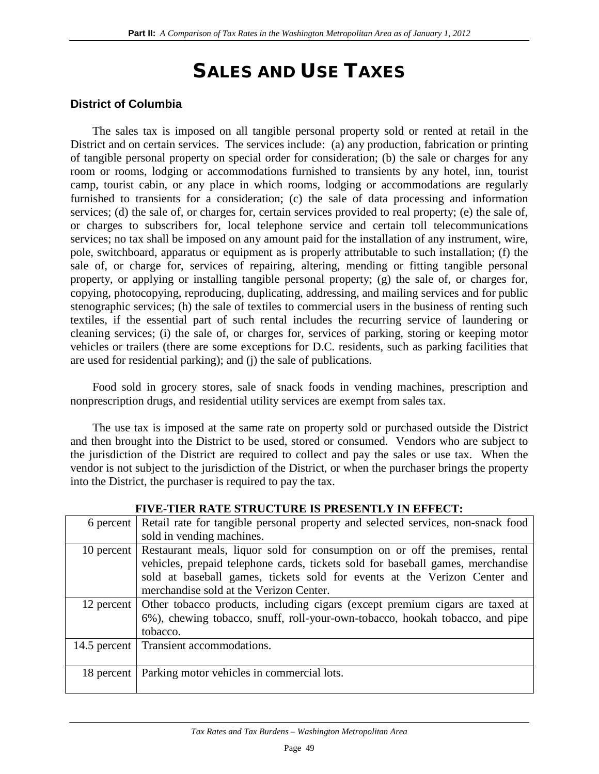## SALES AND USE TAXES

### **District of Columbia**

The sales tax is imposed on all tangible personal property sold or rented at retail in the District and on certain services. The services include: (a) any production, fabrication or printing of tangible personal property on special order for consideration; (b) the sale or charges for any room or rooms, lodging or accommodations furnished to transients by any hotel, inn, tourist camp, tourist cabin, or any place in which rooms, lodging or accommodations are regularly furnished to transients for a consideration; (c) the sale of data processing and information services; (d) the sale of, or charges for, certain services provided to real property; (e) the sale of, or charges to subscribers for, local telephone service and certain toll telecommunications services; no tax shall be imposed on any amount paid for the installation of any instrument, wire, pole, switchboard, apparatus or equipment as is properly attributable to such installation; (f) the sale of, or charge for, services of repairing, altering, mending or fitting tangible personal property, or applying or installing tangible personal property; (g) the sale of, or charges for, copying, photocopying, reproducing, duplicating, addressing, and mailing services and for public stenographic services; (h) the sale of textiles to commercial users in the business of renting such textiles, if the essential part of such rental includes the recurring service of laundering or cleaning services; (i) the sale of, or charges for, services of parking, storing or keeping motor vehicles or trailers (there are some exceptions for D.C. residents, such as parking facilities that are used for residential parking); and (j) the sale of publications.

Food sold in grocery stores, sale of snack foods in vending machines, prescription and nonprescription drugs, and residential utility services are exempt from sales tax.

The use tax is imposed at the same rate on property sold or purchased outside the District and then brought into the District to be used, stored or consumed. Vendors who are subject to the jurisdiction of the District are required to collect and pay the sales or use tax. When the vendor is not subject to the jurisdiction of the District, or when the purchaser brings the property into the District, the purchaser is required to pay the tax.

|            | FIVE-TIEK KATE STRUCTURE IS PRESENTLY IN EFFECT:                                          |
|------------|-------------------------------------------------------------------------------------------|
| 6 percent  | Retail rate for tangible personal property and selected services, non-snack food          |
|            | sold in vending machines.                                                                 |
|            | 10 percent Restaurant meals, liquor sold for consumption on or off the premises, rental   |
|            | vehicles, prepaid telephone cards, tickets sold for baseball games, merchandise           |
|            | sold at baseball games, tickets sold for events at the Verizon Center and                 |
|            | merchandise sold at the Verizon Center.                                                   |
|            | 12 percent   Other tobacco products, including cigars (except premium cigars are taxed at |
|            | 6%), chewing tobacco, snuff, roll-your-own-tobacco, hookah tobacco, and pipe              |
|            | tobacco.                                                                                  |
|            | 14.5 percent   Transient accommodations.                                                  |
|            |                                                                                           |
| 18 percent | Parking motor vehicles in commercial lots.                                                |
|            |                                                                                           |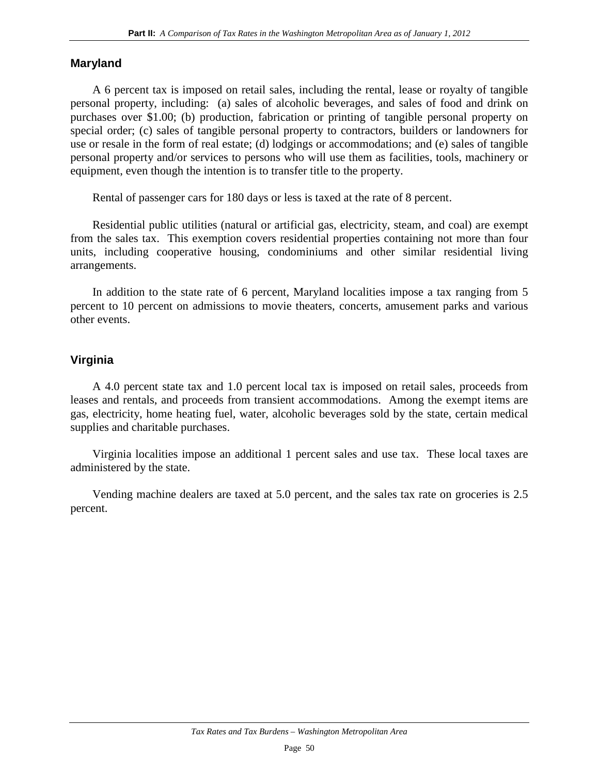#### **Maryland**

A 6 percent tax is imposed on retail sales, including the rental, lease or royalty of tangible personal property, including: (a) sales of alcoholic beverages, and sales of food and drink on purchases over \$1.00; (b) production, fabrication or printing of tangible personal property on special order; (c) sales of tangible personal property to contractors, builders or landowners for use or resale in the form of real estate; (d) lodgings or accommodations; and (e) sales of tangible personal property and/or services to persons who will use them as facilities, tools, machinery or equipment, even though the intention is to transfer title to the property.

Rental of passenger cars for 180 days or less is taxed at the rate of 8 percent.

Residential public utilities (natural or artificial gas, electricity, steam, and coal) are exempt from the sales tax. This exemption covers residential properties containing not more than four units, including cooperative housing, condominiums and other similar residential living arrangements.

In addition to the state rate of 6 percent, Maryland localities impose a tax ranging from 5 percent to 10 percent on admissions to movie theaters, concerts, amusement parks and various other events.

#### **Virginia**

A 4.0 percent state tax and 1.0 percent local tax is imposed on retail sales, proceeds from leases and rentals, and proceeds from transient accommodations. Among the exempt items are gas, electricity, home heating fuel, water, alcoholic beverages sold by the state, certain medical supplies and charitable purchases.

Virginia localities impose an additional 1 percent sales and use tax. These local taxes are administered by the state.

Vending machine dealers are taxed at 5.0 percent, and the sales tax rate on groceries is 2.5 percent.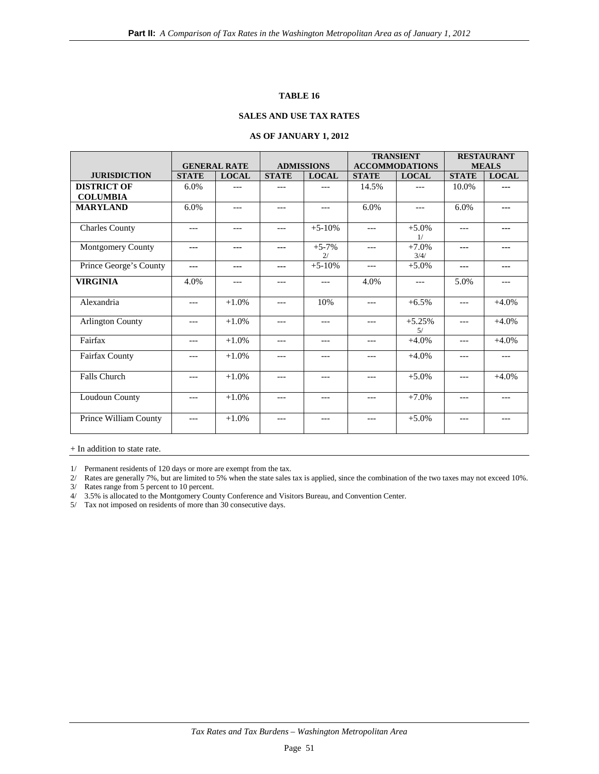#### **TABLE 16**

#### **SALES AND USE TAX RATES**

#### **AS OF JANUARY 1, 2012**

|                         |              |                     |                   | <b>TRANSIENT</b> |                       | <b>RESTAURANT</b> |              |              |
|-------------------------|--------------|---------------------|-------------------|------------------|-----------------------|-------------------|--------------|--------------|
|                         |              | <b>GENERAL RATE</b> | <b>ADMISSIONS</b> |                  | <b>ACCOMMODATIONS</b> |                   | <b>MEALS</b> |              |
| <b>JURISDICTION</b>     | <b>STATE</b> | <b>LOCAL</b>        | <b>STATE</b>      | <b>LOCAL</b>     | <b>STATE</b>          | <b>LOCAL</b>      | <b>STATE</b> | <b>LOCAL</b> |
| <b>DISTRICT OF</b>      | 6.0%         | $---$               | ---               | $---$            | 14.5%                 | $---$             | 10.0%        | ---          |
| <b>COLUMBIA</b>         |              |                     |                   |                  |                       |                   |              |              |
| <b>MARYLAND</b>         | 6.0%         | $---$               | $---$             | $---$            | 6.0%                  | $---$             | 6.0%         | ---          |
| <b>Charles County</b>   | ---          | $---$               | $---$             | $+5 - 10%$       | $---$                 | $+5.0%$<br>1/     | ---          | ---          |
| Montgomery County       | ---          | ---                 | $- - -$           | $+5-7%$<br>2/    | $---$                 | $+7.0%$<br>3/4/   | ---          | $- - -$      |
| Prince George's County  | ---          | ---                 | $- - -$           | $+5-10%$         | $---$                 | $+5.0%$           | ---          | ---          |
| <b>VIRGINIA</b>         | 4.0%         | $---$               | $---$             | $---$            | 4.0%                  | $---$             | 5.0%         | $---$        |
| Alexandria              | ---          | $+1.0%$             | $---$             | 10%              | $---$                 | $+6.5%$           | ---          | $+4.0%$      |
| <b>Arlington County</b> | ---          | $+1.0%$             | $---$             | $---$            | $---$                 | $+5.25%$<br>5/    | $---$        | $+4.0%$      |
| Fairfax                 | $---$        | $+1.0%$             | $---$             | $---$            | $---$                 | $+4.0%$           | $---$        | $+4.0%$      |
| Fairfax County          | ---          | $+1.0%$             | ---               | ---              | ---                   | $+4.0%$           | ---          | ---          |
| Falls Church            | ---          | $+1.0%$             | $---$             | $---$            | $---$                 | $+5.0%$           | ---          | $+4.0%$      |
| Loudoun County          | $---$        | $+1.0%$             | $---$             | $---$            | $---$                 | $+7.0%$           | $---$        | $---$        |
| Prince William County   | ---          | $+1.0%$             | $---$             | $---$            | $---$                 | $+5.0%$           | ---          | $---$        |

+ In addition to state rate.

1/ Permanent residents of 120 days or more are exempt from the tax.

2/ Rates are generally 7%, but are limited to 5% when the state sales tax is applied, since the combination of the two taxes may not exceed 10%. 3/ Rates range from 5 percent to 10 percent.

4/ 3.5% is allocated to the Montgomery County Conference and Visitors Bureau, and Convention Center.

5/ Tax not imposed on residents of more than 30 consecutive days.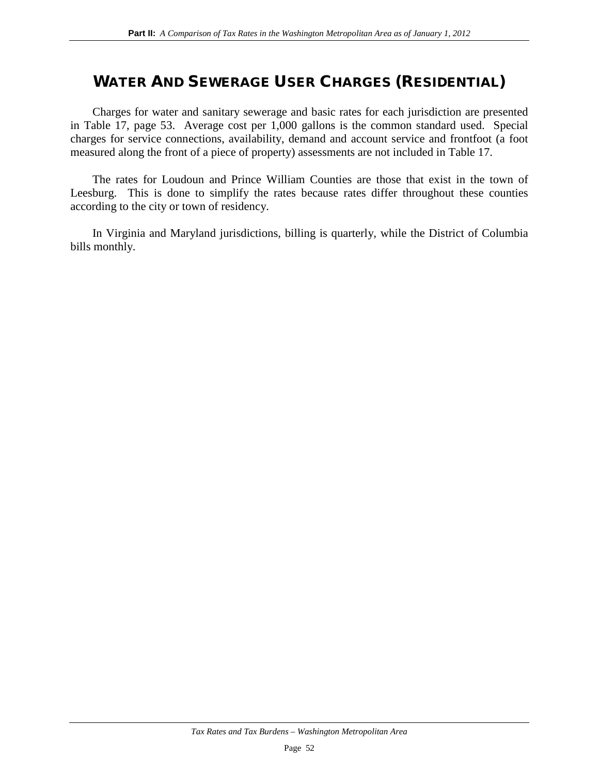## WATER AND SEWERAGE USER CHARGES (RESIDENTIAL)

Charges for water and sanitary sewerage and basic rates for each jurisdiction are presented in Table 17, page 53. Average cost per 1,000 gallons is the common standard used. Special charges for service connections, availability, demand and account service and frontfoot (a foot measured along the front of a piece of property) assessments are not included in Table 17.

The rates for Loudoun and Prince William Counties are those that exist in the town of Leesburg. This is done to simplify the rates because rates differ throughout these counties according to the city or town of residency.

In Virginia and Maryland jurisdictions, billing is quarterly, while the District of Columbia bills monthly.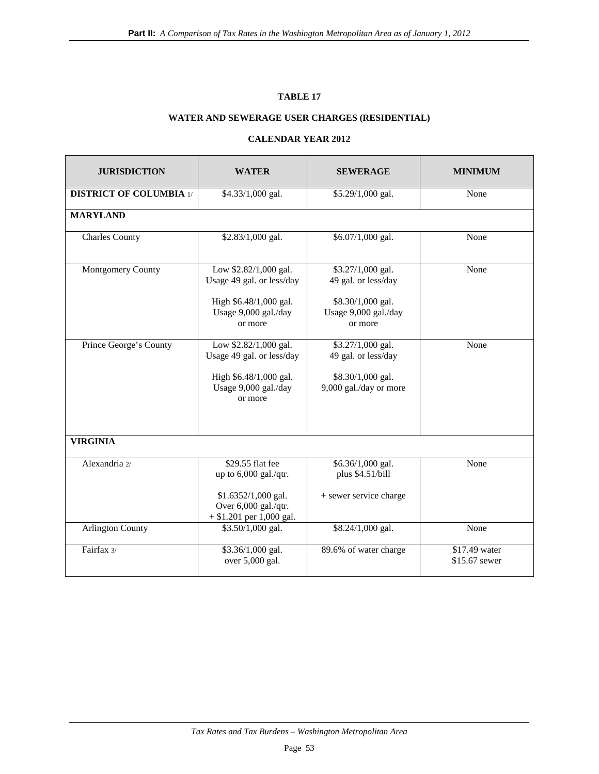#### **TABLE 17**

### **WATER AND SEWERAGE USER CHARGES (RESIDENTIAL)**

#### **CALENDAR YEAR 2012**

| <b>JURISDICTION</b>                       | <b>WATER</b>                                                                                                           | <b>SEWERAGE</b>                                                                                  | <b>MINIMUM</b>                 |  |
|-------------------------------------------|------------------------------------------------------------------------------------------------------------------------|--------------------------------------------------------------------------------------------------|--------------------------------|--|
| <b>DISTRICT OF COLUMBIA 1/</b>            | \$4.33/1,000 gal.                                                                                                      | \$5.29/1,000 gal.                                                                                | None                           |  |
| <b>MARYLAND</b>                           |                                                                                                                        |                                                                                                  |                                |  |
| <b>Charles County</b>                     | \$2.83/1,000 gal.                                                                                                      | \$6.07/1,000 gal.                                                                                | None                           |  |
| Montgomery County                         | Low \$2.82/1,000 gal.<br>Usage 49 gal. or less/day<br>High \$6.48/1,000 gal.<br>Usage 9,000 gal./day<br>or more        | \$3.27/1,000 gal.<br>49 gal. or less/day<br>\$8.30/1,000 gal.<br>Usage 9,000 gal./day<br>or more | None                           |  |
| Prince George's County<br><b>VIRGINIA</b> | Low \$2.82/1,000 gal.<br>Usage 49 gal. or less/day<br>High \$6.48/1,000 gal.<br>Usage 9,000 gal./day<br>or more        | \$3.27/1,000 gal.<br>49 gal. or less/day<br>\$8.30/1,000 gal.<br>9,000 gal./day or more          | None                           |  |
| Alexandria 2/                             | \$29.55 flat fee<br>up to 6,000 gal./qtr.<br>\$1.6352/1,000 gal.<br>Over 6,000 gal./qtr.<br>$+$ \$1.201 per 1,000 gal. | $\overline{$6.36/1,000}$ gal.<br>plus \$4.51/bill<br>+ sewer service charge                      | None                           |  |
| <b>Arlington County</b>                   | \$3.50/1,000 gal.                                                                                                      | \$8.24/1,000 gal.                                                                                | None                           |  |
| Fairfax 3/                                | \$3.36/1,000 gal.<br>over 5,000 gal.                                                                                   | 89.6% of water charge                                                                            | \$17.49 water<br>\$15.67 sewer |  |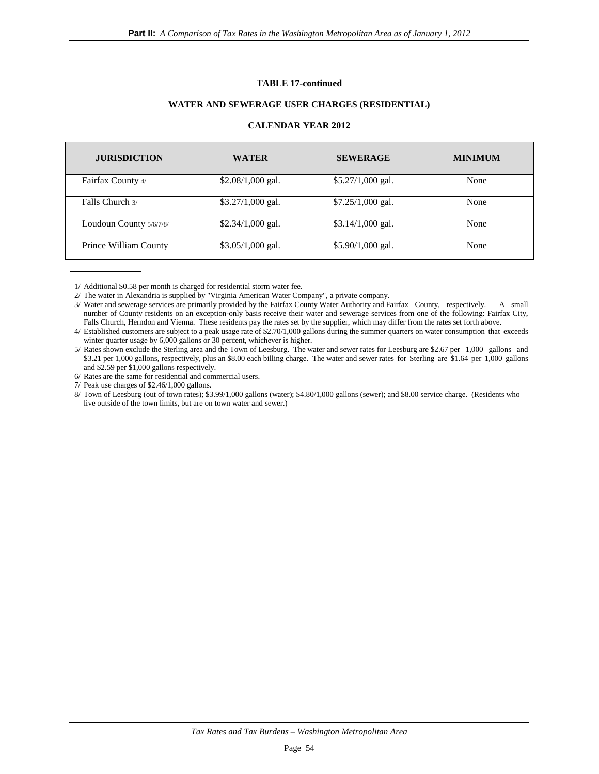#### **TABLE 17-continued**

#### **WATER AND SEWERAGE USER CHARGES (RESIDENTIAL)**

#### **CALENDAR YEAR 2012**

| <b>JURISDICTION</b>     | <b>WATER</b>       | <b>SEWERAGE</b>    | <b>MINIMUM</b> |
|-------------------------|--------------------|--------------------|----------------|
| Fairfax County 4/       | $$2.08/1,000$ gal. | $$5.27/1,000$ gal. | None           |
| Falls Church 3/         | \$3.27/1,000 gal.  | $$7.25/1,000$ gal. | None           |
| Loudoun County 5/6/7/8/ | $$2.34/1,000$ gal. | $$3.14/1,000$ gal. | None           |
| Prince William County   | $$3.05/1,000$ gal. | $$5.90/1,000$ gal. | None           |

1/ Additional \$0.58 per month is charged for residential storm water fee.

2/ The water in Alexandria is supplied by "Virginia American Water Company", a private company.

 3/ Water and sewerage services are primarily provided by the Fairfax County Water Authority and Fairfax County, respectively. A small number of County residents on an exception-only basis receive their water and sewerage services from one of the following: Fairfax City, Falls Church, Herndon and Vienna. These residents pay the rates set by the supplier, which may differ from the rates set forth above.

 4/ Established customers are subject to a peak usage rate of \$2.70/1,000 gallons during the summer quarters on water consumption that exceeds winter quarter usage by 6,000 gallons or 30 percent, whichever is higher.

 5/ Rates shown exclude the Sterling area and the Town of Leesburg. The water and sewer rates for Leesburg are \$2.67 per 1,000 gallons and \$3.21 per 1,000 gallons, respectively, plus an \$8.00 each billing charge. The water and sewer rates for Sterling are \$1.64 per 1,000 gallons and \$2.59 per \$1,000 gallons respectively.

6/ Rates are the same for residential and commercial users.

7/ Peak use charges of \$2.46/1,000 gallons.

 8/ Town of Leesburg (out of town rates); \$3.99/1,000 gallons (water); \$4.80/1,000 gallons (sewer); and \$8.00 service charge. (Residents who live outside of the town limits, but are on town water and sewer.)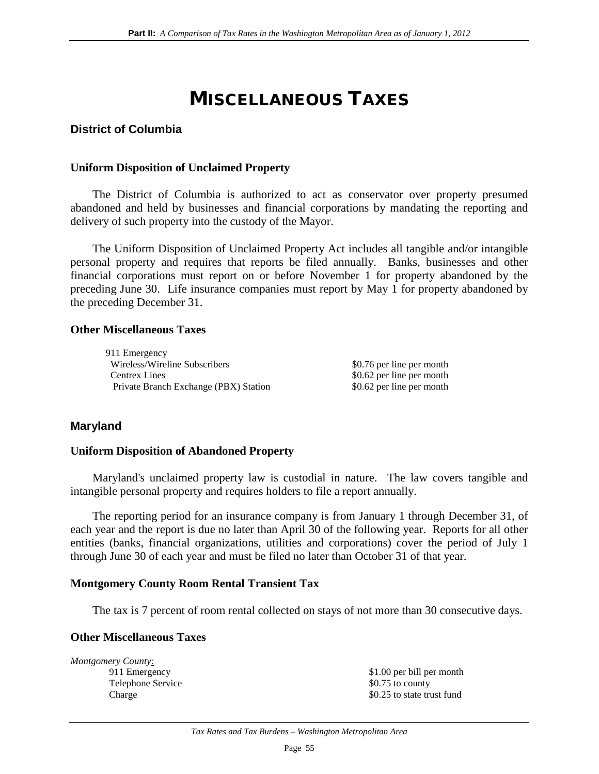## MISCELLANEOUS TAXES

### **District of Columbia**

#### **Uniform Disposition of Unclaimed Property**

The District of Columbia is authorized to act as conservator over property presumed abandoned and held by businesses and financial corporations by mandating the reporting and delivery of such property into the custody of the Mayor.

The Uniform Disposition of Unclaimed Property Act includes all tangible and/or intangible personal property and requires that reports be filed annually. Banks, businesses and other financial corporations must report on or before November 1 for property abandoned by the preceding June 30. Life insurance companies must report by May 1 for property abandoned by the preceding December 31.

#### **Other Miscellaneous Taxes**

911 Emergency Wireless/Wireline Subscribers  $$0.76$  per line per month Centrex Lines  $\$0.62$  per line per month Private Branch Exchange (PBX) Station \$0.62 per line per month

### **Maryland**

#### **Uniform Disposition of Abandoned Property**

Maryland's unclaimed property law is custodial in nature. The law covers tangible and intangible personal property and requires holders to file a report annually.

The reporting period for an insurance company is from January 1 through December 31, of each year and the report is due no later than April 30 of the following year. Reports for all other entities (banks, financial organizations, utilities and corporations) cover the period of July 1 through June 30 of each year and must be filed no later than October 31 of that year.

#### **Montgomery County Room Rental Transient Tax**

The tax is 7 percent of room rental collected on stays of not more than 30 consecutive days.

#### **Other Miscellaneous Taxes**

*Montgomery County:* Telephone Service  $\$0.75$  to county

911 Emergency \$1.00 per bill per month Charge \$0.25 to state trust fund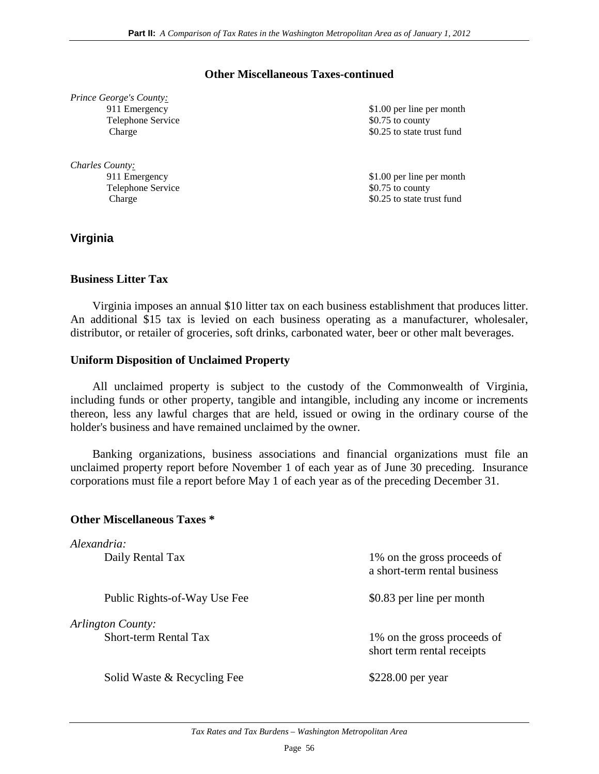#### **Other Miscellaneous Taxes-continued**

| Prince George's County: |
|-------------------------|
| 911 Emergency           |
| Telephone Service       |
| Charge                  |

Telephone Service

\$1.00 per line per month  $$0.75$  to county  $$0.25$  to state trust fund

911 Emergency \$1.00 per line per month Telephone Service \$0.75 to county Charge \$0.25 to state trust fund

# **Virginia**

*Charles County :*

#### **Business Litter Tax**

Virginia imposes an annual \$10 litter tax on each business establishment that produces litter. An additional \$15 tax is levied on each business operating as a manufacturer, wholesaler, distributor, or retailer of groceries, soft drinks, carbonated water, beer or other malt beverages.

#### **Uniform Disposition of Unclaimed Property**

All unclaimed property is subject to the custody of the Commonwealth of Virginia, including funds or other property, tangible and intangible, including any income or increments thereon, less any lawful charges that are held, issued or owing in the ordinary course of the holder's business and have remained unclaimed by the owner.

Banking organizations, business associations and financial organizations must file an unclaimed property report before November 1 of each year as of June 30 preceding. Insurance corporations must file a report before May 1 of each year as of the preceding December 31.

#### **Other Miscellaneous Taxes \***

| Alexandria:                                       |                                                             |
|---------------------------------------------------|-------------------------------------------------------------|
| Daily Rental Tax                                  | 1% on the gross proceeds of<br>a short-term rental business |
| Public Rights-of-Way Use Fee                      | \$0.83 per line per month                                   |
| Arlington County:<br><b>Short-term Rental Tax</b> | 1% on the gross proceeds of<br>short term rental receipts   |
| Solid Waste & Recycling Fee                       | \$228.00 per year                                           |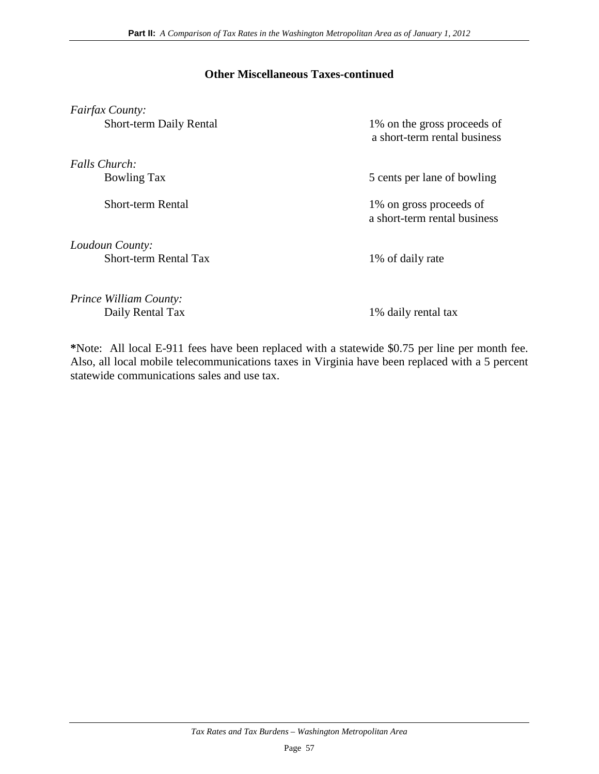#### **Other Miscellaneous Taxes-continued**

| Fairfax County:                |                                                             |
|--------------------------------|-------------------------------------------------------------|
| <b>Short-term Daily Rental</b> | 1% on the gross proceeds of<br>a short-term rental business |
| Falls Church:                  |                                                             |
| <b>Bowling Tax</b>             | 5 cents per lane of bowling                                 |
| Short-term Rental              | 1% on gross proceeds of<br>a short-term rental business     |
| Loudoun County:                |                                                             |
| <b>Short-term Rental Tax</b>   | 1% of daily rate                                            |
| <i>Prince William County:</i>  |                                                             |
| Daily Rental Tax               | 1% daily rental tax                                         |

**\***Note: All local E-911 fees have been replaced with a statewide \$0.75 per line per month fee. Also, all local mobile telecommunications taxes in Virginia have been replaced with a 5 percent statewide communications sales and use tax.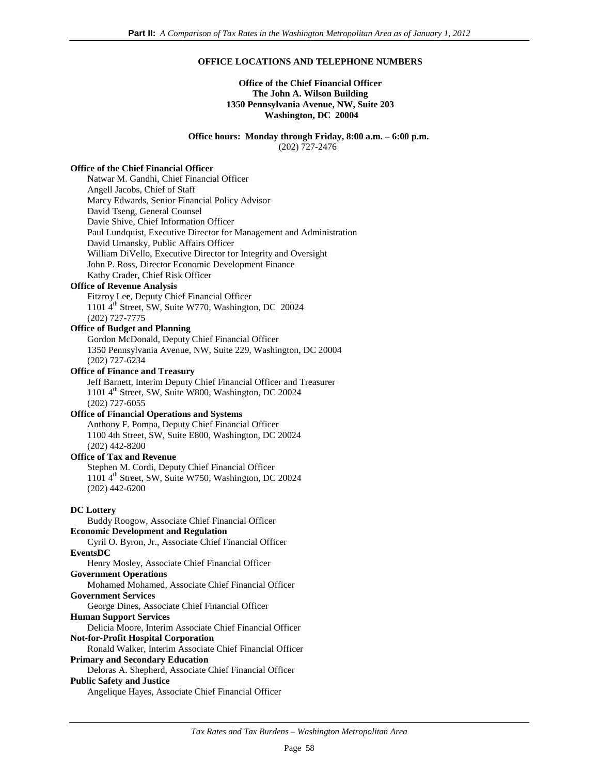#### **OFFICE LOCATIONS AND TELEPHONE NUMBERS**

#### **Office of the Chief Financial Officer The John A. Wilson Building 1350 Pennsylvania Avenue, NW, Suite 203 Washington, DC 20004**

 **Office hours: Monday through Friday, 8:00 a.m. – 6:00 p.m.** (202) 727-2476

#### **Office of the Chief Financial Officer**

Natwar M. Gandhi, Chief Financial Officer Angell Jacobs, Chief of Staff Marcy Edwards, Senior Financial Policy Advisor David Tseng, General Counsel Davie Shive, Chief Information Officer Paul Lundquist, Executive Director for Management and Administration David Umansky, Public Affairs Officer William DiVello, Executive Director for Integrity and Oversight John P. Ross, Director Economic Development Finance Kathy Crader, Chief Risk Officer

#### **Office of Revenue Analysis**

Fitzroy Le**e**, Deputy Chief Financial Officer 1101 4<sup>th</sup> Street, SW, Suite W770, Washington, DC 20024 (202) 727-7775

#### **Office of Budget and Planning**

Gordon McDonald, Deputy Chief Financial Officer 1350 Pennsylvania Avenue, NW, Suite 229, Washington, DC 20004 (202) 727-6234

#### **Office of Finance and Treasury**

Jeff Barnett, Interim Deputy Chief Financial Officer and Treasurer 1101 4<sup>th</sup> Street, SW, Suite W800, Washington, DC 20024 (202) 727-6055

#### **Office of Financial Operations and Systems**

Anthony F. Pompa, Deputy Chief Financial Officer 1100 4th Street, SW, Suite E800, Washington, DC 20024 (202) 442-8200

#### **Office of Tax and Revenue**

Stephen M. Cordi, Deputy Chief Financial Officer  $1101$  4<sup>th</sup> Street, SW, Suite W750, Washington, DC 20024 (202) 442-6200

#### **DC Lottery**

Buddy Roogow, Associate Chief Financial Officer **Economic Development and Regulation** Cyril O. Byron, Jr., Associate Chief Financial Officer **EventsDC** Henry Mosley, Associate Chief Financial Officer **Government Operations** Mohamed Mohamed, Associate Chief Financial Officer

#### **Government Services**

George Dines, Associate Chief Financial Officer

**Human Support Services**

Delicia Moore, Interim Associate Chief Financial Officer

#### **Not-for-Profit Hospital Corporation**

Ronald Walker, Interim Associate Chief Financial Officer

#### **Primary and Secondary Education**

Deloras A. Shepherd, Associate Chief Financial Officer **Public Safety and Justice**

Angelique Hayes, Associate Chief Financial Officer